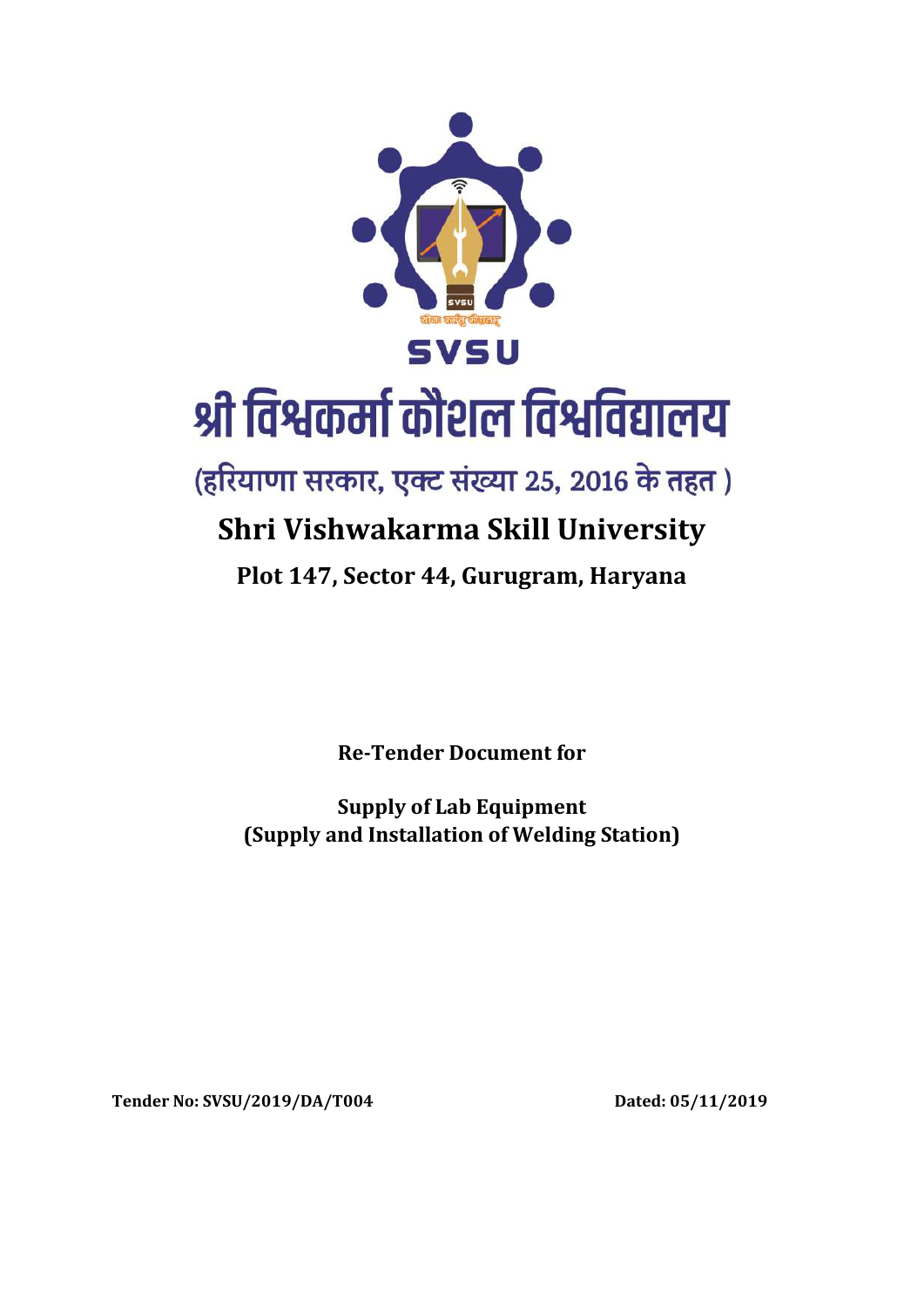

# श्री विश्वकर्मा कौशल विश्वविद्यालय

(हरियाणा सरकार, एक्ट संख्या 25, 2016 के तहत)

# **Shri Vishwakarma Skill University**

# **Plot 147, Sector 44, Gurugram, Haryana**

**Re-Tender Document for**

**Supply of Lab Equipment (Supply and Installation of Welding Station)**

**Tender No: SVSU/2019/DA/T004 Dated: 05/11/2019**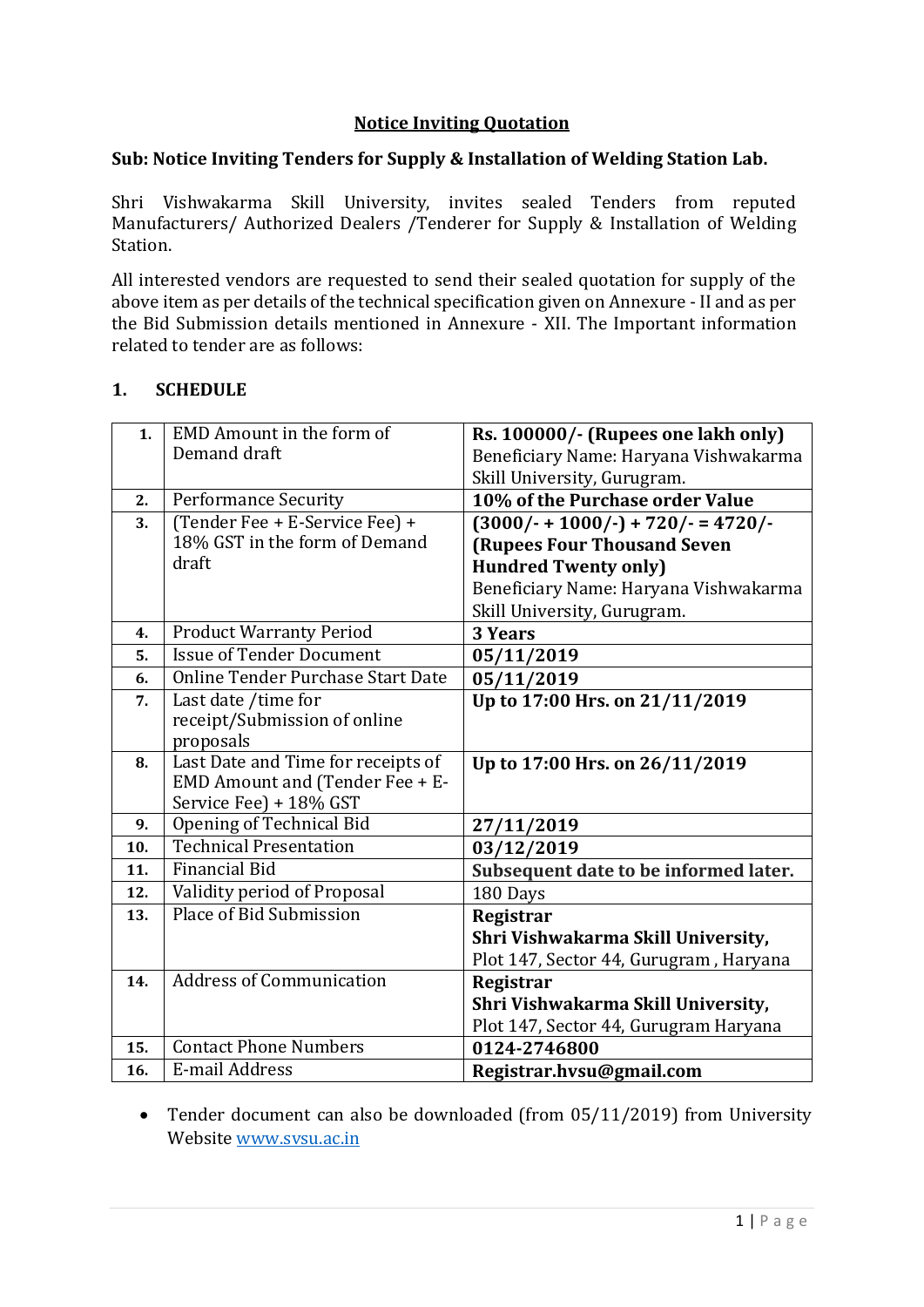# **Notice Inviting Quotation**

#### **Sub: Notice Inviting Tenders for Supply & Installation of Welding Station Lab.**

Shri Vishwakarma Skill University, invites sealed Tenders from reputed Manufacturers/ Authorized Dealers /Tenderer for Supply & Installation of Welding Station.

All interested vendors are requested to send their sealed quotation for supply of the above item as per details of the technical specification given on Annexure - II and as per the Bid Submission details mentioned in Annexure - XII. The Important information related to tender are as follows:

#### **1. SCHEDULE**

| 1.  | EMD Amount in the form of          | Rs. 100000/- (Rupees one lakh only)    |
|-----|------------------------------------|----------------------------------------|
|     | Demand draft                       | Beneficiary Name: Haryana Vishwakarma  |
|     |                                    | Skill University, Gurugram.            |
| 2.  | <b>Performance Security</b>        | 10% of the Purchase order Value        |
| 3.  | (Tender Fee + E-Service Fee) +     | $(3000/- + 1000/-) + 720/- = 4720/-$   |
|     | 18% GST in the form of Demand      | <b>(Rupees Four Thousand Seven</b>     |
|     | draft                              | <b>Hundred Twenty only)</b>            |
|     |                                    | Beneficiary Name: Haryana Vishwakarma  |
|     |                                    | Skill University, Gurugram.            |
| 4.  | <b>Product Warranty Period</b>     | <b>3 Years</b>                         |
| 5.  | <b>Issue of Tender Document</b>    | 05/11/2019                             |
| 6.  | Online Tender Purchase Start Date  | 05/11/2019                             |
| 7.  | Last date /time for                | Up to 17:00 Hrs. on 21/11/2019         |
|     | receipt/Submission of online       |                                        |
|     | proposals                          |                                        |
|     |                                    |                                        |
| 8.  | Last Date and Time for receipts of | Up to 17:00 Hrs. on 26/11/2019         |
|     | EMD Amount and (Tender Fee + E-    |                                        |
|     | Service Fee) + 18% GST             |                                        |
| 9.  | Opening of Technical Bid           | 27/11/2019                             |
| 10. | <b>Technical Presentation</b>      | 03/12/2019                             |
| 11. | <b>Financial Bid</b>               | Subsequent date to be informed later.  |
| 12. | Validity period of Proposal        | 180 Days                               |
| 13. | Place of Bid Submission            | Registrar                              |
|     |                                    | Shri Vishwakarma Skill University,     |
|     |                                    | Plot 147, Sector 44, Gurugram, Haryana |
| 14. | <b>Address of Communication</b>    | Registrar                              |
|     |                                    | Shri Vishwakarma Skill University,     |
|     |                                    | Plot 147, Sector 44, Gurugram Haryana  |
| 15. | <b>Contact Phone Numbers</b>       | 0124-2746800                           |

 Tender document can also be downloaded (from 05/11/2019) from University Website [www.svsu.ac.in](http://www.svsu.ac.in/)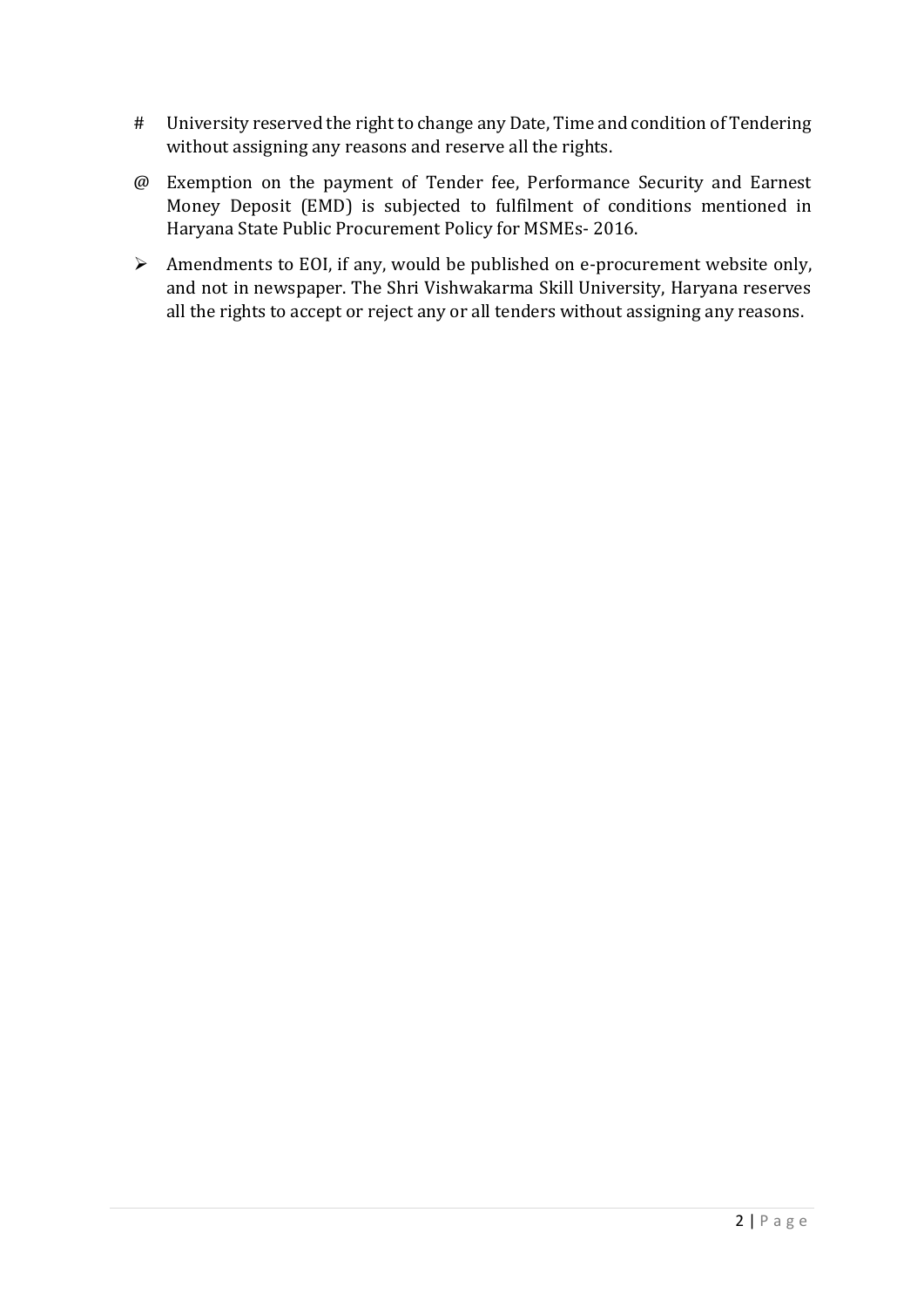- # University reserved the right to change any Date, Time and condition of Tendering without assigning any reasons and reserve all the rights.
- @ Exemption on the payment of Tender fee, Performance Security and Earnest Money Deposit (EMD) is subjected to fulfilment of conditions mentioned in Haryana State Public Procurement Policy for MSMEs- 2016.
- $\triangleright$  Amendments to EOI, if any, would be published on e-procurement website only, and not in newspaper. The Shri Vishwakarma Skill University, Haryana reserves all the rights to accept or reject any or all tenders without assigning any reasons.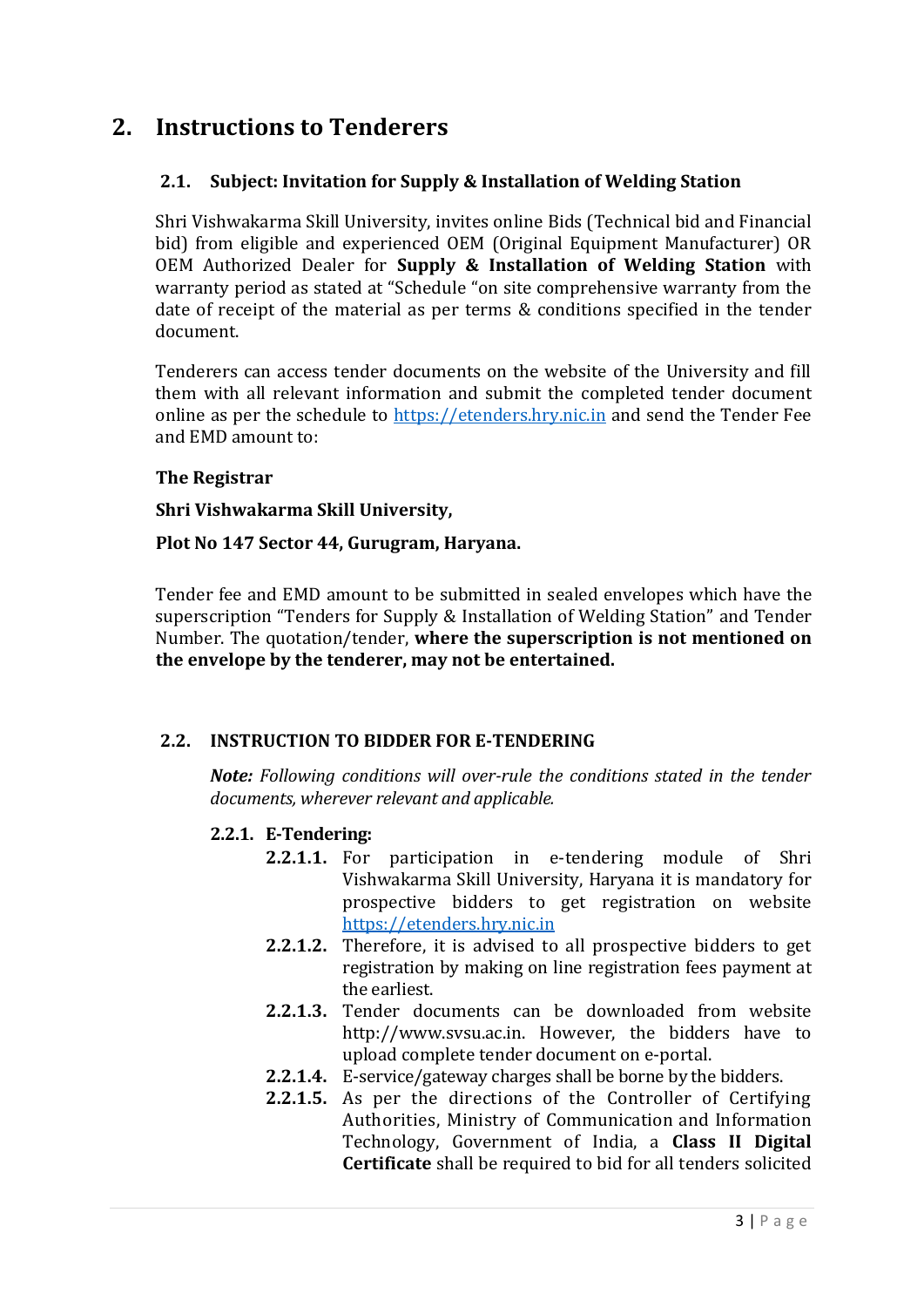# **2. Instructions to Tenderers**

#### **2.1. Subject: Invitation for Supply & Installation of Welding Station**

Shri Vishwakarma Skill University, invites online Bids (Technical bid and Financial bid) from eligible and experienced OEM (Original Equipment Manufacturer) OR OEM Authorized Dealer for **Supply & Installation of Welding Station** with warranty period as stated at "Schedule "on site comprehensive warranty from the date of receipt of the material as per terms & conditions specified in the tender document.

Tenderers can access tender documents on the website of the University and fill them with all relevant information and submit the completed tender document online as per the schedule to [https://etenders.hry.nic.in](https://etenders.hry.nic.in/) and send the Tender Fee and EMD amount to:

#### **The Registrar**

#### **Shri Vishwakarma Skill University,**

#### **Plot No 147 Sector 44, Gurugram, Haryana.**

Tender fee and EMD amount to be submitted in sealed envelopes which have the superscription "Tenders for Supply & Installation of Welding Station" and Tender Number. The quotation/tender, **where the superscription is not mentioned on the envelope by the tenderer, may not be entertained.**

#### **2.2. INSTRUCTION TO BIDDER FOR E-TENDERING**

*Note: Following conditions will over-rule the conditions stated in the tender documents, wherever relevant and applicable.* 

#### **2.2.1. E-Tendering:**

- **2.2.1.1.** For participation in e-tendering module of Shri Vishwakarma Skill University, Haryana it is mandatory for prospective bidders to get registration on website [https://etenders.hry.nic.in](https://etenders.hry.nic.in/)
- **2.2.1.2.** Therefore, it is advised to all prospective bidders to get registration by making on line registration fees payment at the earliest.
- **2.2.1.3.** Tender documents can be downloaded from website http://www.svsu.ac.in. However, the bidders have to upload complete tender document on e-portal.
- **2.2.1.4.** E-service/gateway charges shall be borne by the bidders.
- **2.2.1.5.** As per the directions of the Controller of Certifying Authorities, Ministry of Communication and Information Technology, Government of India, a **Class II Digital Certificate** shall be required to bid for all tenders solicited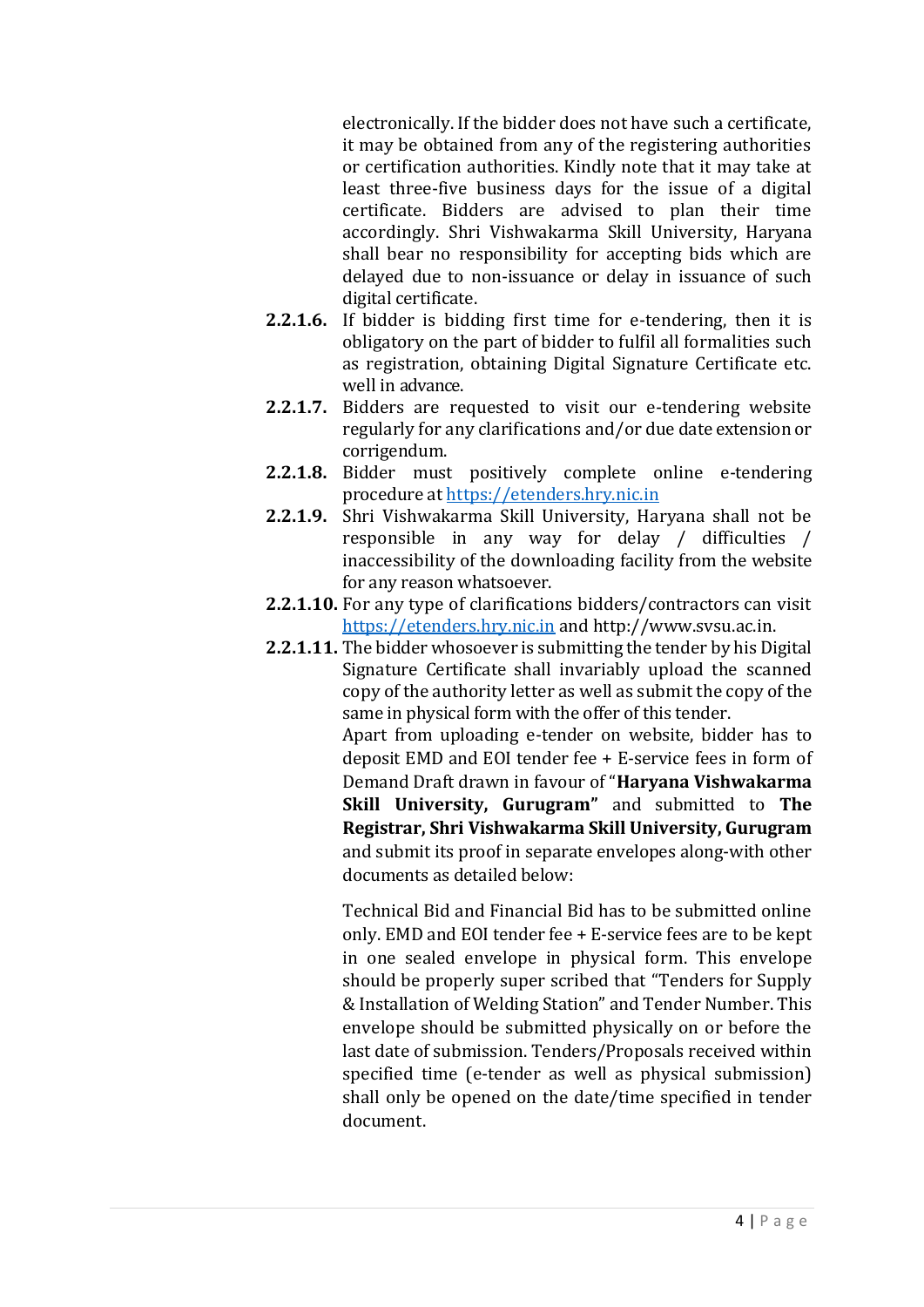electronically. If the bidder does not have such a certificate, it may be obtained from any of the registering authorities or certification authorities. Kindly note that it may take at least three-five business days for the issue of a digital certificate. Bidders are advised to plan their time accordingly. Shri Vishwakarma Skill University, Haryana shall bear no responsibility for accepting bids which are delayed due to non-issuance or delay in issuance of such digital certificate.

- **2.2.1.6.** If bidder is bidding first time for e-tendering, then it is obligatory on the part of bidder to fulfil all formalities such as registration, obtaining Digital Signature Certificate etc. well in advance.
- **2.2.1.7.** Bidders are requested to visit our e-tendering website regularly for any clarifications and/or due date extension or corrigendum.
- **2.2.1.8.** Bidder must positively complete online e-tendering procedure at [https://etenders.hry.nic.in](https://etenders.hry.nic.in/)
- **2.2.1.9.** Shri Vishwakarma Skill University, Haryana shall not be responsible in any way for delay / difficulties / inaccessibility of the downloading facility from the website for any reason whatsoever.
- **2.2.1.10.** For any type of clarifications bidders/contractors can visit [https://etenders.hry.nic.in](https://etenders.hry.nic.in/) and http://www.svsu.ac.in.
- **2.2.1.11.** The bidder whosoever is submitting the tender by his Digital Signature Certificate shall invariably upload the scanned copy of the authority letter as well as submit the copy of the same in physical form with the offer of this tender. Apart from uploading e-tender on website, bidder has to deposit EMD and EOI tender fee + E-service fees in form of Demand Draft drawn in favour of "**Haryana Vishwakarma Skill University, Gurugram"** and submitted to **The Registrar, Shri Vishwakarma Skill University, Gurugram** and submit its proof in separate envelopes along-with other documents as detailed below:

Technical Bid and Financial Bid has to be submitted online only. EMD and EOI tender fee + E-service fees are to be kept in one sealed envelope in physical form. This envelope should be properly super scribed that "Tenders for Supply & Installation of Welding Station" and Tender Number. This envelope should be submitted physically on or before the last date of submission. Tenders/Proposals received within specified time (e-tender as well as physical submission) shall only be opened on the date/time specified in tender document.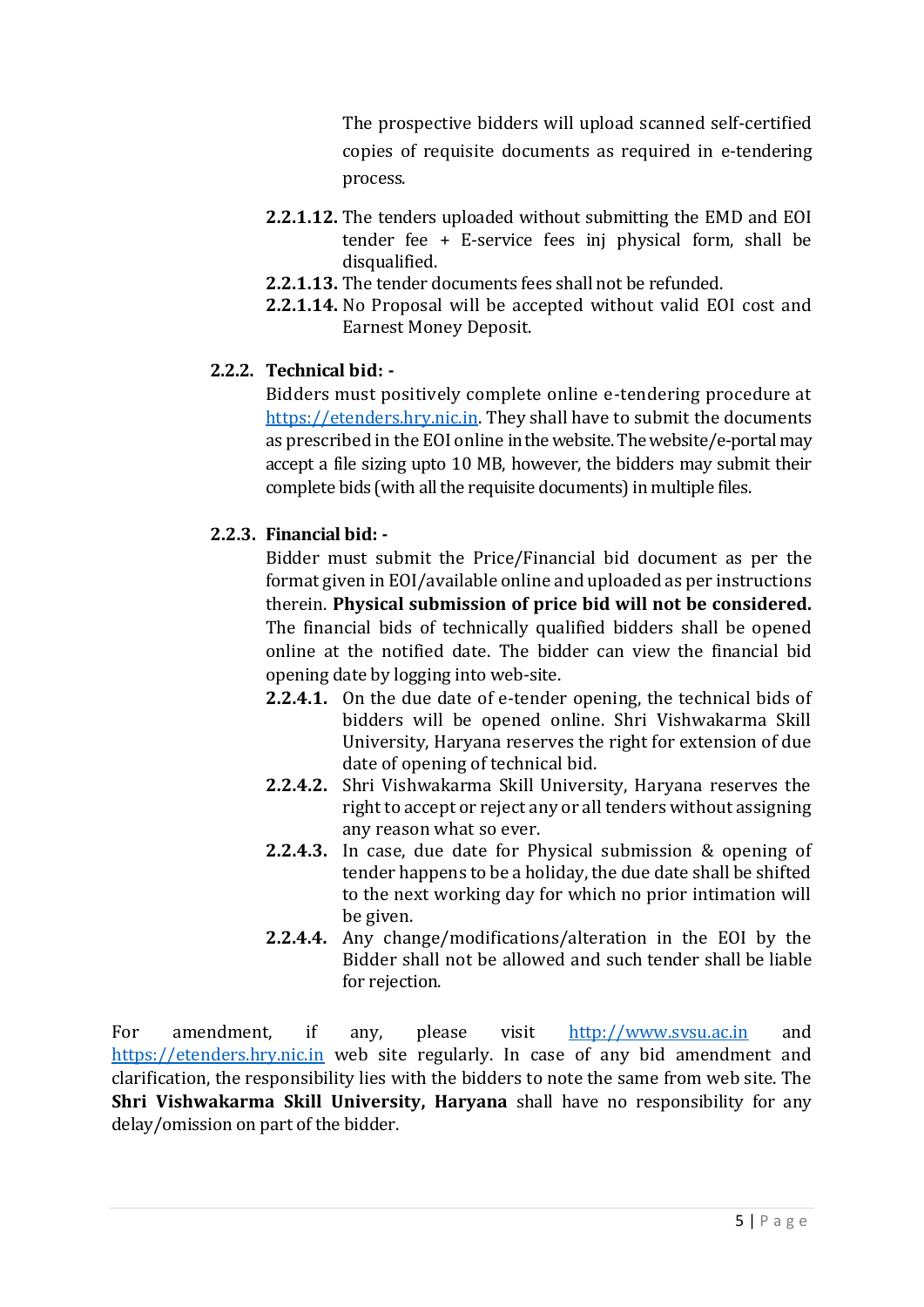The prospective bidders will upload scanned self-certified copies of requisite documents as required in e-tendering process.

- **2.2.1.12.** The tenders uploaded without submitting the EMD and EOI tender fee + E-service fees inj physical form, shall be disqualified.
- **2.2.1.13.** The tender documents fees shall not be refunded.
- **2.2.1.14.** No Proposal will be accepted without valid EOI cost and Earnest Money Deposit.

# **2.2.2. Technical bid: -**

Bidders must positively complete online e-tendering procedure at [https://etenders.hry.nic.in.](https://etenders.hry.nic.in/) They shall have to submit the documents as prescribed in the EOI online in the website. The website/e-portal may accept a file sizing upto 10 MB, however, the bidders may submit their complete bids (with all the requisite documents) in multiple files.

# **2.2.3. Financial bid: -**

Bidder must submit the Price/Financial bid document as per the format given in EOI/available online and uploaded as per instructions therein. **Physical submission of price bid will not be considered.** The financial bids of technically qualified bidders shall be opened online at the notified date. The bidder can view the financial bid opening date by logging into web-site.

- **2.2.4.1.** On the due date of e-tender opening, the technical bids of bidders will be opened online. Shri Vishwakarma Skill University, Haryana reserves the right for extension of due date of opening of technical bid.
- **2.2.4.2.** Shri Vishwakarma Skill University, Haryana reserves the right to accept or reject any or all tenders without assigning any reason what so ever.
- **2.2.4.3.** In case, due date for Physical submission & opening of tender happens to be a holiday, the due date shall be shifted to the next working day for which no prior intimation will be given.
- **2.2.4.4.** Any change/modifications/alteration in the EOI by the Bidder shall not be allowed and such tender shall be liable for rejection.

For amendment, if any, please visit [http://www.svsu.ac.in](http://www.svsu.ac.in/) and [https://etenders.hry.nic.in](https://etenders.hry.nic.in/) web site regularly. In case of any bid amendment and clarification, the responsibility lies with the bidders to note the same from web site. The **Shri Vishwakarma Skill University, Haryana** shall have no responsibility for any delay/omission on part of the bidder.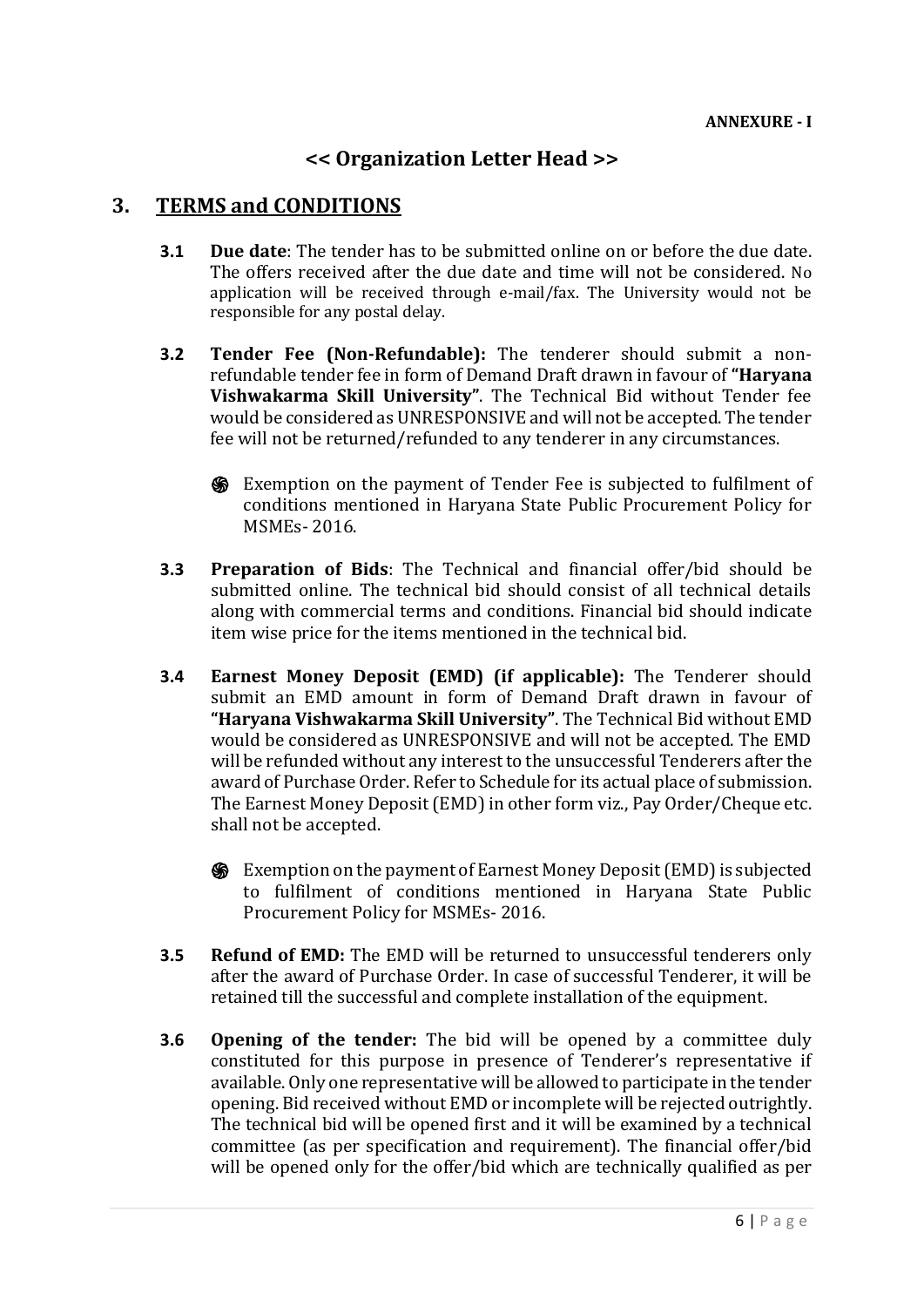# **<< Organization Letter Head >>**

# **3. TERMS and CONDITIONS**

- **3.1 Due date**: The tender has to be submitted online on or before the due date. The offers received after the due date and time will not be considered. No application will be received through e-mail/fax. The University would not be responsible for any postal delay.
- **3.2 Tender Fee (Non-Refundable):** The tenderer should submit a nonrefundable tender fee in form of Demand Draft drawn in favour of **"Haryana Vishwakarma Skill University"**. The Technical Bid without Tender fee would be considered as UNRESPONSIVE and will not be accepted. The tender fee will not be returned/refunded to any tenderer in any circumstances.
	- ֍ Exemption on the payment of Tender Fee is subjected to fulfilment of conditions mentioned in Haryana State Public Procurement Policy for MSMEs- 2016.
- **3.3 Preparation of Bids**: The Technical and financial offer/bid should be submitted online. The technical bid should consist of all technical details along with commercial terms and conditions. Financial bid should indicate item wise price for the items mentioned in the technical bid.
- **3.4 Earnest Money Deposit (EMD) (if applicable):** The Tenderer should submit an EMD amount in form of Demand Draft drawn in favour of **"Haryana Vishwakarma Skill University"**. The Technical Bid without EMD would be considered as UNRESPONSIVE and will not be accepted. The EMD will be refunded without any interest to the unsuccessful Tenderers after the award of Purchase Order. Refer to Schedule for its actual place of submission. The Earnest Money Deposit (EMD) in other form viz., Pay Order/Cheque etc. shall not be accepted.
	- ֍ Exemption on the payment of Earnest Money Deposit (EMD)is subjected to fulfilment of conditions mentioned in Haryana State Public Procurement Policy for MSMEs- 2016.
- **3.5 Refund of EMD:** The EMD will be returned to unsuccessful tenderers only after the award of Purchase Order. In case of successful Tenderer, it will be retained till the successful and complete installation of the equipment.
- **3.6 Opening of the tender:** The bid will be opened by a committee duly constituted for this purpose in presence of Tenderer's representative if available. Only one representative will be allowed to participate in the tender opening. Bid received without EMD or incomplete will be rejected outrightly. The technical bid will be opened first and it will be examined by a technical committee (as per specification and requirement). The financial offer/bid will be opened only for the offer/bid which are technically qualified as per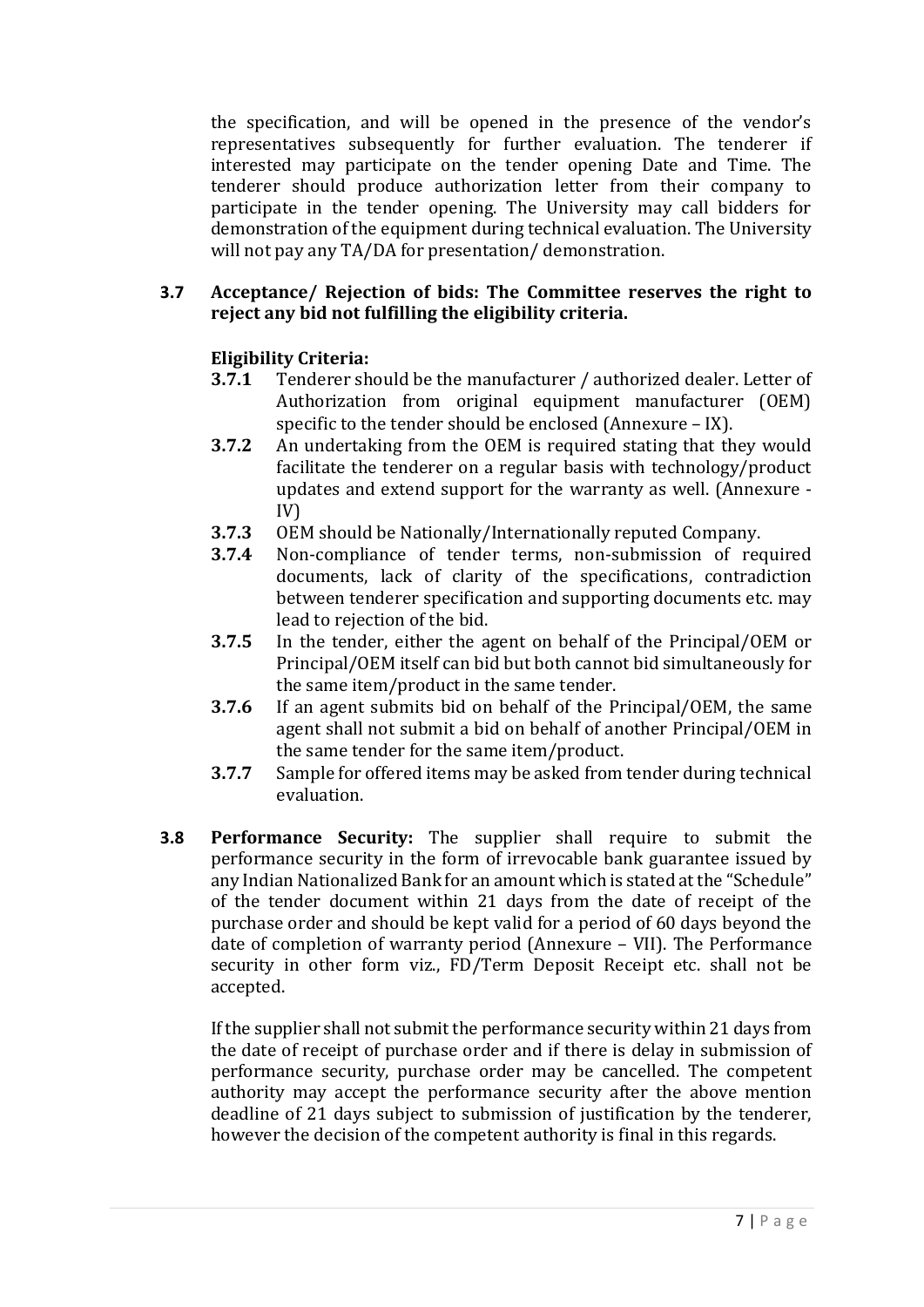the specification, and will be opened in the presence of the vendor's representatives subsequently for further evaluation. The tenderer if interested may participate on the tender opening Date and Time. The tenderer should produce authorization letter from their company to participate in the tender opening. The University may call bidders for demonstration of the equipment during technical evaluation. The University will not pay any TA/DA for presentation/ demonstration.

#### **3.7 Acceptance/ Rejection of bids: The Committee reserves the right to reject any bid not fulfilling the eligibility criteria.**

# **Eligibility Criteria:**

- **3.7.1** Tenderer should be the manufacturer / authorized dealer. Letter of Authorization from original equipment manufacturer (OEM) specific to the tender should be enclosed (Annexure – IX).
- **3.7.2** An undertaking from the OEM is required stating that they would facilitate the tenderer on a regular basis with technology/product updates and extend support for the warranty as well. (Annexure - IV)
- **3.7.3** OEM should be Nationally/Internationally reputed Company.
- **3.7.4** Non-compliance of tender terms, non-submission of required documents, lack of clarity of the specifications, contradiction between tenderer specification and supporting documents etc. may lead to rejection of the bid.
- **3.7.5** In the tender, either the agent on behalf of the Principal/OEM or Principal/OEM itself can bid but both cannot bid simultaneously for the same item/product in the same tender.
- **3.7.6** If an agent submits bid on behalf of the Principal/OEM, the same agent shall not submit a bid on behalf of another Principal/OEM in the same tender for the same item/product.
- **3.7.7** Sample for offered items may be asked from tender during technical evaluation.
- **3.8 Performance Security:** The supplier shall require to submit the performance security in the form of irrevocable bank guarantee issued by any Indian Nationalized Bank for an amount which is stated at the "Schedule" of the tender document within 21 days from the date of receipt of the purchase order and should be kept valid for a period of 60 days beyond the date of completion of warranty period (Annexure – VII). The Performance security in other form viz., FD/Term Deposit Receipt etc. shall not be accepted.

If the supplier shall not submit the performance security within 21 days from the date of receipt of purchase order and if there is delay in submission of performance security, purchase order may be cancelled. The competent authority may accept the performance security after the above mention deadline of 21 days subject to submission of justification by the tenderer, however the decision of the competent authority is final in this regards.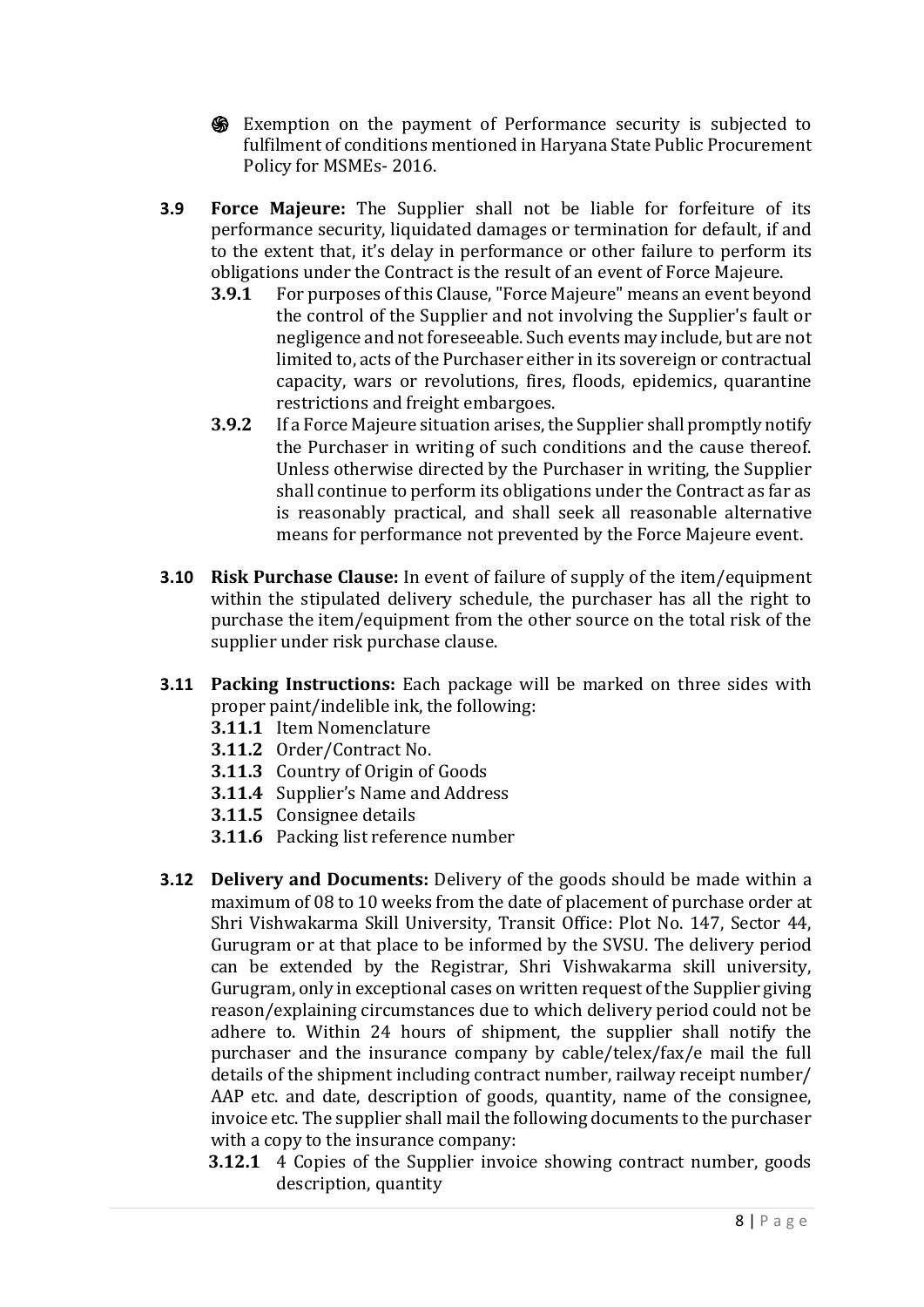- ֍ Exemption on the payment of Performance security is subjected to fulfilment of conditions mentioned in Haryana State Public Procurement Policy for MSMEs- 2016.
- **3.9 Force Majeure:** The Supplier shall not be liable for forfeiture of its performance security, liquidated damages or termination for default, if and to the extent that, it's delay in performance or other failure to perform its obligations under the Contract is the result of an event of Force Majeure.
	- **3.9.1** For purposes of this Clause, "Force Majeure" means an event beyond the control of the Supplier and not involving the Supplier's fault or negligence and not foreseeable. Such events may include, but are not limited to, acts of the Purchaser either in its sovereign or contractual capacity, wars or revolutions, fires, floods, epidemics, quarantine restrictions and freight embargoes.
	- **3.9.2** If a Force Majeure situation arises, the Supplier shall promptly notify the Purchaser in writing of such conditions and the cause thereof. Unless otherwise directed by the Purchaser in writing, the Supplier shall continue to perform its obligations under the Contract as far as is reasonably practical, and shall seek all reasonable alternative means for performance not prevented by the Force Majeure event.
- **3.10 Risk Purchase Clause:** In event of failure of supply of the item/equipment within the stipulated delivery schedule, the purchaser has all the right to purchase the item/equipment from the other source on the total risk of the supplier under risk purchase clause.
- **3.11 Packing Instructions:** Each package will be marked on three sides with proper paint/indelible ink, the following:
	- **3.11.1** Item Nomenclature
	- **3.11.2** Order/Contract No.
	- **3.11.3** Country of Origin of Goods
	- **3.11.4** Supplier's Name and Address
	- **3.11.5** Consignee details
	- **3.11.6** Packing list reference number
- **3.12 Delivery and Documents:** Delivery of the goods should be made within a maximum of 08 to 10 weeks from the date of placement of purchase order at Shri Vishwakarma Skill University, Transit Office: Plot No. 147, Sector 44, Gurugram or at that place to be informed by the SVSU. The delivery period can be extended by the Registrar, Shri Vishwakarma skill university, Gurugram, only in exceptional cases on written request of the Supplier giving reason/explaining circumstances due to which delivery period could not be adhere to. Within 24 hours of shipment, the supplier shall notify the purchaser and the insurance company by cable/telex/fax/e mail the full details of the shipment including contract number, railway receipt number/ AAP etc. and date, description of goods, quantity, name of the consignee, invoice etc. The supplier shall mail the following documents to the purchaser with a copy to the insurance company:
	- **3.12.1** 4 Copies of the Supplier invoice showing contract number, goods description, quantity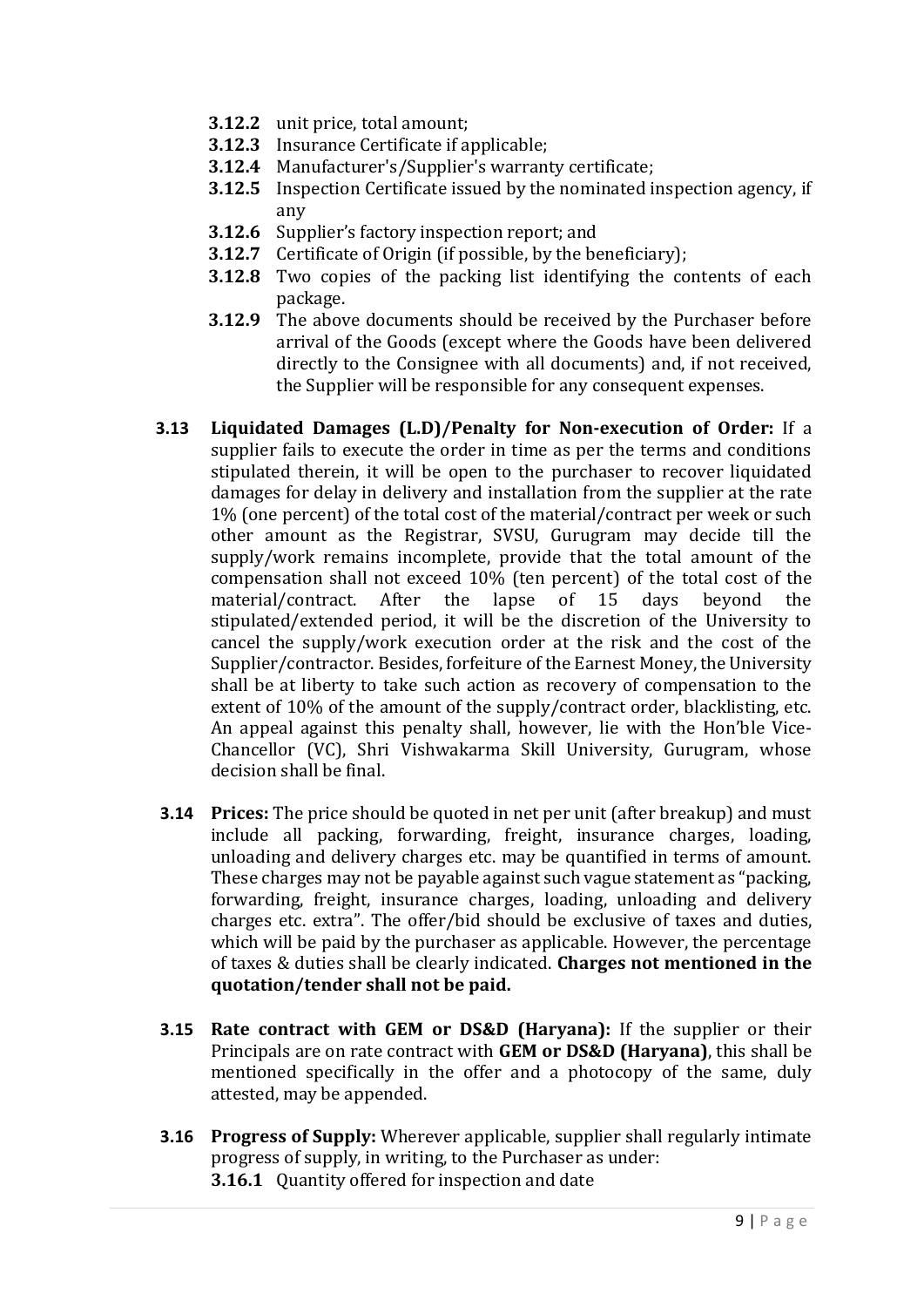- **3.12.2** unit price, total amount;
- **3.12.3** Insurance Certificate if applicable;
- **3.12.4** Manufacturer's/Supplier's warranty certificate;
- **3.12.5** Inspection Certificate issued by the nominated inspection agency, if any
- **3.12.6** Supplier's factory inspection report; and
- **3.12.7** Certificate of Origin (if possible, by the beneficiary);
- **3.12.8** Two copies of the packing list identifying the contents of each package.
- **3.12.9** The above documents should be received by the Purchaser before arrival of the Goods (except where the Goods have been delivered directly to the Consignee with all documents) and, if not received, the Supplier will be responsible for any consequent expenses.
- **3.13 Liquidated Damages (L.D)/Penalty for Non-execution of Order:** If a supplier fails to execute the order in time as per the terms and conditions stipulated therein, it will be open to the purchaser to recover liquidated damages for delay in delivery and installation from the supplier at the rate 1% (one percent) of the total cost of the material/contract per week or such other amount as the Registrar, SVSU, Gurugram may decide till the supply/work remains incomplete, provide that the total amount of the compensation shall not exceed 10% (ten percent) of the total cost of the material/contract. After the lapse of 15 days beyond the stipulated/extended period, it will be the discretion of the University to cancel the supply/work execution order at the risk and the cost of the Supplier/contractor. Besides, forfeiture of the Earnest Money, the University shall be at liberty to take such action as recovery of compensation to the extent of 10% of the amount of the supply/contract order, blacklisting, etc. An appeal against this penalty shall, however, lie with the Hon'ble Vice-Chancellor (VC), Shri Vishwakarma Skill University, Gurugram, whose decision shall be final.
- **3.14 Prices:** The price should be quoted in net per unit (after breakup) and must include all packing, forwarding, freight, insurance charges, loading, unloading and delivery charges etc. may be quantified in terms of amount. These charges may not be payable against such vague statement as "packing, forwarding, freight, insurance charges, loading, unloading and delivery charges etc. extra". The offer/bid should be exclusive of taxes and duties, which will be paid by the purchaser as applicable. However, the percentage of taxes & duties shall be clearly indicated. **Charges not mentioned in the quotation/tender shall not be paid.**
- **3.15 Rate contract with GEM or DS&D (Haryana):** If the supplier or their Principals are on rate contract with **GEM or DS&D (Haryana)**, this shall be mentioned specifically in the offer and a photocopy of the same, duly attested, may be appended.
- **3.16 Progress of Supply:** Wherever applicable, supplier shall regularly intimate progress of supply, in writing, to the Purchaser as under: **3.16.1** Quantity offered for inspection and date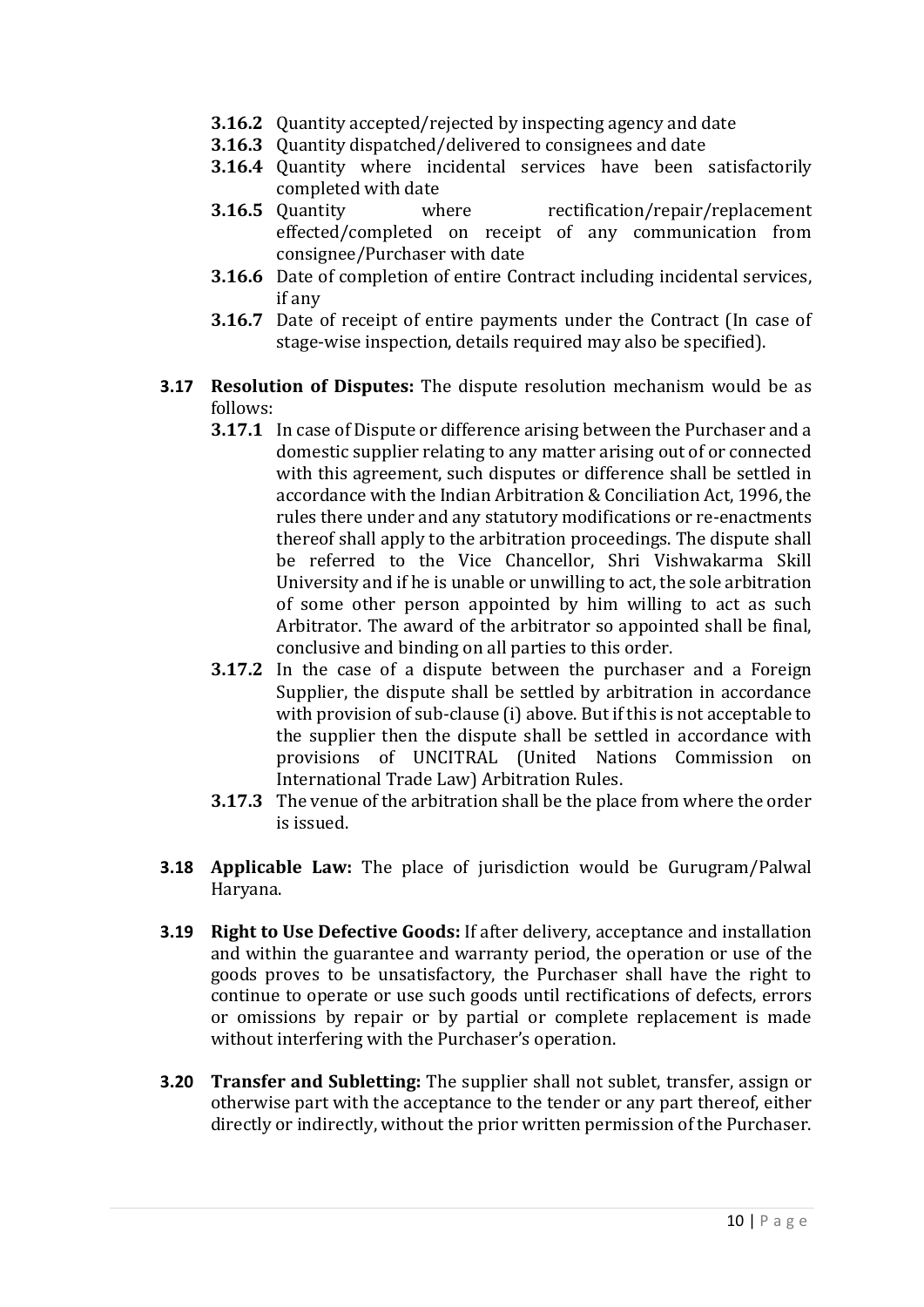- **3.16.2** Quantity accepted/rejected by inspecting agency and date
- **3.16.3** Quantity dispatched/delivered to consignees and date
- **3.16.4** Quantity where incidental services have been satisfactorily completed with date
- **3.16.5** Quantity where rectification/repair/replacement effected/completed on receipt of any communication from consignee/Purchaser with date
- **3.16.6** Date of completion of entire Contract including incidental services, if any
- **3.16.7** Date of receipt of entire payments under the Contract (In case of stage-wise inspection, details required may also be specified).
- **3.17 Resolution of Disputes:** The dispute resolution mechanism would be as follows:
	- **3.17.1** In case of Dispute or difference arising between the Purchaser and a domestic supplier relating to any matter arising out of or connected with this agreement, such disputes or difference shall be settled in accordance with the Indian Arbitration & Conciliation Act, 1996, the rules there under and any statutory modifications or re-enactments thereof shall apply to the arbitration proceedings. The dispute shall be referred to the Vice Chancellor, Shri Vishwakarma Skill University and if he is unable or unwilling to act, the sole arbitration of some other person appointed by him willing to act as such Arbitrator. The award of the arbitrator so appointed shall be final, conclusive and binding on all parties to this order.
	- **3.17.2** In the case of a dispute between the purchaser and a Foreign Supplier, the dispute shall be settled by arbitration in accordance with provision of sub-clause (i) above. But if this is not acceptable to the supplier then the dispute shall be settled in accordance with provisions of UNCITRAL (United Nations Commission on International Trade Law) Arbitration Rules.
	- **3.17.3** The venue of the arbitration shall be the place from where the order is issued.
- **3.18 Applicable Law:** The place of jurisdiction would be Gurugram/Palwal Haryana.
- **3.19 Right to Use Defective Goods:** If after delivery, acceptance and installation and within the guarantee and warranty period, the operation or use of the goods proves to be unsatisfactory, the Purchaser shall have the right to continue to operate or use such goods until rectifications of defects, errors or omissions by repair or by partial or complete replacement is made without interfering with the Purchaser's operation.
- **3.20 Transfer and Subletting:** The supplier shall not sublet, transfer, assign or otherwise part with the acceptance to the tender or any part thereof, either directly or indirectly, without the prior written permission of the Purchaser.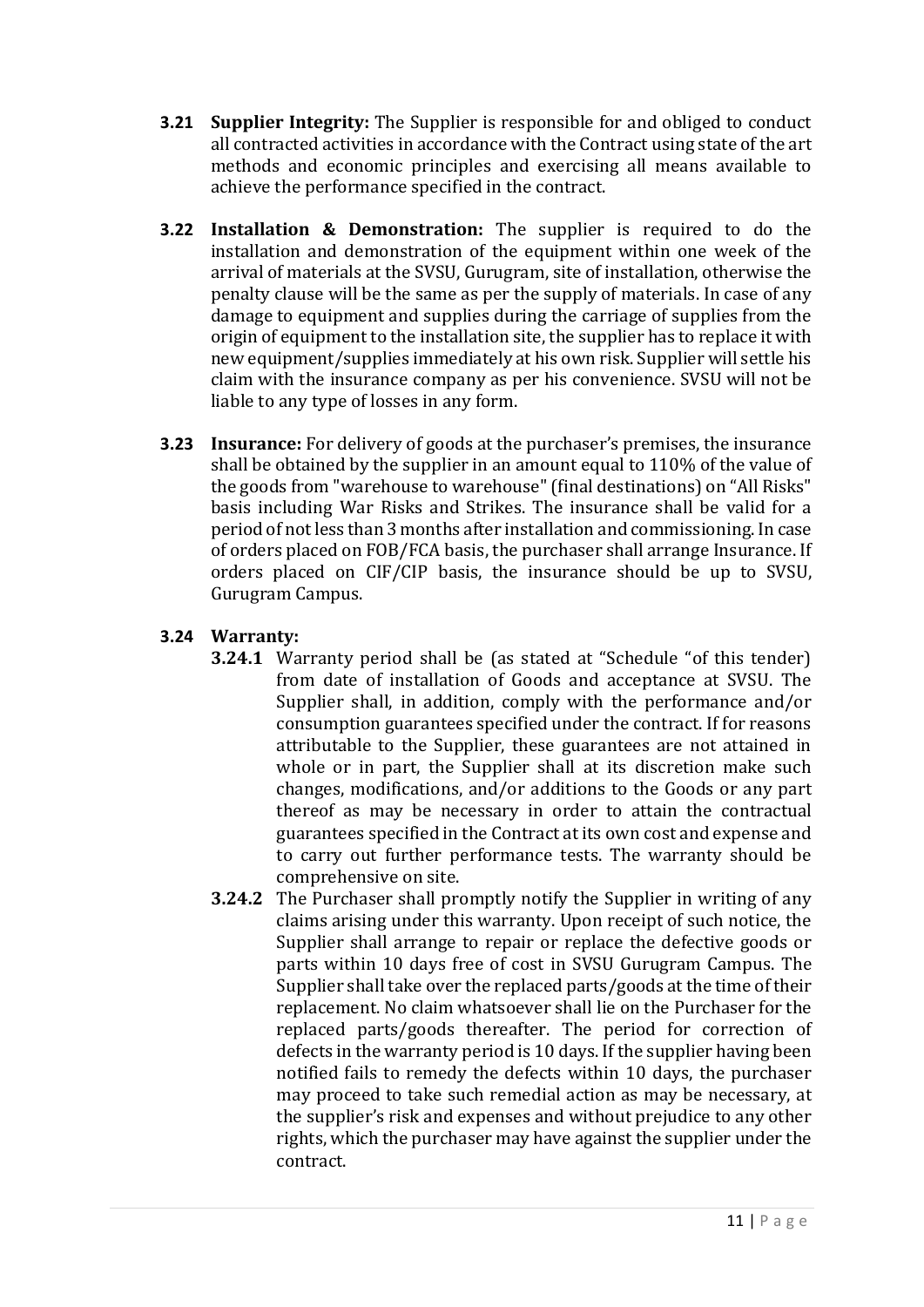- **3.21 Supplier Integrity:** The Supplier is responsible for and obliged to conduct all contracted activities in accordance with the Contract using state of the art methods and economic principles and exercising all means available to achieve the performance specified in the contract.
- **3.22 Installation & Demonstration:** The supplier is required to do the installation and demonstration of the equipment within one week of the arrival of materials at the SVSU, Gurugram, site of installation, otherwise the penalty clause will be the same as per the supply of materials. In case of any damage to equipment and supplies during the carriage of supplies from the origin of equipment to the installation site, the supplier has to replace it with new equipment/supplies immediately at his own risk. Supplier will settle his claim with the insurance company as per his convenience. SVSU will not be liable to any type of losses in any form.
- **3.23 Insurance:** For delivery of goods at the purchaser's premises, the insurance shall be obtained by the supplier in an amount equal to 110% of the value of the goods from "warehouse to warehouse" (final destinations) on "All Risks" basis including War Risks and Strikes. The insurance shall be valid for a period of not less than 3 months after installation and commissioning. In case of orders placed on FOB/FCA basis, the purchaser shall arrange Insurance. If orders placed on CIF/CIP basis, the insurance should be up to SVSU, Gurugram Campus.

# **3.24 Warranty:**

- **3.24.1** Warranty period shall be (as stated at "Schedule "of this tender) from date of installation of Goods and acceptance at SVSU. The Supplier shall, in addition, comply with the performance and/or consumption guarantees specified under the contract. If for reasons attributable to the Supplier, these guarantees are not attained in whole or in part, the Supplier shall at its discretion make such changes, modifications, and/or additions to the Goods or any part thereof as may be necessary in order to attain the contractual guarantees specified in the Contract at its own cost and expense and to carry out further performance tests. The warranty should be comprehensive on site.
- **3.24.2** The Purchaser shall promptly notify the Supplier in writing of any claims arising under this warranty. Upon receipt of such notice, the Supplier shall arrange to repair or replace the defective goods or parts within 10 days free of cost in SVSU Gurugram Campus. The Supplier shall take over the replaced parts/goods at the time of their replacement. No claim whatsoever shall lie on the Purchaser for the replaced parts/goods thereafter. The period for correction of defects in the warranty period is 10 days. If the supplier having been notified fails to remedy the defects within 10 days, the purchaser may proceed to take such remedial action as may be necessary, at the supplier's risk and expenses and without prejudice to any other rights, which the purchaser may have against the supplier under the contract.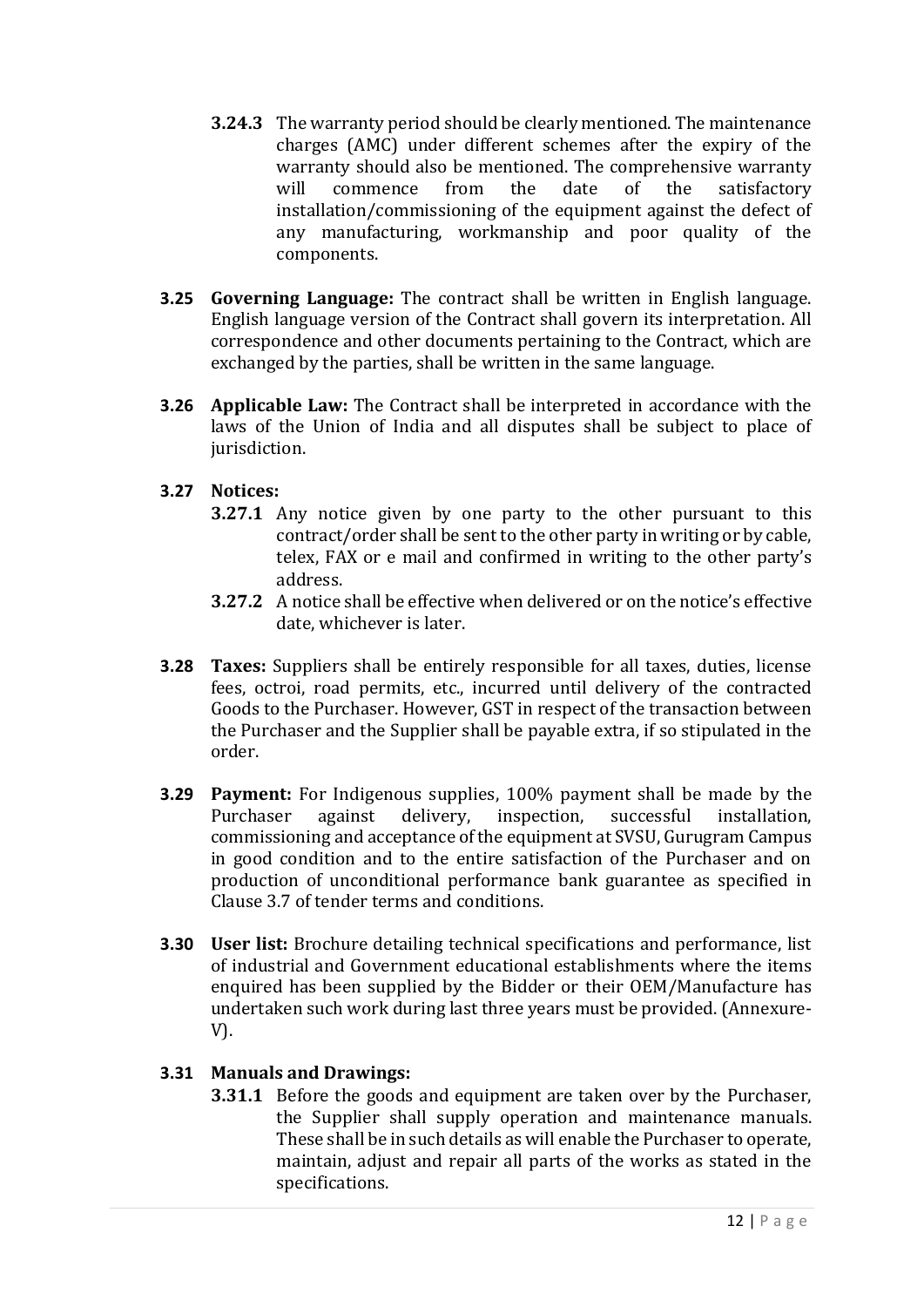- **3.24.3** The warranty period should be clearly mentioned. The maintenance charges (AMC) under different schemes after the expiry of the warranty should also be mentioned. The comprehensive warranty will commence from the date of the satisfactory installation/commissioning of the equipment against the defect of any manufacturing, workmanship and poor quality of the components.
- **3.25 Governing Language:** The contract shall be written in English language. English language version of the Contract shall govern its interpretation. All correspondence and other documents pertaining to the Contract, which are exchanged by the parties, shall be written in the same language.
- **3.26 Applicable Law:** The Contract shall be interpreted in accordance with the laws of the Union of India and all disputes shall be subject to place of jurisdiction.

# **3.27 Notices:**

- **3.27.1** Any notice given by one party to the other pursuant to this contract/order shall be sent to the other party in writing or by cable, telex, FAX or e mail and confirmed in writing to the other party's address.
- **3.27.2** A notice shall be effective when delivered or on the notice's effective date, whichever is later.
- **3.28 Taxes:** Suppliers shall be entirely responsible for all taxes, duties, license fees, octroi, road permits, etc., incurred until delivery of the contracted Goods to the Purchaser. However, GST in respect of the transaction between the Purchaser and the Supplier shall be payable extra, if so stipulated in the order.
- **3.29 Payment:** For Indigenous supplies, 100% payment shall be made by the Purchaser against delivery, inspection, successful installation, commissioning and acceptance of the equipment at SVSU, Gurugram Campus in good condition and to the entire satisfaction of the Purchaser and on production of unconditional performance bank guarantee as specified in Clause 3.7 of tender terms and conditions.
- **3.30 User list:** Brochure detailing technical specifications and performance, list of industrial and Government educational establishments where the items enquired has been supplied by the Bidder or their OEM/Manufacture has undertaken such work during last three years must be provided. (Annexure-V).

# **3.31 Manuals and Drawings:**

**3.31.1** Before the goods and equipment are taken over by the Purchaser, the Supplier shall supply operation and maintenance manuals. These shall be in such details as will enable the Purchaser to operate, maintain, adjust and repair all parts of the works as stated in the specifications.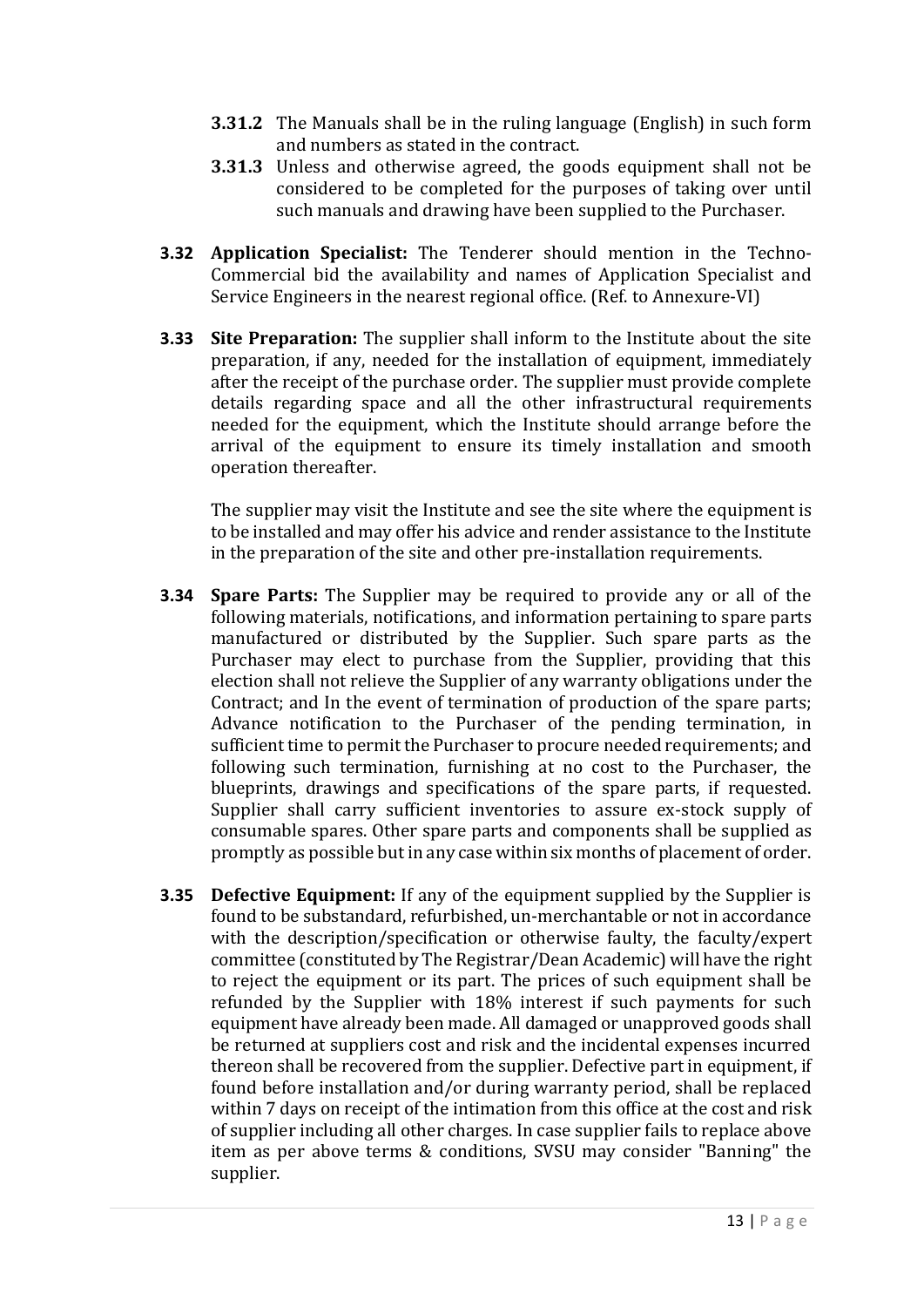- **3.31.2** The Manuals shall be in the ruling language (English) in such form and numbers as stated in the contract.
- **3.31.3** Unless and otherwise agreed, the goods equipment shall not be considered to be completed for the purposes of taking over until such manuals and drawing have been supplied to the Purchaser.
- **3.32 Application Specialist:** The Tenderer should mention in the Techno-Commercial bid the availability and names of Application Specialist and Service Engineers in the nearest regional office. (Ref. to Annexure-VI)
- **3.33 Site Preparation:** The supplier shall inform to the Institute about the site preparation, if any, needed for the installation of equipment, immediately after the receipt of the purchase order. The supplier must provide complete details regarding space and all the other infrastructural requirements needed for the equipment, which the Institute should arrange before the arrival of the equipment to ensure its timely installation and smooth operation thereafter.

The supplier may visit the Institute and see the site where the equipment is to be installed and may offer his advice and render assistance to the Institute in the preparation of the site and other pre-installation requirements.

- **3.34 Spare Parts:** The Supplier may be required to provide any or all of the following materials, notifications, and information pertaining to spare parts manufactured or distributed by the Supplier. Such spare parts as the Purchaser may elect to purchase from the Supplier, providing that this election shall not relieve the Supplier of any warranty obligations under the Contract; and In the event of termination of production of the spare parts; Advance notification to the Purchaser of the pending termination, in sufficient time to permit the Purchaser to procure needed requirements; and following such termination, furnishing at no cost to the Purchaser, the blueprints, drawings and specifications of the spare parts, if requested. Supplier shall carry sufficient inventories to assure ex-stock supply of consumable spares. Other spare parts and components shall be supplied as promptly as possible but in any case within six months of placement of order.
- **3.35 Defective Equipment:** If any of the equipment supplied by the Supplier is found to be substandard, refurbished, un-merchantable or not in accordance with the description/specification or otherwise faulty, the faculty/expert committee (constituted by The Registrar/Dean Academic) will have the right to reject the equipment or its part. The prices of such equipment shall be refunded by the Supplier with 18% interest if such payments for such equipment have already been made. All damaged or unapproved goods shall be returned at suppliers cost and risk and the incidental expenses incurred thereon shall be recovered from the supplier. Defective part in equipment, if found before installation and/or during warranty period, shall be replaced within 7 days on receipt of the intimation from this office at the cost and risk of supplier including all other charges. In case supplier fails to replace above item as per above terms & conditions, SVSU may consider "Banning" the supplier.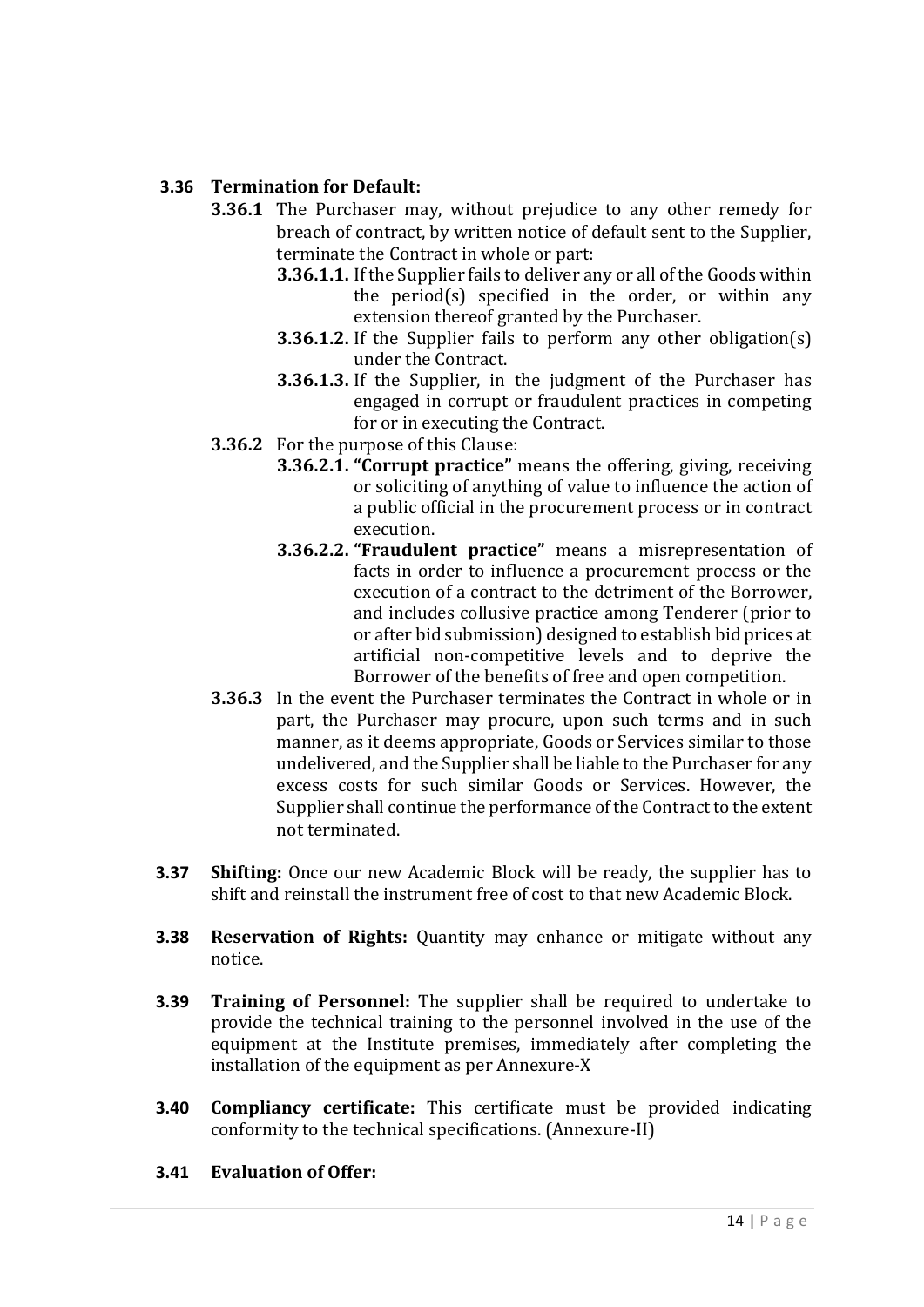#### **3.36 Termination for Default:**

- **3.36.1** The Purchaser may, without prejudice to any other remedy for breach of contract, by written notice of default sent to the Supplier, terminate the Contract in whole or part:
	- **3.36.1.1.** If the Supplier fails to deliver any or all of the Goods within the period(s) specified in the order, or within any extension thereof granted by the Purchaser.
	- **3.36.1.2.** If the Supplier fails to perform any other obligation(s) under the Contract.
	- **3.36.1.3.** If the Supplier, in the judgment of the Purchaser has engaged in corrupt or fraudulent practices in competing for or in executing the Contract.
- **3.36.2** For the purpose of this Clause:
	- **3.36.2.1. "Corrupt practice"** means the offering, giving, receiving or soliciting of anything of value to influence the action of a public official in the procurement process or in contract execution.
	- **3.36.2.2. "Fraudulent practice"** means a misrepresentation of facts in order to influence a procurement process or the execution of a contract to the detriment of the Borrower, and includes collusive practice among Tenderer (prior to or after bid submission) designed to establish bid prices at artificial non-competitive levels and to deprive the Borrower of the benefits of free and open competition.
- **3.36.3** In the event the Purchaser terminates the Contract in whole or in part, the Purchaser may procure, upon such terms and in such manner, as it deems appropriate, Goods or Services similar to those undelivered, and the Supplier shall be liable to the Purchaser for any excess costs for such similar Goods or Services. However, the Supplier shall continue the performance of the Contract to the extent not terminated.
- **3.37 Shifting:** Once our new Academic Block will be ready, the supplier has to shift and reinstall the instrument free of cost to that new Academic Block.
- **3.38 Reservation of Rights:** Quantity may enhance or mitigate without any notice.
- **3.39 Training of Personnel:** The supplier shall be required to undertake to provide the technical training to the personnel involved in the use of the equipment at the Institute premises, immediately after completing the installation of the equipment as per Annexure-X
- **3.40 Compliancy certificate:** This certificate must be provided indicating conformity to the technical specifications. (Annexure-II)

#### **3.41 Evaluation of Offer:**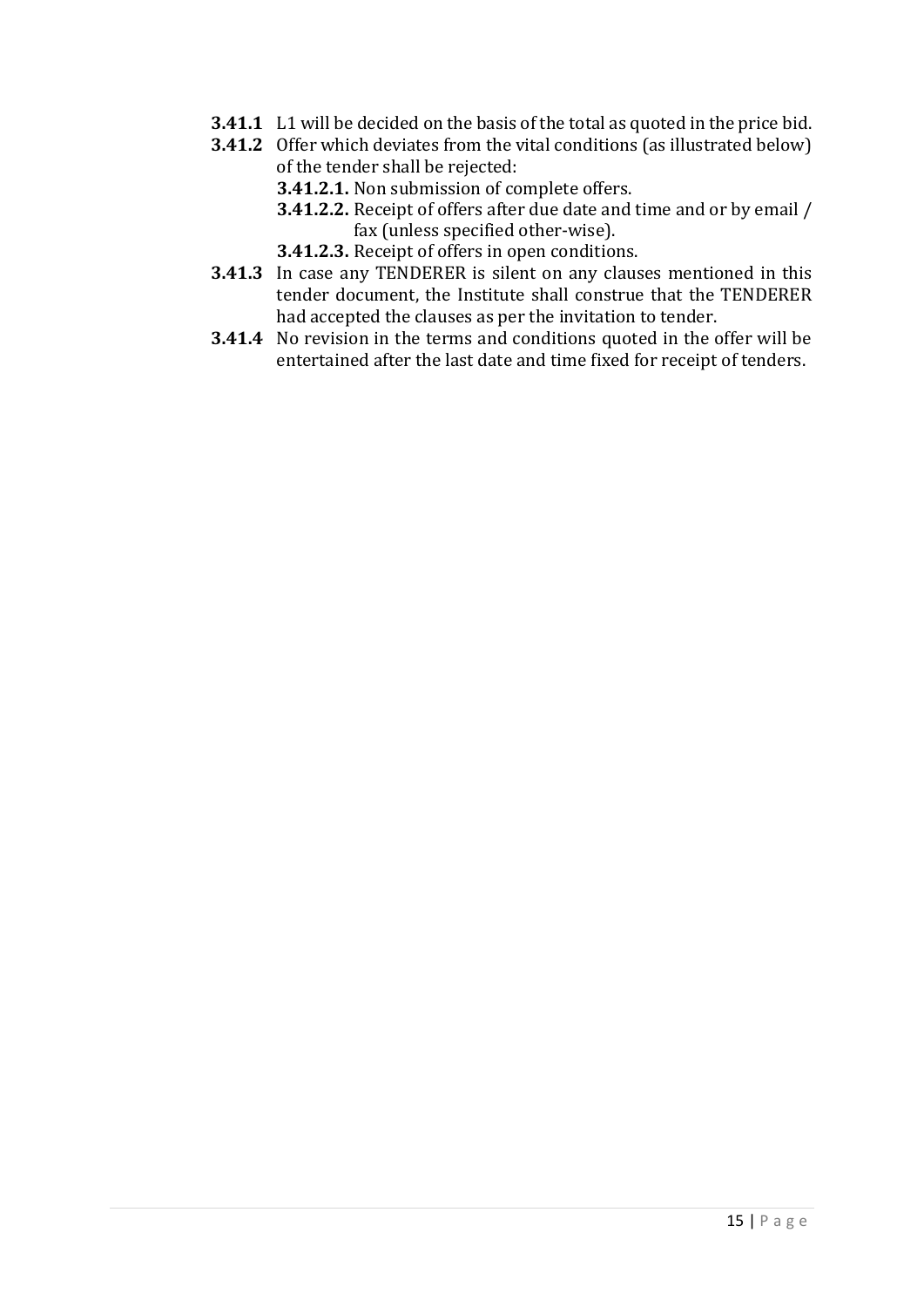- **3.41.1** L1 will be decided on the basis of the total as quoted in the price bid.
- **3.41.2** Offer which deviates from the vital conditions (as illustrated below) of the tender shall be rejected:
	- **3.41.2.1.** Non submission of complete offers.
	- **3.41.2.2.** Receipt of offers after due date and time and or by email / fax (unless specified other-wise).
	- **3.41.2.3.** Receipt of offers in open conditions.
- **3.41.3** In case any TENDERER is silent on any clauses mentioned in this tender document, the Institute shall construe that the TENDERER had accepted the clauses as per the invitation to tender.
- **3.41.4** No revision in the terms and conditions quoted in the offer will be entertained after the last date and time fixed for receipt of tenders.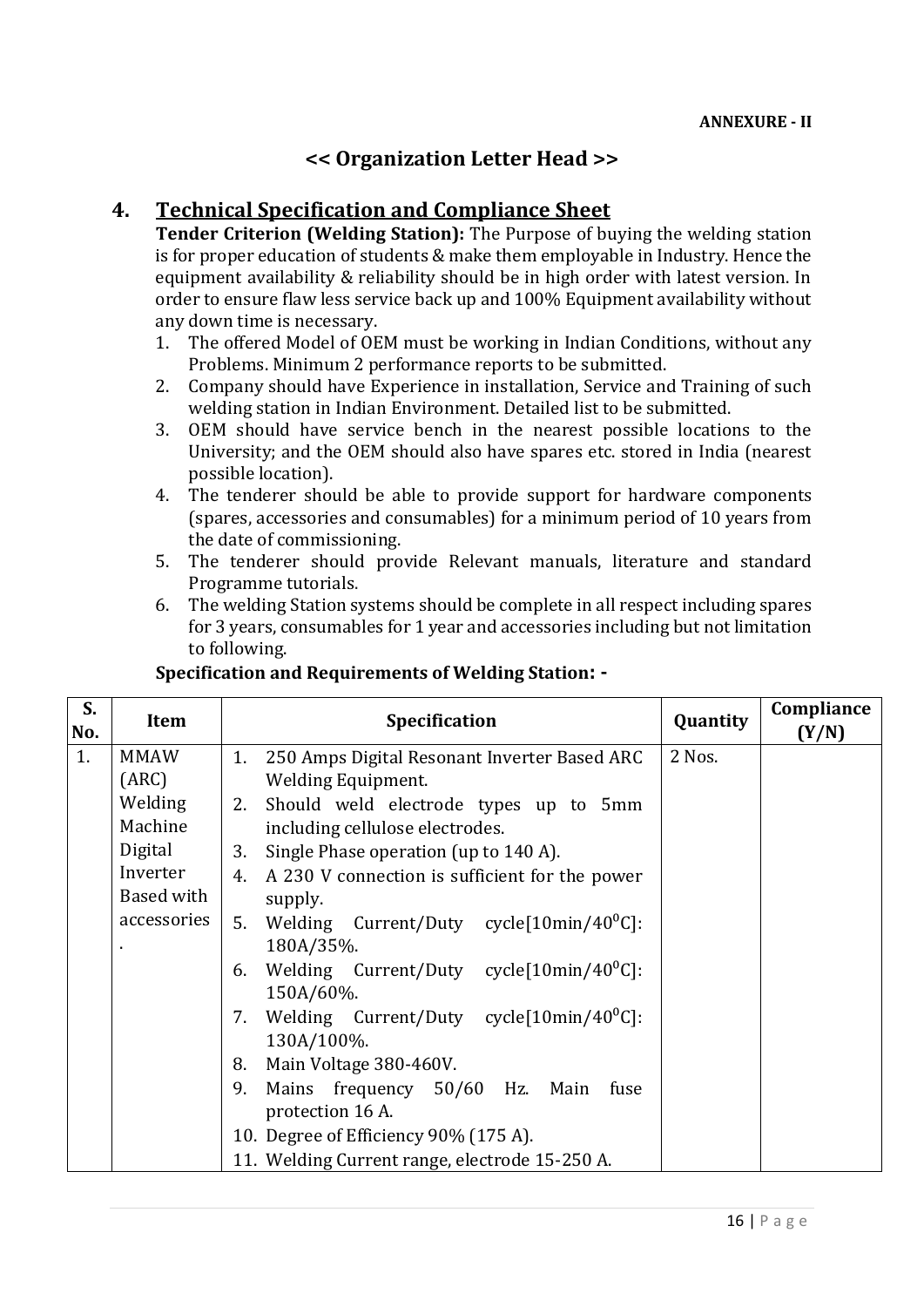# **<< Organization Letter Head >>**

# **4. Technical Specification and Compliance Sheet**

**Tender Criterion (Welding Station):** The Purpose of buying the welding station is for proper education of students & make them employable in Industry. Hence the equipment availability & reliability should be in high order with latest version. In order to ensure flaw less service back up and 100% Equipment availability without any down time is necessary.

- 1. The offered Model of OEM must be working in Indian Conditions, without any Problems. Minimum 2 performance reports to be submitted.
- 2. Company should have Experience in installation, Service and Training of such welding station in Indian Environment. Detailed list to be submitted.
- 3. OEM should have service bench in the nearest possible locations to the University; and the OEM should also have spares etc. stored in India (nearest possible location).
- 4. The tenderer should be able to provide support for hardware components (spares, accessories and consumables) for a minimum period of 10 years from the date of commissioning.
- 5. The tenderer should provide Relevant manuals, literature and standard Programme tutorials.
- 6. The welding Station systems should be complete in all respect including spares for 3 years, consumables for 1 year and accessories including but not limitation to following.

| S.<br>No. | Item        | <b>Specification</b>                                           | Quantity | Compliance<br>(Y/N) |
|-----------|-------------|----------------------------------------------------------------|----------|---------------------|
| 1.        | <b>MMAW</b> | 1.<br>250 Amps Digital Resonant Inverter Based ARC             | 2 Nos.   |                     |
|           | (ARC)       | <b>Welding Equipment.</b>                                      |          |                     |
|           | Welding     | Should weld electrode types up to 5mm<br>2.                    |          |                     |
|           | Machine     | including cellulose electrodes.                                |          |                     |
|           | Digital     | Single Phase operation (up to 140 A).<br>3.                    |          |                     |
|           | Inverter    | A 230 V connection is sufficient for the power<br>4.           |          |                     |
|           | Based with  | supply.                                                        |          |                     |
|           | accessories | Welding Current/Duty cycle[10min/40 <sup>o</sup> C]:<br>5.     |          |                     |
|           |             | 180A/35%.                                                      |          |                     |
|           |             | Welding Current/Duty cycle $[10$ min/40 <sup>o</sup> C]:<br>6. |          |                     |
|           |             | 150A/60%.                                                      |          |                     |
|           |             | Welding Current/Duty cycle $[10$ min/40 <sup>o</sup> C]:<br>7. |          |                     |
|           |             | 130A/100%.                                                     |          |                     |
|           |             | Main Voltage 380-460V.<br>8.                                   |          |                     |
|           |             | Mains frequency 50/60 Hz. Main<br>9.<br>fuse                   |          |                     |
|           |             | protection 16 A.                                               |          |                     |
|           |             | 10. Degree of Efficiency 90% (175 A).                          |          |                     |
|           |             | 11. Welding Current range, electrode 15-250 A.                 |          |                     |

# **Specification and Requirements of Welding Station: -**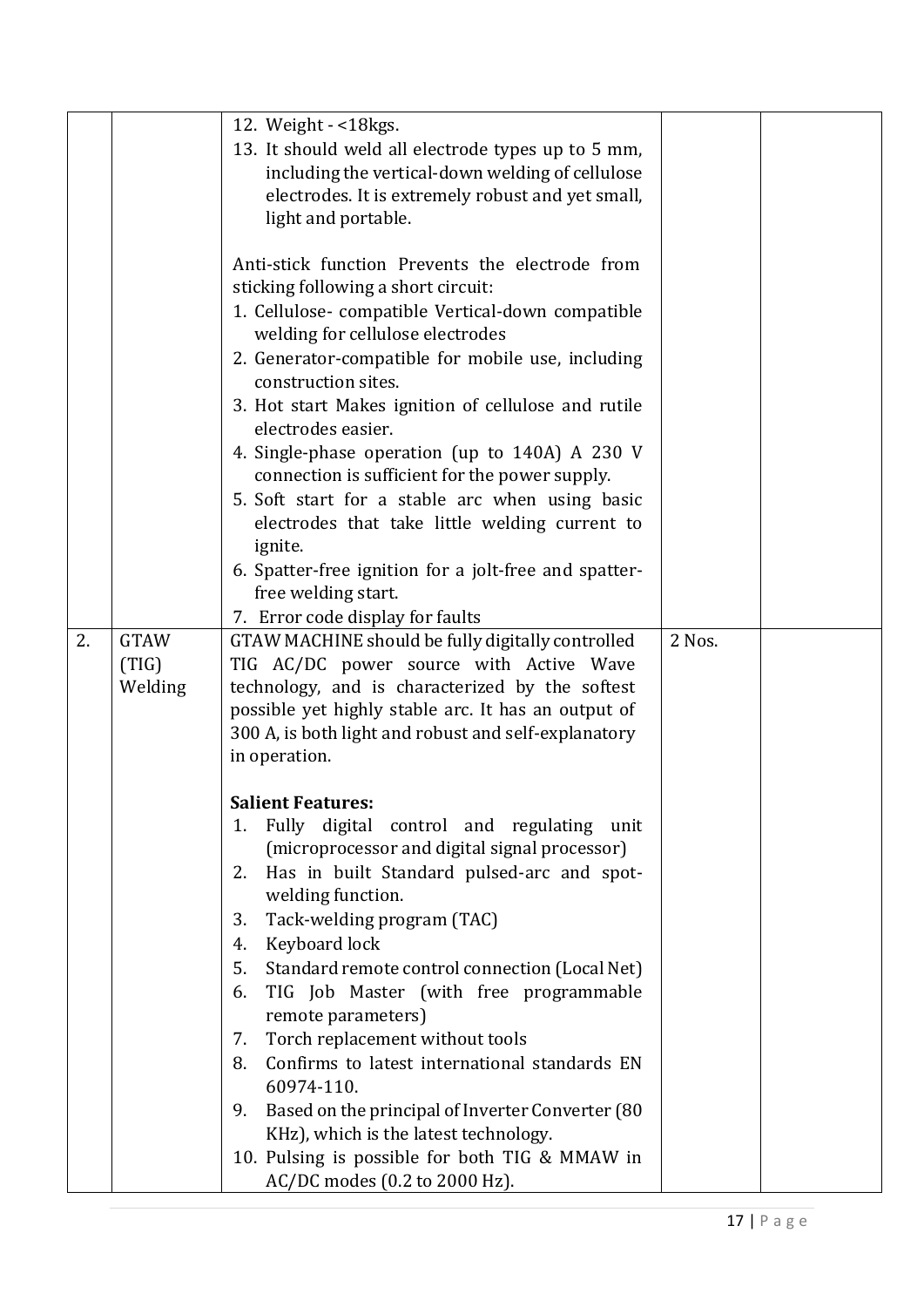|    |                                 | 12. Weight - <18kgs.<br>13. It should weld all electrode types up to 5 mm,<br>including the vertical-down welding of cellulose<br>electrodes. It is extremely robust and yet small,<br>light and portable.                                                                                                                                                                                                                                                                                                                                                                                                                                                                                                                                                                                                                                                                                                                             |        |  |
|----|---------------------------------|----------------------------------------------------------------------------------------------------------------------------------------------------------------------------------------------------------------------------------------------------------------------------------------------------------------------------------------------------------------------------------------------------------------------------------------------------------------------------------------------------------------------------------------------------------------------------------------------------------------------------------------------------------------------------------------------------------------------------------------------------------------------------------------------------------------------------------------------------------------------------------------------------------------------------------------|--------|--|
|    |                                 | Anti-stick function Prevents the electrode from<br>sticking following a short circuit:<br>1. Cellulose- compatible Vertical-down compatible<br>welding for cellulose electrodes<br>2. Generator-compatible for mobile use, including<br>construction sites.<br>3. Hot start Makes ignition of cellulose and rutile<br>electrodes easier.<br>4. Single-phase operation (up to 140A) A 230 V<br>connection is sufficient for the power supply.<br>5. Soft start for a stable arc when using basic<br>electrodes that take little welding current to<br>ignite.<br>6. Spatter-free ignition for a jolt-free and spatter-<br>free welding start.                                                                                                                                                                                                                                                                                           |        |  |
| 2. | <b>GTAW</b><br>(TIG)<br>Welding | 7. Error code display for faults<br>GTAW MACHINE should be fully digitally controlled<br>TIG AC/DC power source with Active Wave<br>technology, and is characterized by the softest<br>possible yet highly stable arc. It has an output of<br>300 A, is both light and robust and self-explanatory<br>in operation.<br><b>Salient Features:</b><br>Fully digital control and regulating unit<br>1.<br>(microprocessor and digital signal processor)<br>Has in built Standard pulsed-arc and spot-<br>2.<br>welding function.<br>Tack-welding program (TAC)<br>3.<br>Keyboard lock<br>4.<br>Standard remote control connection (Local Net)<br>5.<br>TIG Job Master (with free programmable<br>6.<br>remote parameters)<br>Torch replacement without tools<br>7.<br>Confirms to latest international standards EN<br>8.<br>60974-110.<br>Based on the principal of Inverter Converter (80<br>9.<br>KHz), which is the latest technology. | 2 Nos. |  |
|    |                                 | 10. Pulsing is possible for both TIG & MMAW in<br>AC/DC modes (0.2 to 2000 Hz).                                                                                                                                                                                                                                                                                                                                                                                                                                                                                                                                                                                                                                                                                                                                                                                                                                                        |        |  |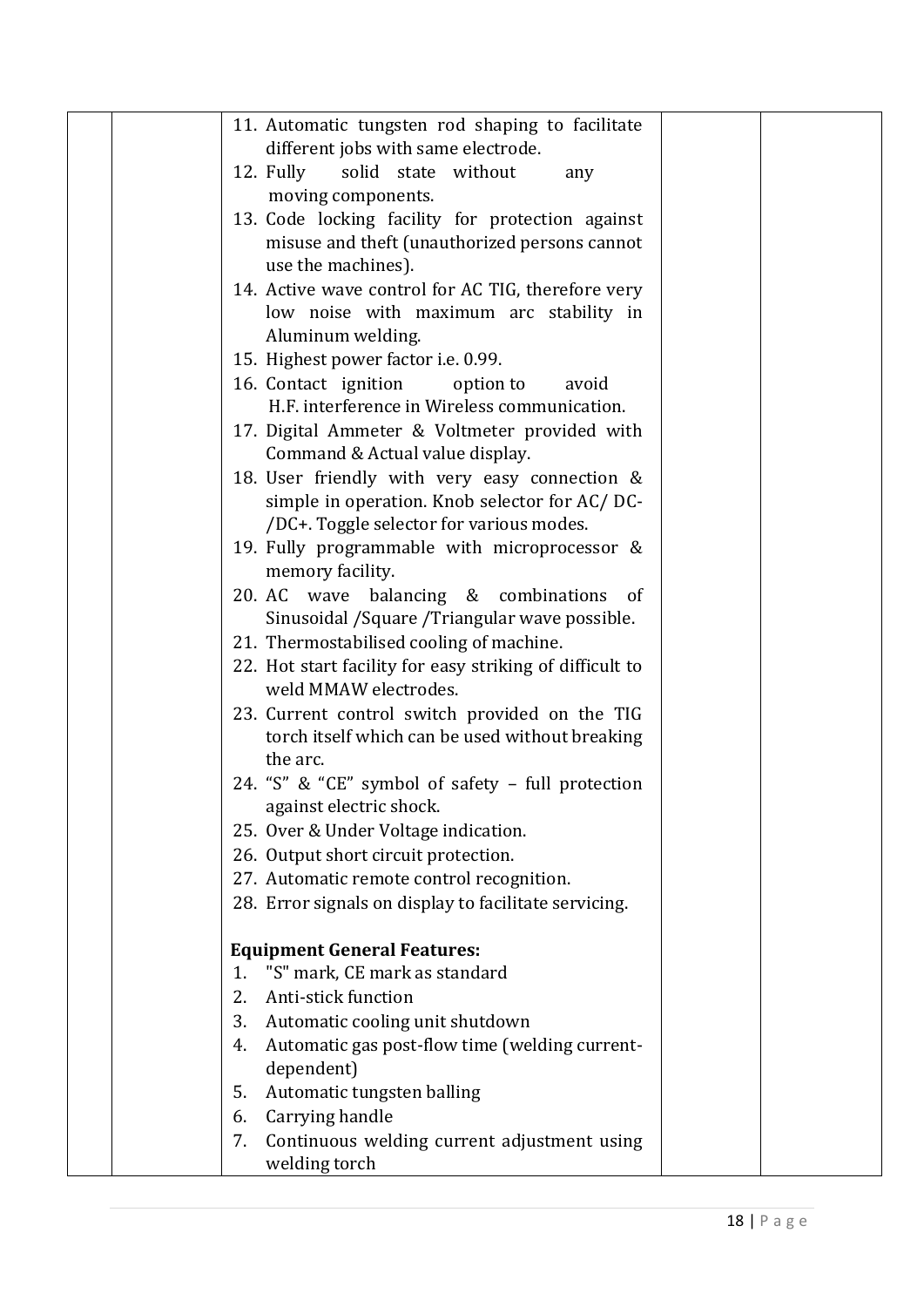|  | 11. Automatic tungsten rod shaping to facilitate            |
|--|-------------------------------------------------------------|
|  | different jobs with same electrode.                         |
|  | 12. Fully<br>solid state without<br>any                     |
|  | moving components.                                          |
|  | 13. Code locking facility for protection against            |
|  | misuse and theft (unauthorized persons cannot               |
|  | use the machines).                                          |
|  | 14. Active wave control for AC TIG, therefore very          |
|  | low noise with maximum arc stability in                     |
|  | Aluminum welding.                                           |
|  | 15. Highest power factor i.e. 0.99.                         |
|  | 16. Contact ignition<br>option to<br>avoid                  |
|  | H.F. interference in Wireless communication.                |
|  | 17. Digital Ammeter & Voltmeter provided with               |
|  | Command & Actual value display.                             |
|  | 18. User friendly with very easy connection &               |
|  | simple in operation. Knob selector for AC/DC-               |
|  | /DC+. Toggle selector for various modes.                    |
|  | 19. Fully programmable with microprocessor &                |
|  | memory facility.                                            |
|  | 20. AC wave balancing & combinations<br>- of                |
|  | Sinusoidal / Square / Triangular wave possible.             |
|  | 21. Thermostabilised cooling of machine.                    |
|  | 22. Hot start facility for easy striking of difficult to    |
|  | weld MMAW electrodes.                                       |
|  | 23. Current control switch provided on the TIG              |
|  | torch itself which can be used without breaking<br>the arc. |
|  | 24. "S" & "CE" symbol of safety - full protection           |
|  | against electric shock.                                     |
|  | 25. Over & Under Voltage indication.                        |
|  | 26. Output short circuit protection.                        |
|  | 27. Automatic remote control recognition.                   |
|  | 28. Error signals on display to facilitate servicing.       |
|  |                                                             |
|  | <b>Equipment General Features:</b>                          |
|  | "S" mark, CE mark as standard<br>1.                         |
|  | Anti-stick function<br>2.                                   |
|  | 3.<br>Automatic cooling unit shutdown                       |
|  | Automatic gas post-flow time (welding current-<br>4.        |
|  | dependent)                                                  |
|  | Automatic tungsten balling<br>5.                            |
|  | Carrying handle<br>6.                                       |
|  | 7.<br>Continuous welding current adjustment using           |
|  | welding torch                                               |
|  |                                                             |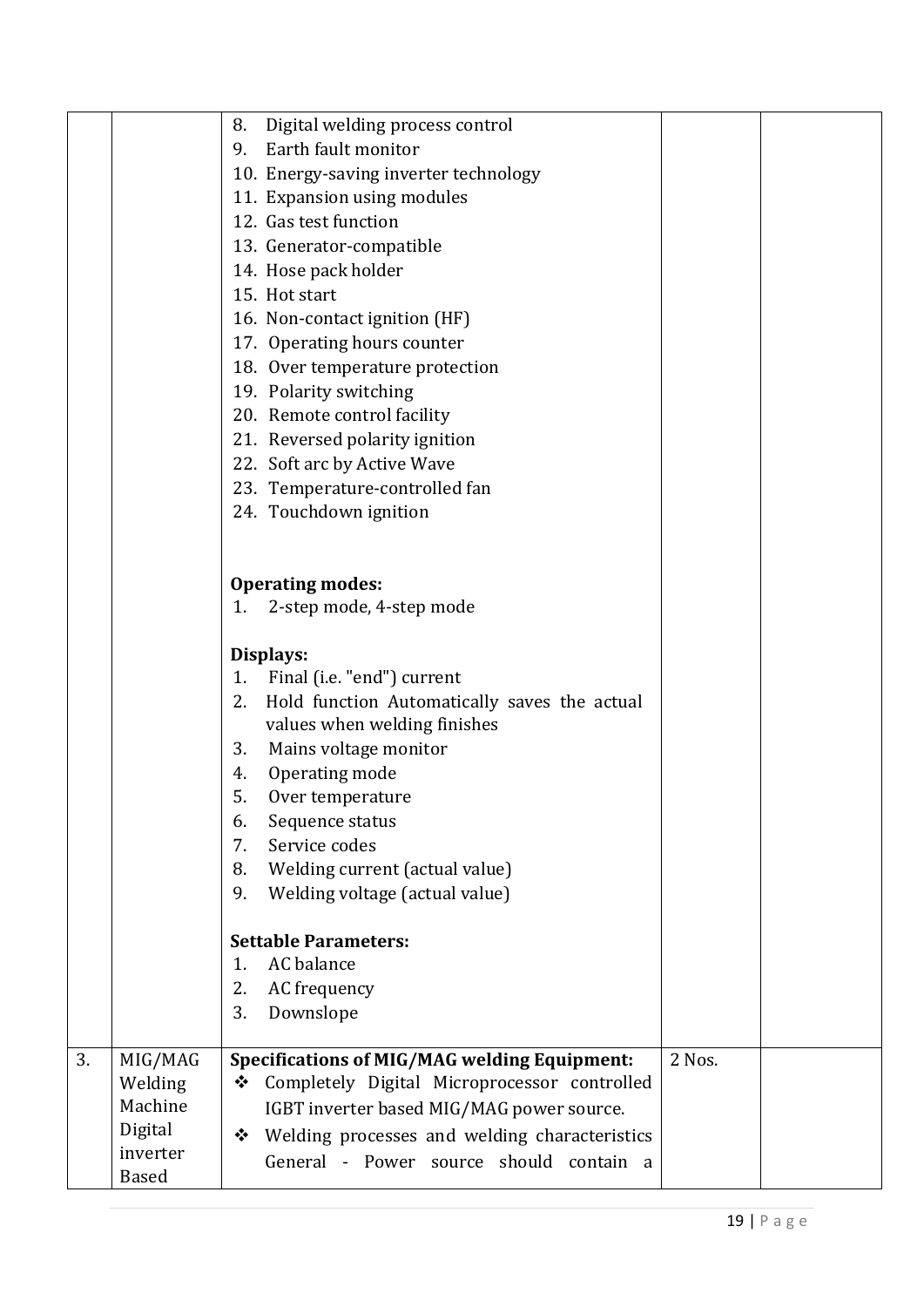|    |              | Digital welding process control<br>8.                         |        |  |
|----|--------------|---------------------------------------------------------------|--------|--|
|    |              | Earth fault monitor<br>9.                                     |        |  |
|    |              | 10. Energy-saving inverter technology                         |        |  |
|    |              | 11. Expansion using modules                                   |        |  |
|    |              | 12. Gas test function                                         |        |  |
|    |              | 13. Generator-compatible                                      |        |  |
|    |              | 14. Hose pack holder                                          |        |  |
|    |              | 15. Hot start                                                 |        |  |
|    |              | 16. Non-contact ignition (HF)                                 |        |  |
|    |              | 17. Operating hours counter                                   |        |  |
|    |              | 18. Over temperature protection                               |        |  |
|    |              | 19. Polarity switching                                        |        |  |
|    |              | 20. Remote control facility                                   |        |  |
|    |              |                                                               |        |  |
|    |              | 21. Reversed polarity ignition<br>22. Soft arc by Active Wave |        |  |
|    |              |                                                               |        |  |
|    |              | 23. Temperature-controlled fan                                |        |  |
|    |              | 24. Touchdown ignition                                        |        |  |
|    |              |                                                               |        |  |
|    |              |                                                               |        |  |
|    |              | <b>Operating modes:</b>                                       |        |  |
|    |              | 2-step mode, 4-step mode<br>1.                                |        |  |
|    |              | Displays:                                                     |        |  |
|    |              | Final (i.e. "end") current<br>1.                              |        |  |
|    |              | Hold function Automatically saves the actual<br>2.            |        |  |
|    |              | values when welding finishes                                  |        |  |
|    |              | Mains voltage monitor<br>3.                                   |        |  |
|    |              | Operating mode<br>4.                                          |        |  |
|    |              | 5.<br>Over temperature                                        |        |  |
|    |              | 6.<br>Sequence status                                         |        |  |
|    |              | Service codes<br>7.                                           |        |  |
|    |              | Welding current (actual value)<br>8.                          |        |  |
|    |              | Welding voltage (actual value)<br>9.                          |        |  |
|    |              |                                                               |        |  |
|    |              | <b>Settable Parameters:</b>                                   |        |  |
|    |              | AC balance<br>1.                                              |        |  |
|    |              | AC frequency<br>2.                                            |        |  |
|    |              | 3.<br>Downslope                                               |        |  |
|    |              |                                                               |        |  |
| 3. | MIG/MAG      | <b>Specifications of MIG/MAG welding Equipment:</b>           | 2 Nos. |  |
|    | Welding      | Completely Digital Microprocessor controlled<br>❖             |        |  |
|    | Machine      | IGBT inverter based MIG/MAG power source.                     |        |  |
|    | Digital      | Welding processes and welding characteristics<br>❖            |        |  |
|    | inverter     | General - Power source should contain a                       |        |  |
|    | <b>Based</b> |                                                               |        |  |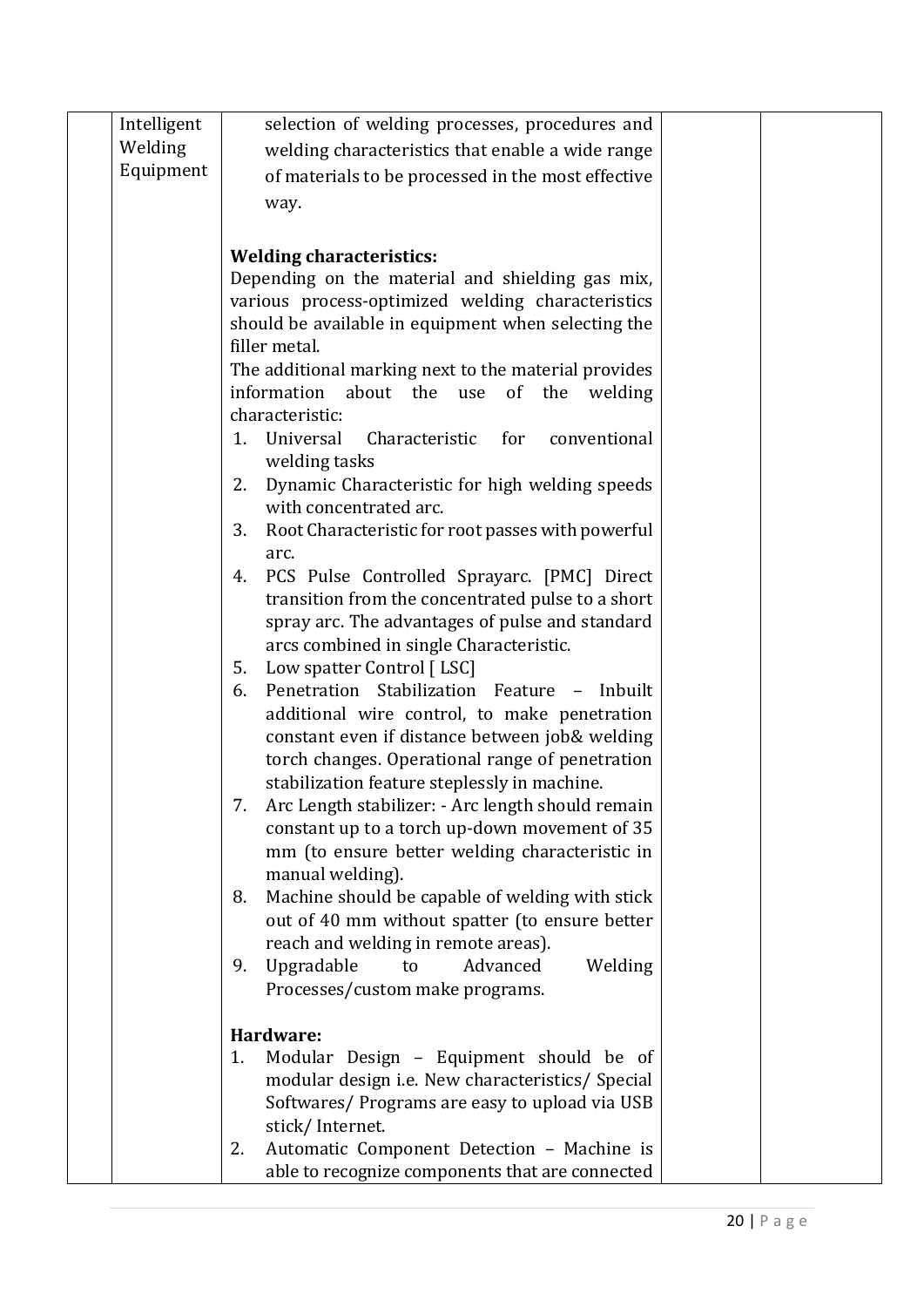| Intelligent | selection of welding processes, procedures and                                                               |  |
|-------------|--------------------------------------------------------------------------------------------------------------|--|
| Welding     | welding characteristics that enable a wide range                                                             |  |
| Equipment   | of materials to be processed in the most effective                                                           |  |
|             | way.                                                                                                         |  |
|             |                                                                                                              |  |
|             | <b>Welding characteristics:</b>                                                                              |  |
|             | Depending on the material and shielding gas mix,                                                             |  |
|             | various process-optimized welding characteristics                                                            |  |
|             | should be available in equipment when selecting the                                                          |  |
|             | filler metal.                                                                                                |  |
|             | The additional marking next to the material provides<br>information<br>about the use<br>of<br>the<br>welding |  |
|             | characteristic:                                                                                              |  |
|             | Universal<br>Characteristic<br>for<br>conventional<br>1.<br>welding tasks                                    |  |
|             | Dynamic Characteristic for high welding speeds<br>2.                                                         |  |
|             | with concentrated arc.<br>Root Characteristic for root passes with powerful<br>3.                            |  |
|             | arc.                                                                                                         |  |
|             | PCS Pulse Controlled Sprayarc. [PMC] Direct<br>4.                                                            |  |
|             | transition from the concentrated pulse to a short                                                            |  |
|             | spray arc. The advantages of pulse and standard                                                              |  |
|             | arcs combined in single Characteristic.                                                                      |  |
|             | Low spatter Control [LSC]<br>5.<br>Penetration Stabilization Feature - Inbuilt<br>6.                         |  |
|             | additional wire control, to make penetration                                                                 |  |
|             | constant even if distance between job& welding                                                               |  |
|             | torch changes. Operational range of penetration                                                              |  |
|             | stabilization feature steplessly in machine.                                                                 |  |
|             | Arc Length stabilizer: - Arc length should remain<br>7.                                                      |  |
|             | constant up to a torch up-down movement of 35                                                                |  |
|             | mm (to ensure better welding characteristic in                                                               |  |
|             | manual welding).<br>Machine should be capable of welding with stick<br>8.                                    |  |
|             | out of 40 mm without spatter (to ensure better                                                               |  |
|             | reach and welding in remote areas).                                                                          |  |
|             | Upgradable<br>Advanced<br>9.<br>to<br>Welding                                                                |  |
|             | Processes/custom make programs.                                                                              |  |
|             | Hardware:                                                                                                    |  |
|             | Modular Design - Equipment should be of<br>1.                                                                |  |
|             | modular design i.e. New characteristics/ Special                                                             |  |
|             | Softwares/ Programs are easy to upload via USB                                                               |  |
|             | stick/Internet.                                                                                              |  |
|             | Automatic Component Detection - Machine is<br>2.                                                             |  |
|             | able to recognize components that are connected                                                              |  |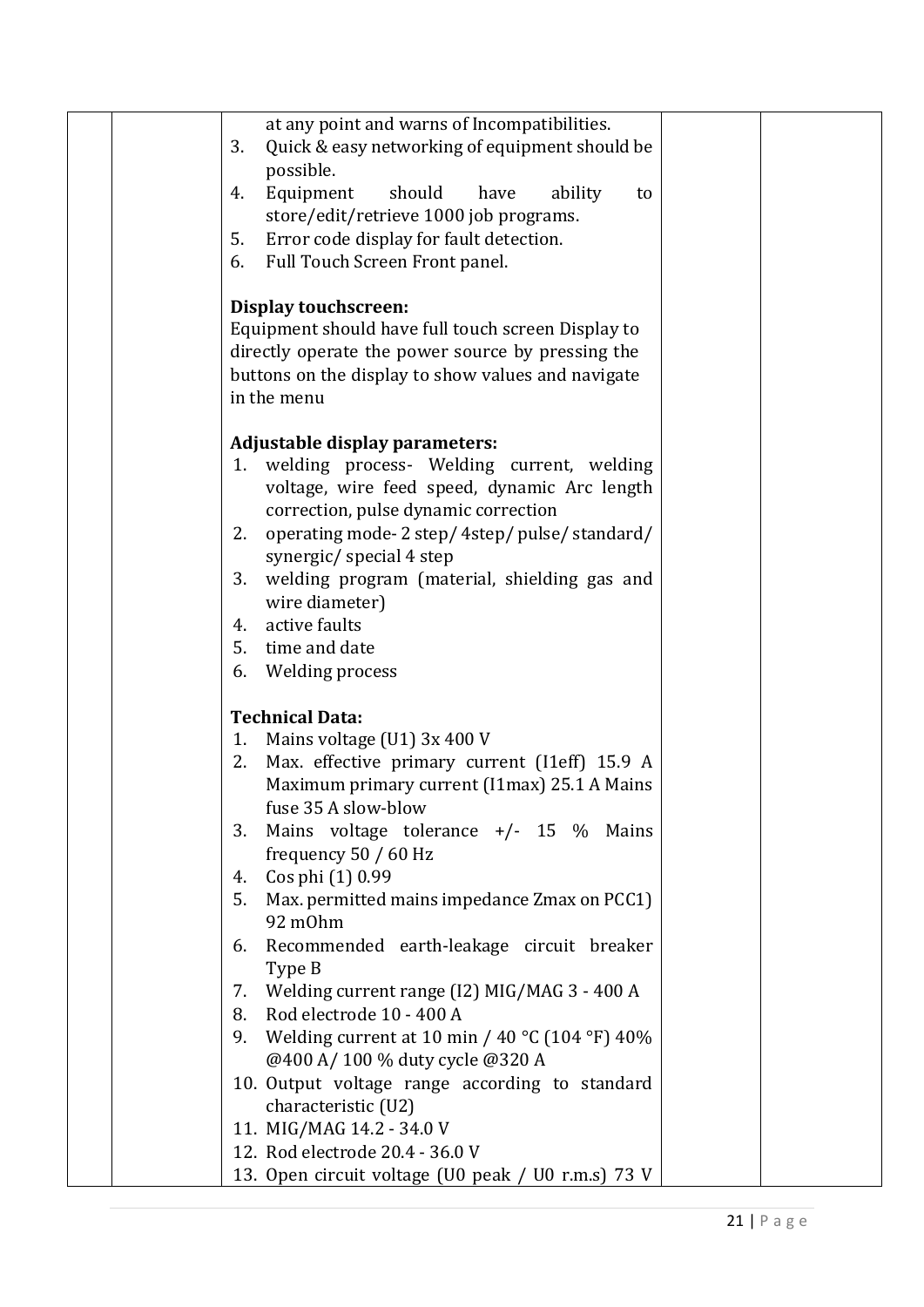| at any point and warns of Incompatibilities.                                                                                                                                                                                                                                                                                                                                      |  |
|-----------------------------------------------------------------------------------------------------------------------------------------------------------------------------------------------------------------------------------------------------------------------------------------------------------------------------------------------------------------------------------|--|
| 3.<br>Quick & easy networking of equipment should be                                                                                                                                                                                                                                                                                                                              |  |
|                                                                                                                                                                                                                                                                                                                                                                                   |  |
| possible.                                                                                                                                                                                                                                                                                                                                                                         |  |
| Equipment<br>should<br>have<br>ability<br>to<br>4.                                                                                                                                                                                                                                                                                                                                |  |
| store/edit/retrieve 1000 job programs.                                                                                                                                                                                                                                                                                                                                            |  |
| 5.<br>Error code display for fault detection.                                                                                                                                                                                                                                                                                                                                     |  |
| Full Touch Screen Front panel.<br>6.                                                                                                                                                                                                                                                                                                                                              |  |
| Display touchscreen:                                                                                                                                                                                                                                                                                                                                                              |  |
| Equipment should have full touch screen Display to                                                                                                                                                                                                                                                                                                                                |  |
| directly operate the power source by pressing the                                                                                                                                                                                                                                                                                                                                 |  |
| buttons on the display to show values and navigate                                                                                                                                                                                                                                                                                                                                |  |
| in the menu                                                                                                                                                                                                                                                                                                                                                                       |  |
|                                                                                                                                                                                                                                                                                                                                                                                   |  |
| Adjustable display parameters:                                                                                                                                                                                                                                                                                                                                                    |  |
| welding process- Welding current, welding<br>1.                                                                                                                                                                                                                                                                                                                                   |  |
| voltage, wire feed speed, dynamic Arc length                                                                                                                                                                                                                                                                                                                                      |  |
| correction, pulse dynamic correction                                                                                                                                                                                                                                                                                                                                              |  |
| operating mode-2 step/4step/pulse/standard/<br>2.                                                                                                                                                                                                                                                                                                                                 |  |
| synergic/special 4 step                                                                                                                                                                                                                                                                                                                                                           |  |
| welding program (material, shielding gas and<br>3.                                                                                                                                                                                                                                                                                                                                |  |
| wire diameter)                                                                                                                                                                                                                                                                                                                                                                    |  |
| active faults<br>4.                                                                                                                                                                                                                                                                                                                                                               |  |
| time and date<br>5.                                                                                                                                                                                                                                                                                                                                                               |  |
| Welding process<br>6.                                                                                                                                                                                                                                                                                                                                                             |  |
|                                                                                                                                                                                                                                                                                                                                                                                   |  |
| <b>Technical Data:</b>                                                                                                                                                                                                                                                                                                                                                            |  |
| Mains voltage (U1) 3x 400 V<br>1.                                                                                                                                                                                                                                                                                                                                                 |  |
| Max. effective primary current (I1eff) 15.9 A<br>2.                                                                                                                                                                                                                                                                                                                               |  |
| Maximum primary current (I1max) 25.1 A Mains                                                                                                                                                                                                                                                                                                                                      |  |
| fuse 35 A slow-blow                                                                                                                                                                                                                                                                                                                                                               |  |
| Mains voltage tolerance +/- 15 % Mains<br>3.                                                                                                                                                                                                                                                                                                                                      |  |
| frequency 50 / 60 Hz                                                                                                                                                                                                                                                                                                                                                              |  |
| Cos phi (1) 0.99<br>4.                                                                                                                                                                                                                                                                                                                                                            |  |
| Max. permitted mains impedance Zmax on PCC1)<br>5.                                                                                                                                                                                                                                                                                                                                |  |
| 92 m0hm                                                                                                                                                                                                                                                                                                                                                                           |  |
| Recommended earth-leakage circuit breaker<br>6.                                                                                                                                                                                                                                                                                                                                   |  |
|                                                                                                                                                                                                                                                                                                                                                                                   |  |
| 7.                                                                                                                                                                                                                                                                                                                                                                                |  |
|                                                                                                                                                                                                                                                                                                                                                                                   |  |
|                                                                                                                                                                                                                                                                                                                                                                                   |  |
|                                                                                                                                                                                                                                                                                                                                                                                   |  |
|                                                                                                                                                                                                                                                                                                                                                                                   |  |
|                                                                                                                                                                                                                                                                                                                                                                                   |  |
|                                                                                                                                                                                                                                                                                                                                                                                   |  |
|                                                                                                                                                                                                                                                                                                                                                                                   |  |
|                                                                                                                                                                                                                                                                                                                                                                                   |  |
| Type B<br>Welding current range (I2) MIG/MAG 3 - 400 A<br>Rod electrode 10 - 400 A<br>8.<br>Welding current at 10 min / 40 °C (104 °F) 40%<br>9.<br>@400 A/100 % duty cycle @320 A<br>10. Output voltage range according to standard<br>characteristic (U2)<br>11. MIG/MAG 14.2 - 34.0 V<br>12. Rod electrode 20.4 - 36.0 V<br>13. Open circuit voltage (U0 peak / U0 r.m.s) 73 V |  |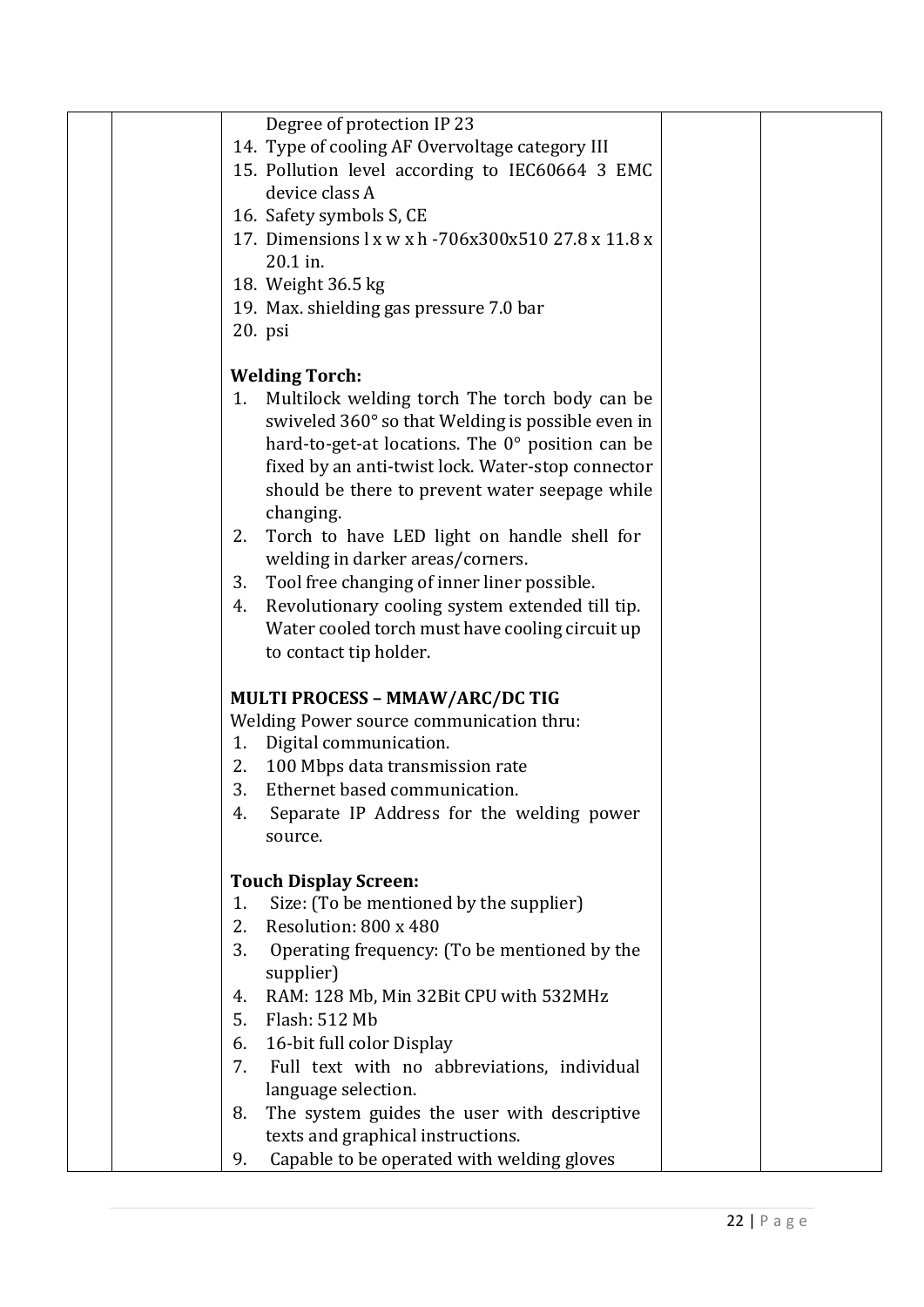|    | Degree of protection IP 23                           |  |
|----|------------------------------------------------------|--|
|    | 14. Type of cooling AF Overvoltage category III      |  |
|    | 15. Pollution level according to IEC60664 3 EMC      |  |
|    | device class A                                       |  |
|    |                                                      |  |
|    | 16. Safety symbols S, CE                             |  |
|    | 17. Dimensions 1 x w x h - 706x300x510 27.8 x 11.8 x |  |
|    | 20.1 in.                                             |  |
|    | 18. Weight 36.5 kg                                   |  |
|    | 19. Max. shielding gas pressure 7.0 bar              |  |
|    | $20.$ psi                                            |  |
|    | <b>Welding Torch:</b>                                |  |
| 1. | Multilock welding torch The torch body can be        |  |
|    | swiveled 360° so that Welding is possible even in    |  |
|    | hard-to-get-at locations. The 0° position can be     |  |
|    | fixed by an anti-twist lock. Water-stop connector    |  |
|    | should be there to prevent water seepage while       |  |
|    | changing.                                            |  |
| 2. | Torch to have LED light on handle shell for          |  |
|    | welding in darker areas/corners.                     |  |
| 3. | Tool free changing of inner liner possible.          |  |
| 4. | Revolutionary cooling system extended till tip.      |  |
|    | Water cooled torch must have cooling circuit up      |  |
|    | to contact tip holder.                               |  |
|    |                                                      |  |
|    | MULTI PROCESS - MMAW/ARC/DC TIG                      |  |
|    | Welding Power source communication thru:             |  |
| 1. | Digital communication.                               |  |
|    | 2. 100 Mbps data transmission rate                   |  |
| 3. | Ethernet based communication.                        |  |
| 4. | Separate IP Address for the welding power            |  |
|    | source.                                              |  |
|    |                                                      |  |
|    | <b>Touch Display Screen:</b>                         |  |
| 1. | Size: (To be mentioned by the supplier)              |  |
| 2. | Resolution: 800 x 480                                |  |
| 3. | Operating frequency: (To be mentioned by the         |  |
|    | supplier)                                            |  |
| 4. | RAM: 128 Mb, Min 32Bit CPU with 532MHz               |  |
| 5. | Flash: 512 Mb                                        |  |
| 6. | 16-bit full color Display                            |  |
| 7. | Full text with no abbreviations, individual          |  |
|    | language selection.                                  |  |
| 8. | The system guides the user with descriptive          |  |
|    | texts and graphical instructions.                    |  |
| 9. | Capable to be operated with welding gloves           |  |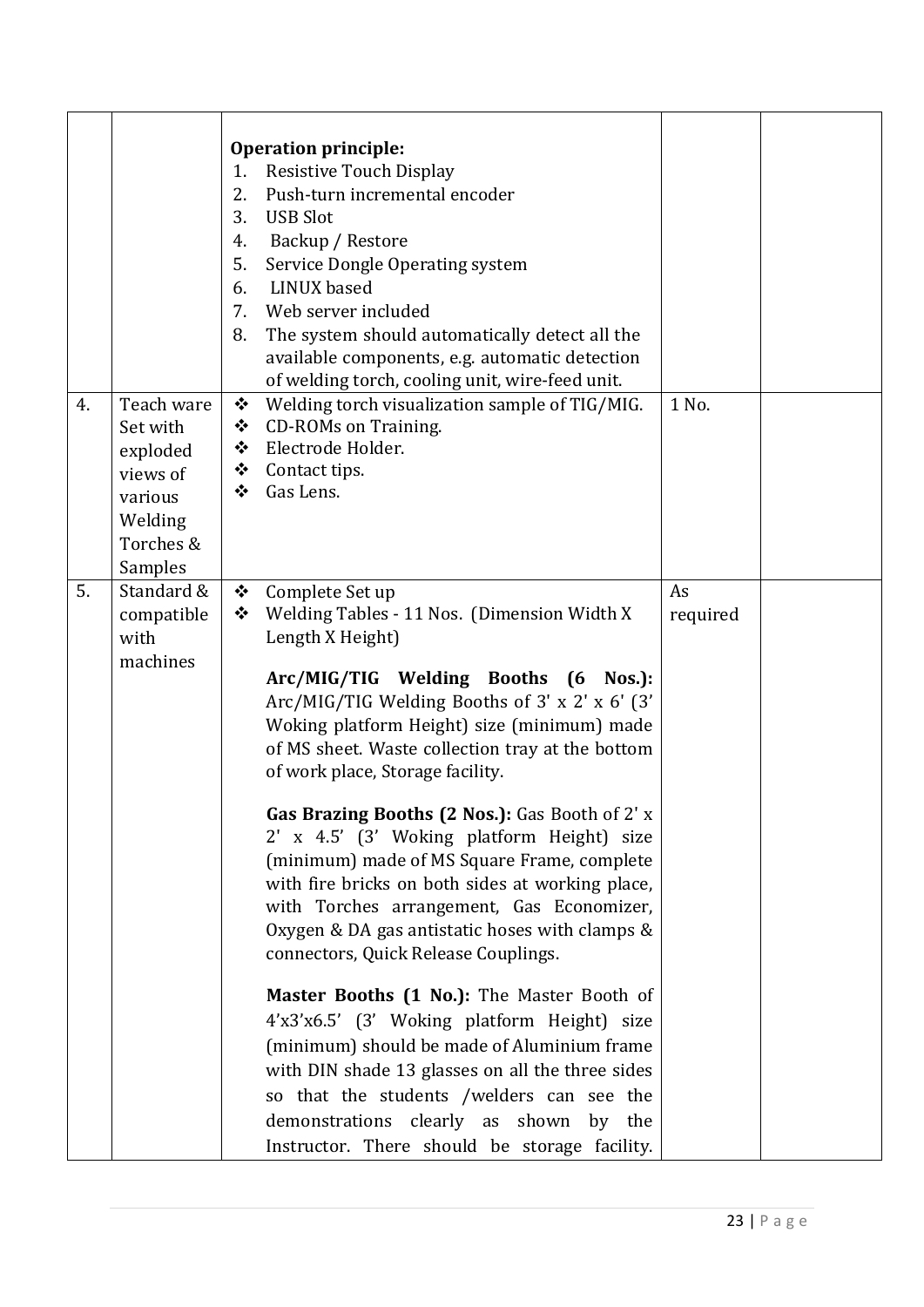|    |                                                                                              | <b>Operation principle:</b><br>Resistive Touch Display<br>1.<br>Push-turn incremental encoder<br>2.<br>3.<br><b>USB Slot</b><br>Backup / Restore<br>4.<br>5.<br>Service Dongle Operating system<br>LINUX based<br>6.<br>Web server included<br>7.<br>The system should automatically detect all the<br>8.<br>available components, e.g. automatic detection<br>of welding torch, cooling unit, wire-feed unit.                                                                                                                                                                                                                                                                                                                                                                                                                                                                                                                                                                                                     |                |  |
|----|----------------------------------------------------------------------------------------------|--------------------------------------------------------------------------------------------------------------------------------------------------------------------------------------------------------------------------------------------------------------------------------------------------------------------------------------------------------------------------------------------------------------------------------------------------------------------------------------------------------------------------------------------------------------------------------------------------------------------------------------------------------------------------------------------------------------------------------------------------------------------------------------------------------------------------------------------------------------------------------------------------------------------------------------------------------------------------------------------------------------------|----------------|--|
| 4. | Teach ware<br>Set with<br>exploded<br>views of<br>various<br>Welding<br>Torches &<br>Samples | Welding torch visualization sample of TIG/MIG.<br>❖<br><b>CD-ROMs on Training.</b><br>❖<br>Electrode Holder.<br>❖<br>Contact tips.<br>❖<br>Gas Lens.<br>❖                                                                                                                                                                                                                                                                                                                                                                                                                                                                                                                                                                                                                                                                                                                                                                                                                                                          | 1 No.          |  |
| 5. | Standard &<br>compatible<br>with<br>machines                                                 | Complete Set up<br>❖<br>Welding Tables - 11 Nos. (Dimension Width X<br>❖<br>Length X Height)<br>Arc/MIG/TIG Welding Booths (6 Nos.):<br>Arc/MIG/TIG Welding Booths of 3' x 2' x 6' (3'<br>Woking platform Height) size (minimum) made<br>of MS sheet. Waste collection tray at the bottom<br>of work place, Storage facility.<br>Gas Brazing Booths (2 Nos.): Gas Booth of 2' x<br>2' x 4.5' (3' Woking platform Height) size<br>(minimum) made of MS Square Frame, complete<br>with fire bricks on both sides at working place,<br>with Torches arrangement, Gas Economizer,<br>Oxygen & DA gas antistatic hoses with clamps &<br>connectors, Quick Release Couplings.<br>Master Booths (1 No.): The Master Booth of<br>4'x3'x6.5' (3' Woking platform Height) size<br>(minimum) should be made of Aluminium frame<br>with DIN shade 13 glasses on all the three sides<br>so that the students /welders can see the<br>demonstrations clearly as shown<br>by the<br>Instructor. There should be storage facility. | As<br>required |  |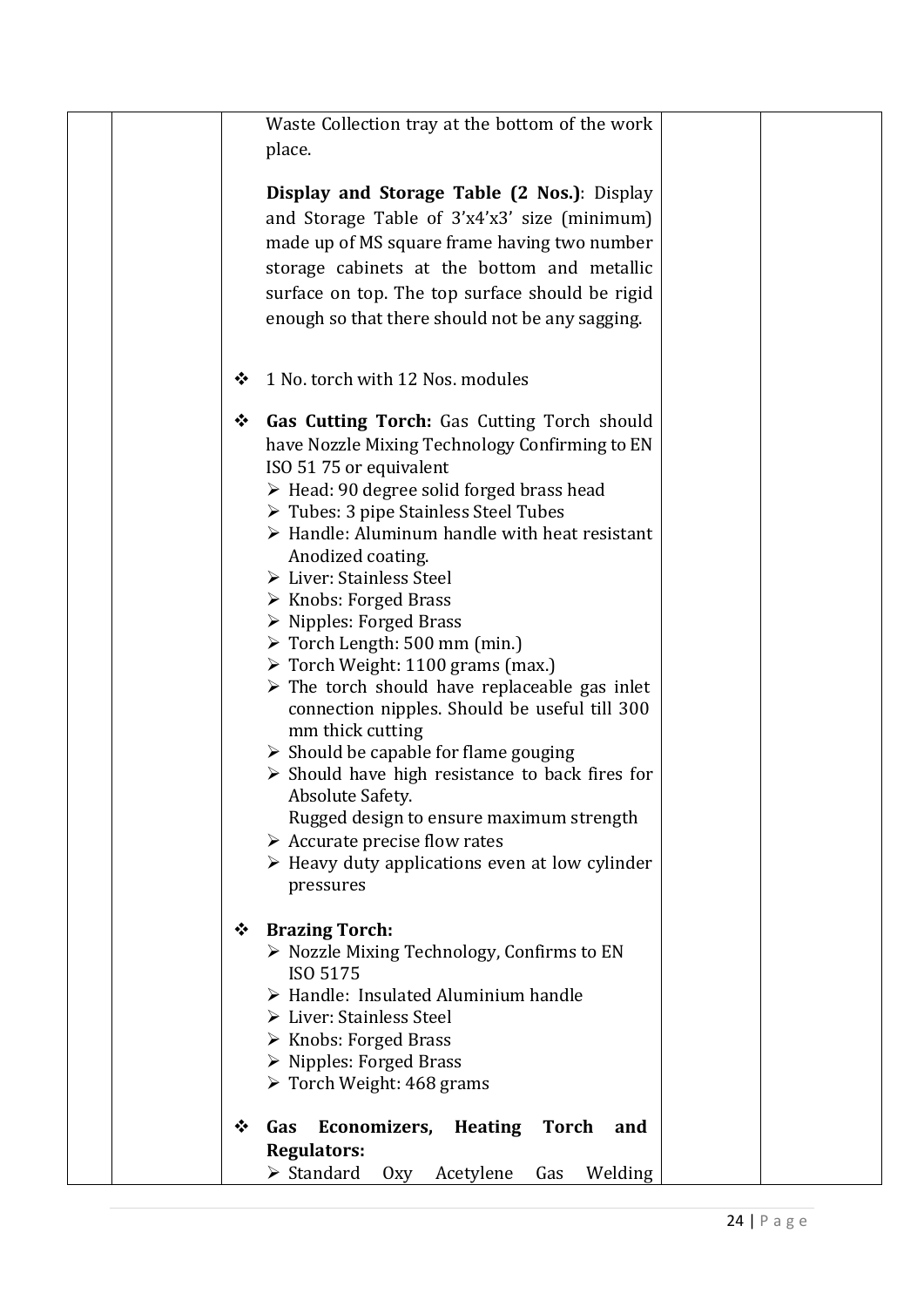| Waste Collection tray at the bottom of the work                   |
|-------------------------------------------------------------------|
| place.                                                            |
|                                                                   |
| Display and Storage Table (2 Nos.): Display                       |
|                                                                   |
| and Storage Table of 3'x4'x3' size (minimum)                      |
| made up of MS square frame having two number                      |
| storage cabinets at the bottom and metallic                       |
| surface on top. The top surface should be rigid                   |
| enough so that there should not be any sagging.                   |
|                                                                   |
|                                                                   |
| 1 No. torch with 12 Nos. modules<br>❖                             |
|                                                                   |
| <b>Gas Cutting Torch:</b> Gas Cutting Torch should<br>❖           |
| have Nozzle Mixing Technology Confirming to EN                    |
| ISO 5175 or equivalent                                            |
| > Head: 90 degree solid forged brass head                         |
| $\triangleright$ Tubes: 3 pipe Stainless Steel Tubes              |
| $\triangleright$ Handle: Aluminum handle with heat resistant      |
| Anodized coating.                                                 |
| > Liver: Stainless Steel                                          |
| $\triangleright$ Knobs: Forged Brass                              |
| $\triangleright$ Nipples: Forged Brass                            |
| $\triangleright$ Torch Length: 500 mm (min.)                      |
| $\triangleright$ Torch Weight: 1100 grams (max.)                  |
| $\triangleright$ The torch should have replaceable gas inlet      |
| connection nipples. Should be useful till 300                     |
| mm thick cutting                                                  |
| $\triangleright$ Should be capable for flame gouging              |
| $\triangleright$ Should have high resistance to back fires for    |
| Absolute Safety.                                                  |
| Rugged design to ensure maximum strength                          |
| $\triangleright$ Accurate precise flow rates                      |
| $\triangleright$ Heavy duty applications even at low cylinder     |
| pressures                                                         |
|                                                                   |
| <b>Brazing Torch:</b><br>❖                                        |
| > Nozzle Mixing Technology, Confirms to EN                        |
| ISO 5175                                                          |
| > Handle: Insulated Aluminium handle                              |
| > Liver: Stainless Steel                                          |
| $\triangleright$ Knobs: Forged Brass                              |
| $\triangleright$ Nipples: Forged Brass                            |
| $\triangleright$ Torch Weight: 468 grams                          |
|                                                                   |
| Economizers,<br><b>Heating</b><br><b>Torch</b><br>❖<br>Gas<br>and |
| <b>Regulators:</b>                                                |
| $\triangleright$ Standard<br>Acetylene<br>Welding<br>Oxy<br>Gas   |
|                                                                   |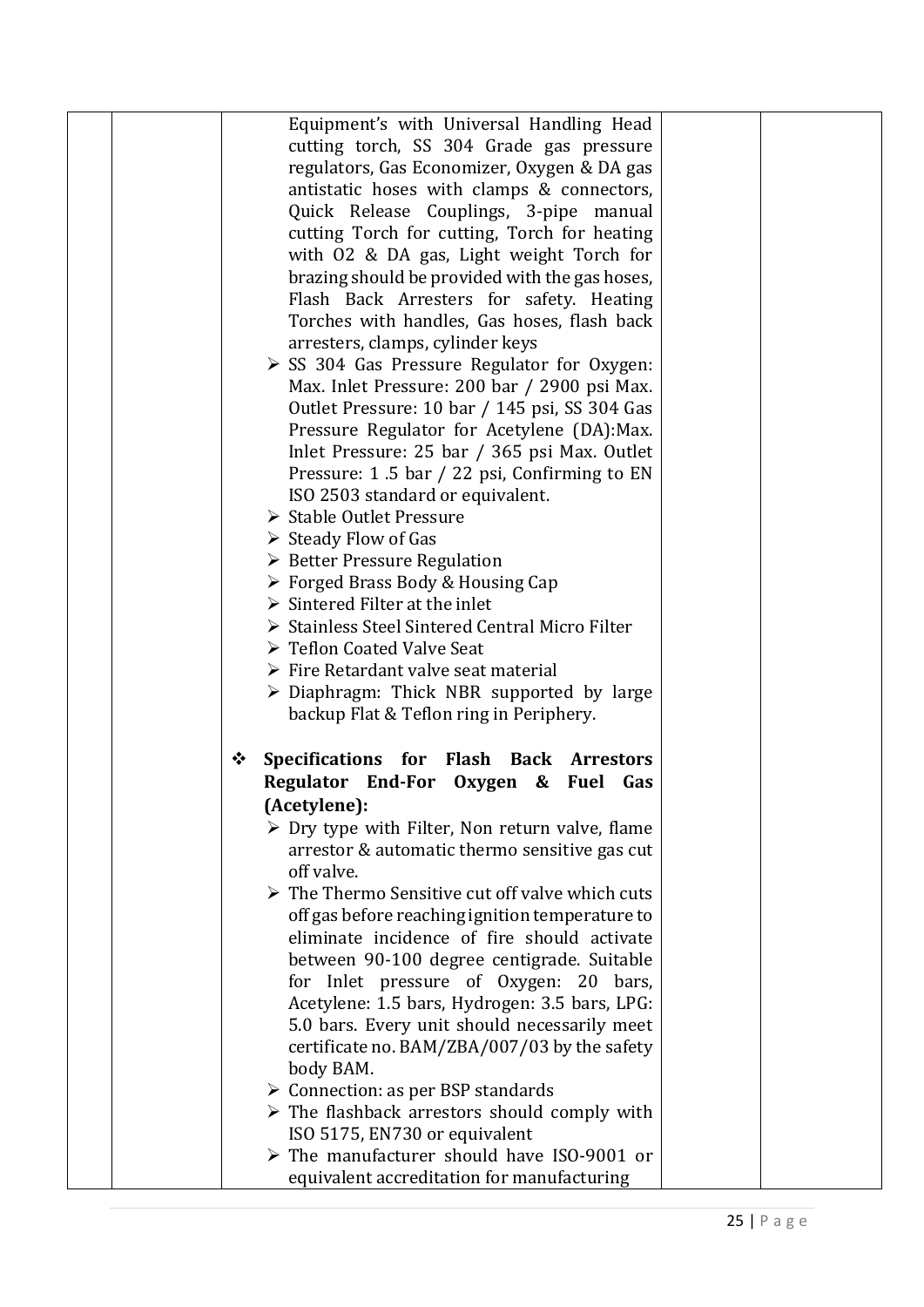|  | Equipment's with Universal Handling Head                                                                |  |
|--|---------------------------------------------------------------------------------------------------------|--|
|  | cutting torch, SS 304 Grade gas pressure                                                                |  |
|  | regulators, Gas Economizer, Oxygen & DA gas                                                             |  |
|  | antistatic hoses with clamps & connectors,                                                              |  |
|  | Quick Release Couplings, 3-pipe manual                                                                  |  |
|  | cutting Torch for cutting, Torch for heating                                                            |  |
|  | with 02 & DA gas, Light weight Torch for                                                                |  |
|  | brazing should be provided with the gas hoses,                                                          |  |
|  | Flash Back Arresters for safety. Heating                                                                |  |
|  | Torches with handles, Gas hoses, flash back                                                             |  |
|  | arresters, clamps, cylinder keys                                                                        |  |
|  | $\triangleright$ SS 304 Gas Pressure Regulator for Oxygen:                                              |  |
|  | Max. Inlet Pressure: 200 bar / 2900 psi Max.                                                            |  |
|  | Outlet Pressure: 10 bar / 145 psi, SS 304 Gas                                                           |  |
|  | Pressure Regulator for Acetylene (DA): Max.                                                             |  |
|  | Inlet Pressure: 25 bar / 365 psi Max. Outlet                                                            |  |
|  | Pressure: 1.5 bar / 22 psi, Confirming to EN                                                            |  |
|  | ISO 2503 standard or equivalent.                                                                        |  |
|  | ▶ Stable Outlet Pressure                                                                                |  |
|  | $\triangleright$ Steady Flow of Gas                                                                     |  |
|  | ▶ Better Pressure Regulation                                                                            |  |
|  | $\triangleright$ Forged Brass Body & Housing Cap                                                        |  |
|  | $\triangleright$ Sintered Filter at the inlet                                                           |  |
|  | Stainless Steel Sintered Central Micro Filter                                                           |  |
|  | ▶ Teflon Coated Valve Seat                                                                              |  |
|  | $\triangleright$ Fire Retardant valve seat material                                                     |  |
|  | $\triangleright$ Diaphragm: Thick NBR supported by large                                                |  |
|  | backup Flat & Teflon ring in Periphery.                                                                 |  |
|  |                                                                                                         |  |
|  |                                                                                                         |  |
|  | ❖                                                                                                       |  |
|  | Specifications for Flash Back Arrestors                                                                 |  |
|  | Regulator End-For Oxygen & Fuel<br>Gas                                                                  |  |
|  | (Acetylene):                                                                                            |  |
|  | $\triangleright$ Dry type with Filter, Non return valve, flame                                          |  |
|  | arrestor & automatic thermo sensitive gas cut                                                           |  |
|  | off valve.                                                                                              |  |
|  | $\triangleright$ The Thermo Sensitive cut off valve which cuts                                          |  |
|  | off gas before reaching ignition temperature to                                                         |  |
|  | eliminate incidence of fire should activate                                                             |  |
|  | between 90-100 degree centigrade. Suitable                                                              |  |
|  | for Inlet pressure of Oxygen: 20 bars,                                                                  |  |
|  | Acetylene: 1.5 bars, Hydrogen: 3.5 bars, LPG:                                                           |  |
|  | 5.0 bars. Every unit should necessarily meet                                                            |  |
|  | certificate no. BAM/ZBA/007/03 by the safety                                                            |  |
|  | body BAM.                                                                                               |  |
|  | $\triangleright$ Connection: as per BSP standards                                                       |  |
|  | $\triangleright$ The flashback arrestors should comply with                                             |  |
|  | ISO 5175, EN730 or equivalent                                                                           |  |
|  | $\triangleright$ The manufacturer should have ISO-9001 or<br>equivalent accreditation for manufacturing |  |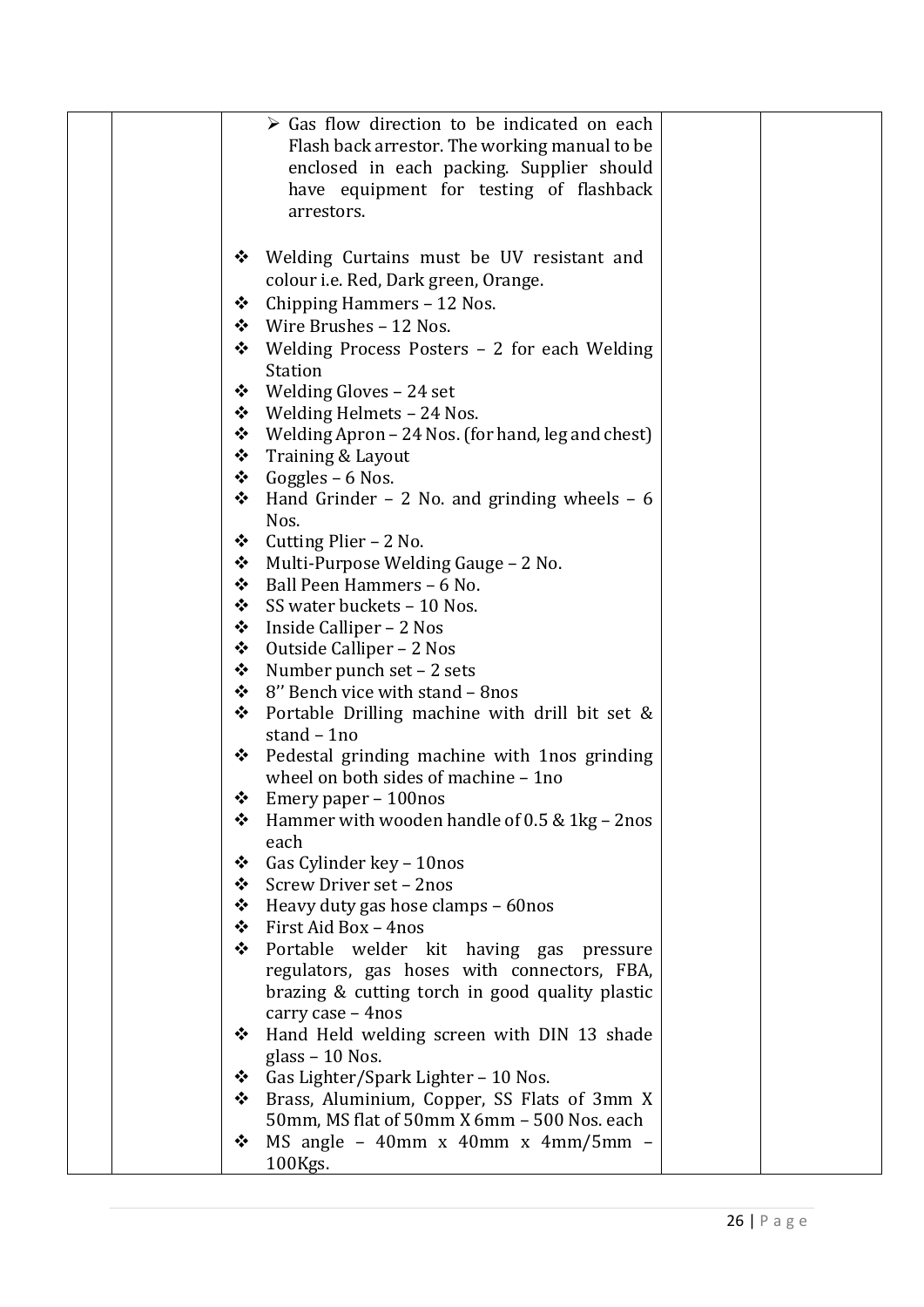|  | $\triangleright$ Gas flow direction to be indicated on each          |
|--|----------------------------------------------------------------------|
|  | Flash back arrestor. The working manual to be                        |
|  | enclosed in each packing. Supplier should                            |
|  | have equipment for testing of flashback                              |
|  | arrestors.                                                           |
|  |                                                                      |
|  | Welding Curtains must be UV resistant and<br>❖                       |
|  | colour <i>i.e.</i> Red, Dark green, Orange.                          |
|  | Chipping Hammers - 12 Nos.<br>❖                                      |
|  | Wire Brushes - 12 Nos.<br>❖                                          |
|  | Welding Process Posters - 2 for each Welding<br>❖                    |
|  | <b>Station</b>                                                       |
|  | Welding Gloves - 24 set<br>❖                                         |
|  | Welding Helmets - 24 Nos.<br>❖                                       |
|  | ❖<br>Welding Apron – 24 Nos. (for hand, leg and chest)               |
|  | ❖<br>Training & Layout                                               |
|  | Goggles – 6 Nos.<br>❖                                                |
|  | Hand Grinder $-2$ No. and grinding wheels $-6$<br>❖                  |
|  | Nos.                                                                 |
|  | Cutting Plier - 2 No.<br>❖                                           |
|  | Multi-Purpose Welding Gauge - 2 No.<br>❖                             |
|  | ❖<br>Ball Peen Hammers - 6 No.                                       |
|  | ❖<br>SS water buckets - 10 Nos.                                      |
|  | ❖<br>Inside Calliper – 2 Nos                                         |
|  | ❖<br>Outside Calliper – 2 Nos                                        |
|  | Number punch set - 2 sets<br>❖                                       |
|  | 8" Bench vice with stand - 8nos<br>❖                                 |
|  | ❖<br>Portable Drilling machine with drill bit set &                  |
|  | stand - 1no                                                          |
|  | Pedestal grinding machine with 1nos grinding<br>❖                    |
|  | wheel on both sides of machine - 1no                                 |
|  | Emery paper – 100nos<br>❖                                            |
|  | Hammer with wooden handle of 0.5 & 1kg - 2nos<br>❖                   |
|  | each                                                                 |
|  | Gas Cylinder key - 10nos<br>❖                                        |
|  | Screw Driver set - 2nos<br>❖                                         |
|  | Heavy duty gas hose clamps - 60nos<br>❖                              |
|  | First Aid Box - 4nos<br>❖                                            |
|  | ❖<br>Portable welder kit having gas pressure                         |
|  | regulators, gas hoses with connectors, FBA,                          |
|  | brazing & cutting torch in good quality plastic                      |
|  | carry case - 4nos<br>Hand Held welding screen with DIN 13 shade<br>❖ |
|  | glass $-10$ Nos.                                                     |
|  | Gas Lighter/Spark Lighter - 10 Nos.<br>❖                             |
|  | Brass, Aluminium, Copper, SS Flats of 3mm X<br>❖                     |
|  | 50mm, MS flat of 50mm X 6mm - 500 Nos. each                          |
|  | MS angle $-$ 40mm x 40mm x 4mm/5mm $-$<br>❖                          |
|  | 100Kgs.                                                              |
|  |                                                                      |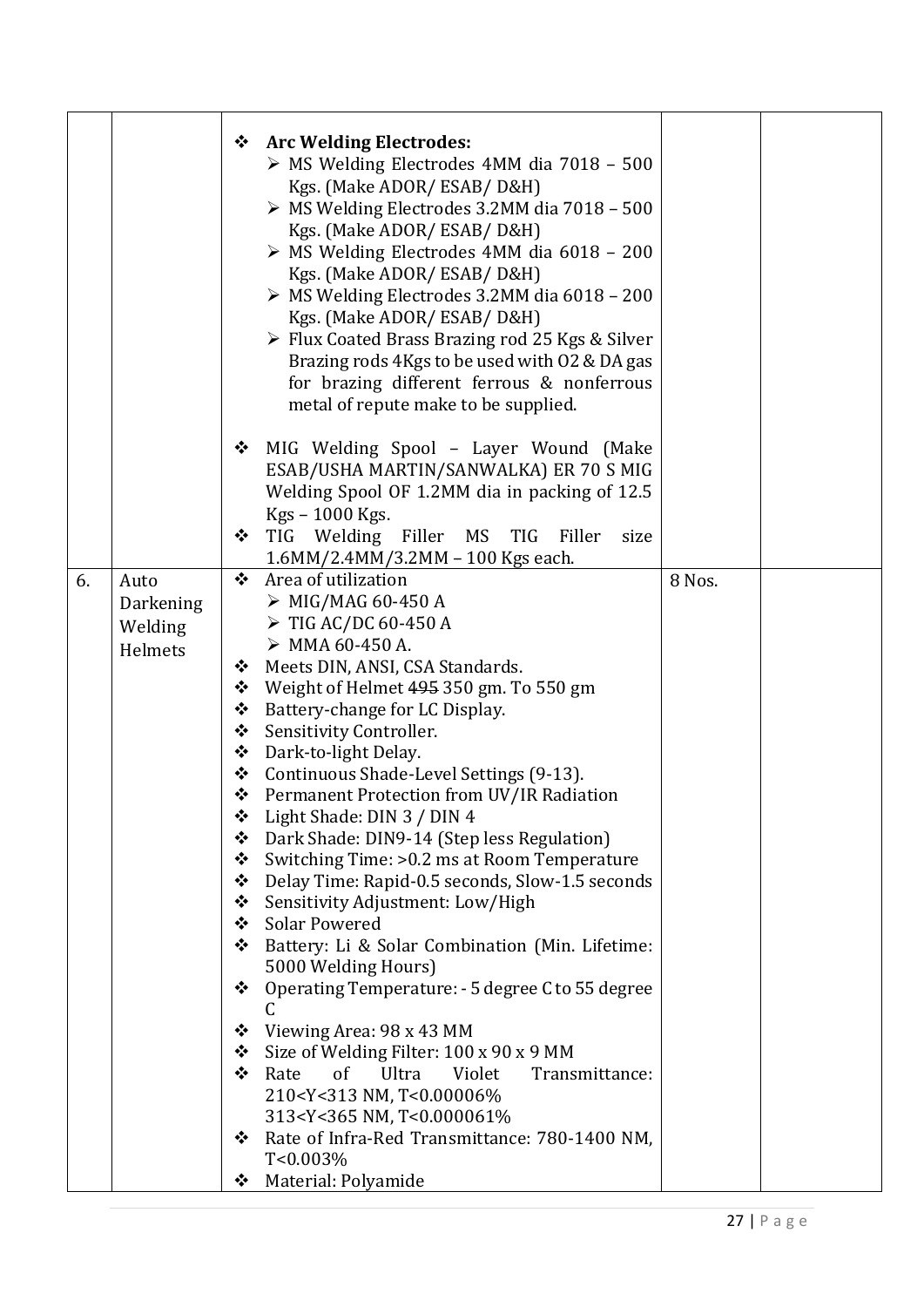| MIG Welding Spool - Layer Wound (Make<br>❖<br>ESAB/USHA MARTIN/SANWALKA) ER 70 S MIG<br>Welding Spool OF 1.2MM dia in packing of 12.5<br>Kgs - 1000 Kgs.<br>TIG Welding Filler MS TIG Filler<br>❖<br>size<br>1.6MM/2.4MM/3.2MM - 100 Kgs each.<br>$\cdot$<br>Area of utilization<br>6.<br>8 Nos.<br>Auto<br>$\triangleright$ MIG/MAG 60-450 A<br>Darkening<br>$\triangleright$ TIG AC/DC 60-450 A<br>Welding<br>$\triangleright$ MMA 60-450 A.<br>Helmets<br>Meets DIN, ANSI, CSA Standards.<br>❖<br>Weight of Helmet 495 350 gm. To 550 gm<br>❖<br>❖<br>Battery-change for LC Display.<br>❖<br>Sensitivity Controller.<br>Dark-to-light Delay.<br>❖<br>Continuous Shade-Level Settings (9-13).<br>❖<br>❖<br>Permanent Protection from UV/IR Radiation<br>Light Shade: DIN 3 / DIN 4<br>❖<br>Dark Shade: DIN9-14 (Step less Regulation)<br>❖<br>Switching Time: >0.2 ms at Room Temperature<br>❖<br>Delay Time: Rapid-0.5 seconds, Slow-1.5 seconds<br>❖<br>❖<br>Sensitivity Adjustment: Low/High<br>❖<br><b>Solar Powered</b><br>Battery: Li & Solar Combination (Min. Lifetime:<br>❖<br>5000 Welding Hours)<br>Operating Temperature: - 5 degree C to 55 degree<br>❖<br>Viewing Area: 98 x 43 MM<br>❖<br>Size of Welding Filter: 100 x 90 x 9 MM<br>❖<br>❖ |  | ❖ | <b>Arc Welding Electrodes:</b><br>$\triangleright$ MS Welding Electrodes 4MM dia 7018 - 500<br>Kgs. (Make ADOR/ ESAB/ D&H)<br>$\triangleright$ MS Welding Electrodes 3.2MM dia 7018 - 500<br>Kgs. (Make ADOR/ ESAB/ D&H)<br>$\triangleright$ MS Welding Electrodes 4MM dia 6018 - 200<br>Kgs. (Make ADOR/ ESAB/ D&H)<br>$\triangleright$ MS Welding Electrodes 3.2MM dia 6018 - 200<br>Kgs. (Make ADOR/ ESAB/ D&H)<br>$\triangleright$ Flux Coated Brass Brazing rod 25 Kgs & Silver<br>Brazing rods 4Kgs to be used with O2 & DA gas<br>for brazing different ferrous & nonferrous<br>metal of repute make to be supplied. |  |
|--------------------------------------------------------------------------------------------------------------------------------------------------------------------------------------------------------------------------------------------------------------------------------------------------------------------------------------------------------------------------------------------------------------------------------------------------------------------------------------------------------------------------------------------------------------------------------------------------------------------------------------------------------------------------------------------------------------------------------------------------------------------------------------------------------------------------------------------------------------------------------------------------------------------------------------------------------------------------------------------------------------------------------------------------------------------------------------------------------------------------------------------------------------------------------------------------------------------------------------------------------------|--|---|-----------------------------------------------------------------------------------------------------------------------------------------------------------------------------------------------------------------------------------------------------------------------------------------------------------------------------------------------------------------------------------------------------------------------------------------------------------------------------------------------------------------------------------------------------------------------------------------------------------------------------|--|
|                                                                                                                                                                                                                                                                                                                                                                                                                                                                                                                                                                                                                                                                                                                                                                                                                                                                                                                                                                                                                                                                                                                                                                                                                                                              |  |   |                                                                                                                                                                                                                                                                                                                                                                                                                                                                                                                                                                                                                             |  |
|                                                                                                                                                                                                                                                                                                                                                                                                                                                                                                                                                                                                                                                                                                                                                                                                                                                                                                                                                                                                                                                                                                                                                                                                                                                              |  |   |                                                                                                                                                                                                                                                                                                                                                                                                                                                                                                                                                                                                                             |  |
| 210 <y<313 nm,="" t<0.00006%<br="">313<y<365 nm,="" t<0.000061%<br="">Rate of Infra-Red Transmittance: 780-1400 NM,<br/>❖<br/>T&lt;0.003%</y<365></y<313>                                                                                                                                                                                                                                                                                                                                                                                                                                                                                                                                                                                                                                                                                                                                                                                                                                                                                                                                                                                                                                                                                                    |  |   | Rate<br>of<br>Ultra<br>Violet<br>Transmittance:                                                                                                                                                                                                                                                                                                                                                                                                                                                                                                                                                                             |  |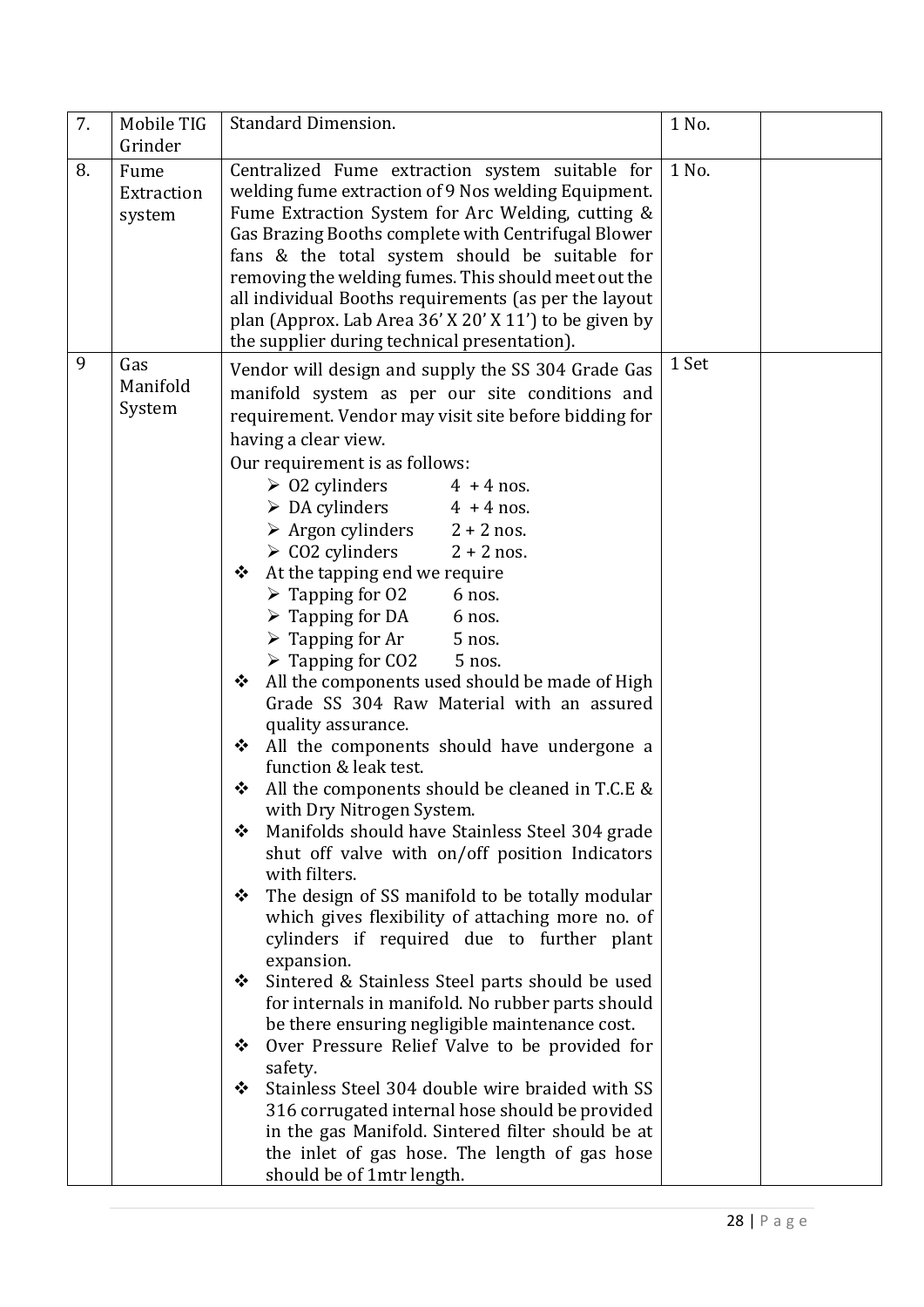| 7. | Mobile TIG                   | <b>Standard Dimension.</b>                                                                                                                                                                                                                                                                                                                                                                                                                                                                                                                                                                                                                                                                                                                                                                                                                                                                                                                                                                                                                                                                                                                                                                                                                                                                                                                                                                                                                                                                                                                                                                                              | 1 No. |  |
|----|------------------------------|-------------------------------------------------------------------------------------------------------------------------------------------------------------------------------------------------------------------------------------------------------------------------------------------------------------------------------------------------------------------------------------------------------------------------------------------------------------------------------------------------------------------------------------------------------------------------------------------------------------------------------------------------------------------------------------------------------------------------------------------------------------------------------------------------------------------------------------------------------------------------------------------------------------------------------------------------------------------------------------------------------------------------------------------------------------------------------------------------------------------------------------------------------------------------------------------------------------------------------------------------------------------------------------------------------------------------------------------------------------------------------------------------------------------------------------------------------------------------------------------------------------------------------------------------------------------------------------------------------------------------|-------|--|
|    | Grinder                      |                                                                                                                                                                                                                                                                                                                                                                                                                                                                                                                                                                                                                                                                                                                                                                                                                                                                                                                                                                                                                                                                                                                                                                                                                                                                                                                                                                                                                                                                                                                                                                                                                         |       |  |
| 8. | Fume<br>Extraction<br>system | Centralized Fume extraction system suitable for<br>welding fume extraction of 9 Nos welding Equipment.<br>Fume Extraction System for Arc Welding, cutting &<br>Gas Brazing Booths complete with Centrifugal Blower<br>fans & the total system should be suitable for<br>removing the welding fumes. This should meet out the<br>all individual Booths requirements (as per the layout<br>plan (Approx. Lab Area 36' X 20' X 11') to be given by<br>the supplier during technical presentation).                                                                                                                                                                                                                                                                                                                                                                                                                                                                                                                                                                                                                                                                                                                                                                                                                                                                                                                                                                                                                                                                                                                         | 1 No. |  |
| 9  | Gas<br>Manifold<br>System    | Vendor will design and supply the SS 304 Grade Gas<br>manifold system as per our site conditions and<br>requirement. Vendor may visit site before bidding for<br>having a clear view.<br>Our requirement is as follows:<br>$\geq 02$ cylinders<br>$4 + 4$ nos.<br>$\triangleright$ DA cylinders 4 + 4 nos.<br>$\triangleright$ Argon cylinders 2 + 2 nos.<br>$\geq$ CO2 cylinders<br>$2 + 2$ nos.<br>❖ At the tapping end we require<br>$\triangleright$ Tapping for 02<br>6 nos.<br>$\triangleright$ Tapping for DA<br>6 nos.<br>$\triangleright$ Tapping for Ar<br>5 nos.<br>$\triangleright$ Tapping for CO2<br>5 nos.<br>All the components used should be made of High<br>❖<br>Grade SS 304 Raw Material with an assured<br>quality assurance.<br>All the components should have undergone a<br>❖<br>function & leak test.<br>All the components should be cleaned in T.C.E &<br>❖<br>with Dry Nitrogen System.<br>Manifolds should have Stainless Steel 304 grade<br>❖<br>shut off valve with on/off position Indicators<br>with filters.<br>The design of SS manifold to be totally modular<br>❖<br>which gives flexibility of attaching more no. of<br>cylinders if required due to further plant<br>expansion.<br>Sintered & Stainless Steel parts should be used<br>❖<br>for internals in manifold. No rubber parts should<br>be there ensuring negligible maintenance cost.<br>Over Pressure Relief Valve to be provided for<br>❖<br>safety.<br>Stainless Steel 304 double wire braided with SS<br>❖<br>316 corrugated internal hose should be provided<br>in the gas Manifold. Sintered filter should be at | 1 Set |  |
|    |                              | should be of 1mtr length.                                                                                                                                                                                                                                                                                                                                                                                                                                                                                                                                                                                                                                                                                                                                                                                                                                                                                                                                                                                                                                                                                                                                                                                                                                                                                                                                                                                                                                                                                                                                                                                               |       |  |
|    |                              | the inlet of gas hose. The length of gas hose                                                                                                                                                                                                                                                                                                                                                                                                                                                                                                                                                                                                                                                                                                                                                                                                                                                                                                                                                                                                                                                                                                                                                                                                                                                                                                                                                                                                                                                                                                                                                                           |       |  |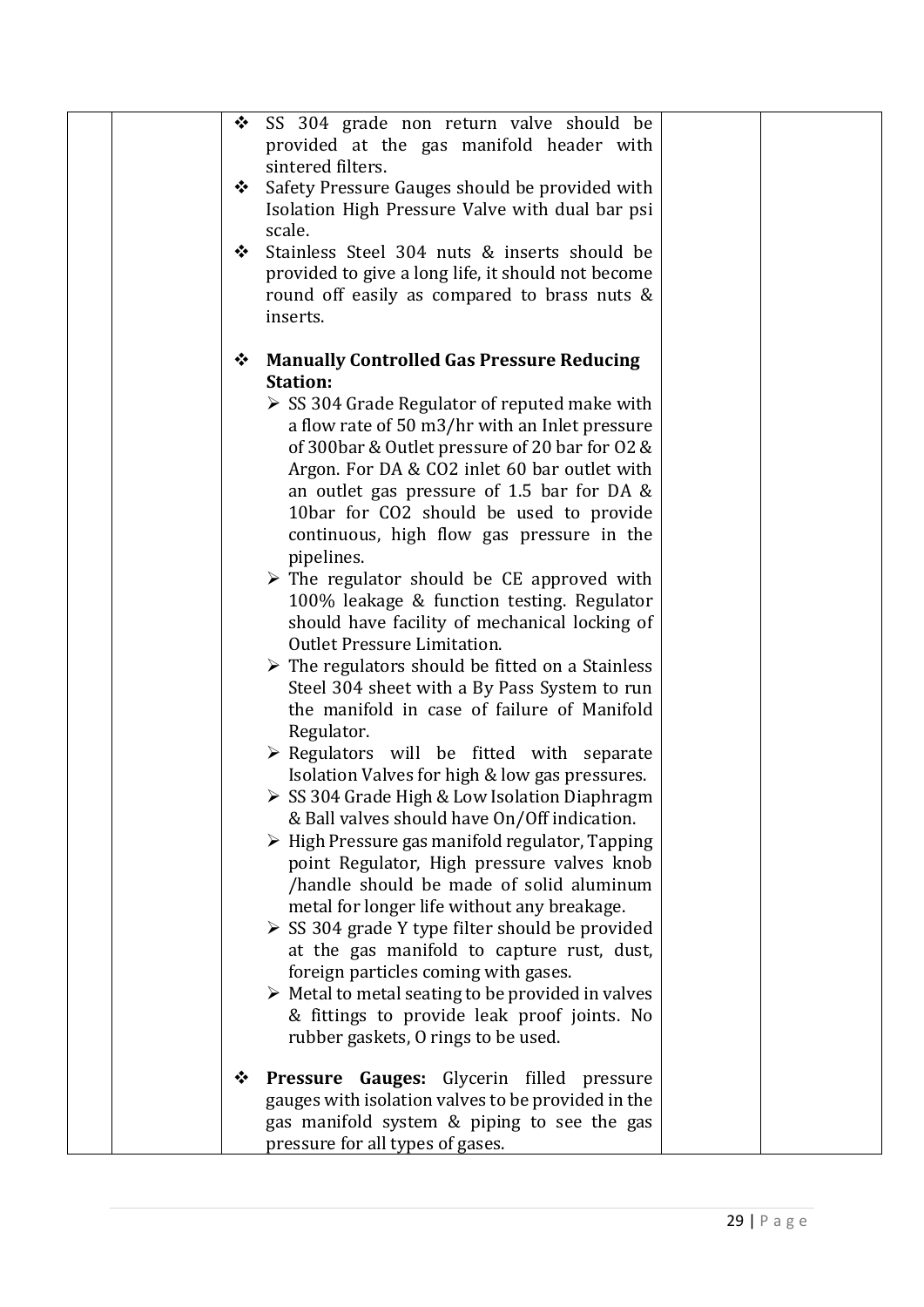| SS 304 grade non return valve should be<br>❖<br>provided at the gas manifold header with<br>sintered filters.<br>Safety Pressure Gauges should be provided with<br>❖<br>Isolation High Pressure Valve with dual bar psi<br>scale.<br>Stainless Steel 304 nuts & inserts should be<br>❖<br>provided to give a long life, it should not become<br>round off easily as compared to brass nuts &<br>inserts.                                                                                                                                                                                                                                                                                                                                                                                                                                                                                                                                                                                                                                                                                                                                                                                                                                                                                                                                                                                                                                                                                                                                       |
|------------------------------------------------------------------------------------------------------------------------------------------------------------------------------------------------------------------------------------------------------------------------------------------------------------------------------------------------------------------------------------------------------------------------------------------------------------------------------------------------------------------------------------------------------------------------------------------------------------------------------------------------------------------------------------------------------------------------------------------------------------------------------------------------------------------------------------------------------------------------------------------------------------------------------------------------------------------------------------------------------------------------------------------------------------------------------------------------------------------------------------------------------------------------------------------------------------------------------------------------------------------------------------------------------------------------------------------------------------------------------------------------------------------------------------------------------------------------------------------------------------------------------------------------|
| <b>Manually Controlled Gas Pressure Reducing</b><br>❖<br><b>Station:</b><br>$\triangleright$ SS 304 Grade Regulator of reputed make with<br>a flow rate of 50 m3/hr with an Inlet pressure<br>of 300bar & Outlet pressure of 20 bar for O2 &<br>Argon. For DA & CO2 inlet 60 bar outlet with<br>an outlet gas pressure of $1.5$ bar for DA &<br>10bar for CO2 should be used to provide<br>continuous, high flow gas pressure in the<br>pipelines.<br>$\triangleright$ The regulator should be CE approved with<br>100% leakage & function testing. Regulator<br>should have facility of mechanical locking of<br><b>Outlet Pressure Limitation.</b><br>$\triangleright$ The regulators should be fitted on a Stainless<br>Steel 304 sheet with a By Pass System to run<br>the manifold in case of failure of Manifold<br>Regulator.<br>$\triangleright$ Regulators will be fitted with separate<br>Isolation Valves for high & low gas pressures.<br>SS 304 Grade High & Low Isolation Diaphragm<br>& Ball valves should have On/Off indication.<br>> High Pressure gas manifold regulator, Tapping<br>point Regulator, High pressure valves knob<br>/handle should be made of solid aluminum<br>metal for longer life without any breakage.<br>SS 304 grade Y type filter should be provided<br>at the gas manifold to capture rust, dust,<br>foreign particles coming with gases.<br>$\triangleright$ Metal to metal seating to be provided in valves<br>& fittings to provide leak proof joints. No<br>rubber gaskets, O rings to be used. |
| Pressure Gauges: Glycerin filled pressure<br>❖<br>gauges with isolation valves to be provided in the<br>gas manifold system & piping to see the gas<br>pressure for all types of gases.                                                                                                                                                                                                                                                                                                                                                                                                                                                                                                                                                                                                                                                                                                                                                                                                                                                                                                                                                                                                                                                                                                                                                                                                                                                                                                                                                        |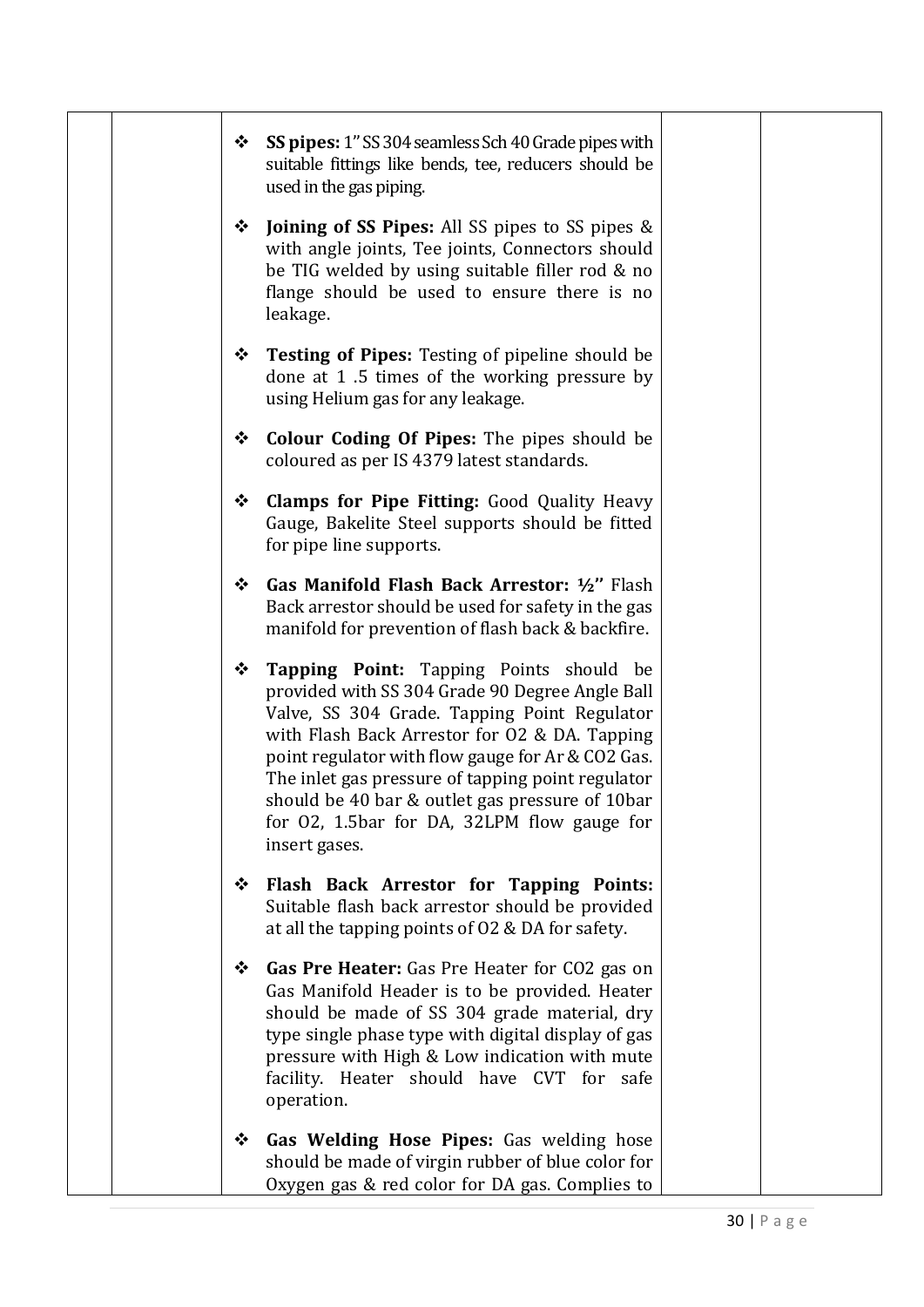|  | <b>SS pipes:</b> 1" SS 304 seamless Sch 40 Grade pipes with<br>❖<br>suitable fittings like bends, tee, reducers should be<br>used in the gas piping.                                                                                                                                                                                                                                                                          |  |
|--|-------------------------------------------------------------------------------------------------------------------------------------------------------------------------------------------------------------------------------------------------------------------------------------------------------------------------------------------------------------------------------------------------------------------------------|--|
|  | <b>Joining of SS Pipes:</b> All SS pipes to SS pipes &<br>❖<br>with angle joints, Tee joints, Connectors should<br>be TIG welded by using suitable filler rod & no<br>flange should be used to ensure there is no<br>leakage.                                                                                                                                                                                                 |  |
|  | <b>Testing of Pipes:</b> Testing of pipeline should be<br>❖<br>done at 1.5 times of the working pressure by<br>using Helium gas for any leakage.                                                                                                                                                                                                                                                                              |  |
|  | <b>Colour Coding Of Pipes:</b> The pipes should be<br>❖<br>coloured as per IS 4379 latest standards.                                                                                                                                                                                                                                                                                                                          |  |
|  | <b>Clamps for Pipe Fitting: Good Quality Heavy</b><br>❖<br>Gauge, Bakelite Steel supports should be fitted<br>for pipe line supports.                                                                                                                                                                                                                                                                                         |  |
|  | Gas Manifold Flash Back Arrestor: 1/2" Flash<br>❖<br>Back arrestor should be used for safety in the gas<br>manifold for prevention of flash back & backfire.                                                                                                                                                                                                                                                                  |  |
|  | Tapping Point: Tapping Points should be<br>❖<br>provided with SS 304 Grade 90 Degree Angle Ball<br>Valve, SS 304 Grade. Tapping Point Regulator<br>with Flash Back Arrestor for O2 & DA. Tapping<br>point regulator with flow gauge for Ar & CO2 Gas.<br>The inlet gas pressure of tapping point regulator<br>should be 40 bar & outlet gas pressure of 10bar<br>for O2, 1.5bar for DA, 32LPM flow gauge for<br>insert gases. |  |
|  | Flash Back Arrestor for Tapping Points:<br>❖<br>Suitable flash back arrestor should be provided<br>at all the tapping points of 02 & DA for safety.                                                                                                                                                                                                                                                                           |  |
|  | Gas Pre Heater: Gas Pre Heater for CO2 gas on<br>❖<br>Gas Manifold Header is to be provided. Heater<br>should be made of SS 304 grade material, dry<br>type single phase type with digital display of gas<br>pressure with High & Low indication with mute<br>facility. Heater should have CVT for safe<br>operation.                                                                                                         |  |
|  | Gas Welding Hose Pipes: Gas welding hose<br>❖<br>should be made of virgin rubber of blue color for<br>Oxygen gas & red color for DA gas. Complies to                                                                                                                                                                                                                                                                          |  |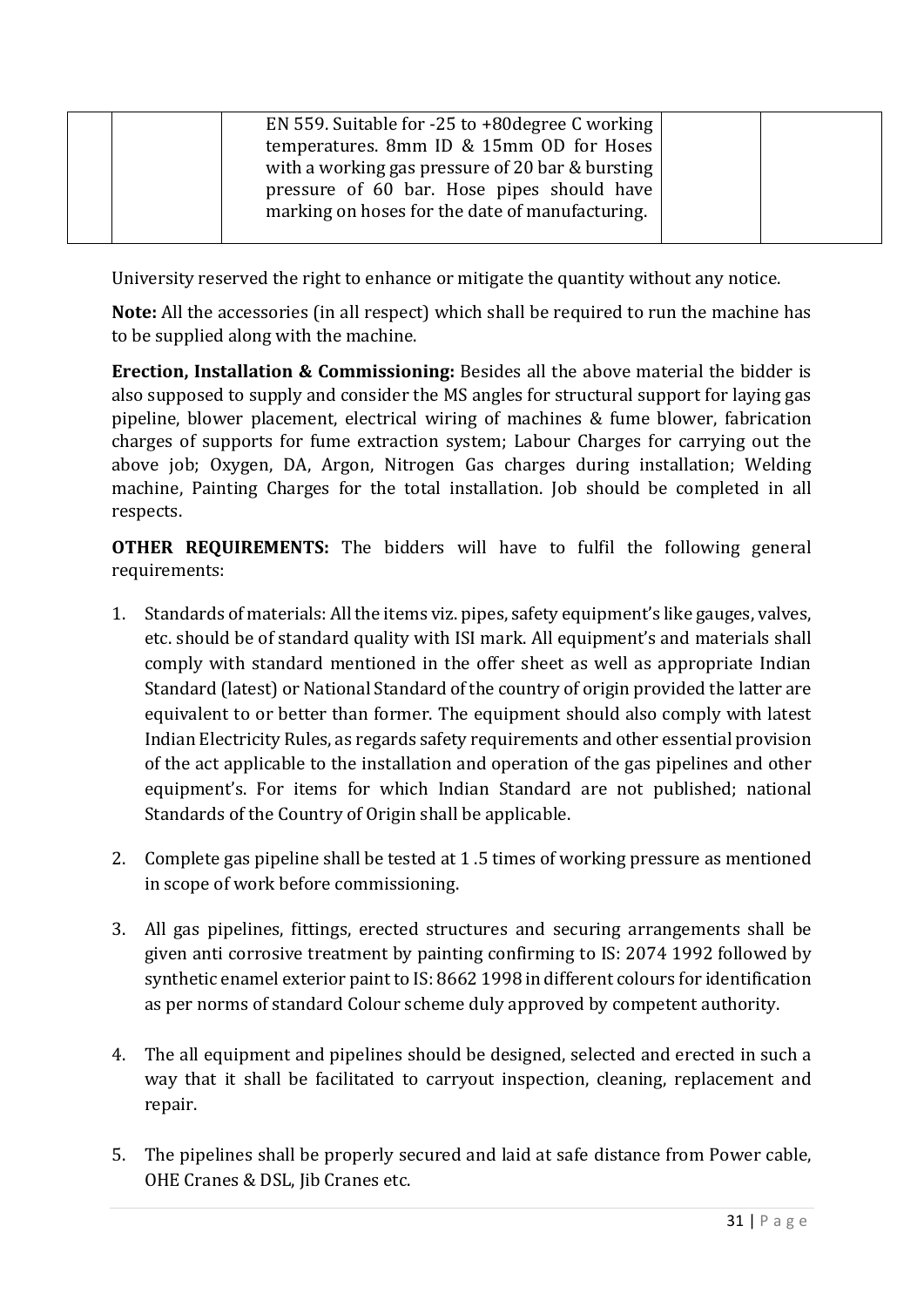|  | EN 559. Suitable for $-25$ to $+80$ degree C working<br>temperatures. 8mm ID & 15mm OD for Hoses |  |
|--|--------------------------------------------------------------------------------------------------|--|
|  | with a working gas pressure of 20 bar & bursting $ $                                             |  |
|  | pressure of 60 bar. Hose pipes should have                                                       |  |
|  | marking on hoses for the date of manufacturing.                                                  |  |
|  |                                                                                                  |  |

University reserved the right to enhance or mitigate the quantity without any notice.

**Note:** All the accessories (in all respect) which shall be required to run the machine has to be supplied along with the machine.

**Erection, Installation & Commissioning:** Besides all the above material the bidder is also supposed to supply and consider the MS angles for structural support for laying gas pipeline, blower placement, electrical wiring of machines & fume blower, fabrication charges of supports for fume extraction system; Labour Charges for carrying out the above job; Oxygen, DA, Argon, Nitrogen Gas charges during installation; Welding machine, Painting Charges for the total installation. Job should be completed in all respects.

**OTHER REQUIREMENTS:** The bidders will have to fulfil the following general requirements:

- 1. Standards of materials: All the items viz. pipes, safety equipment's like gauges, valves, etc. should be of standard quality with ISI mark. All equipment's and materials shall comply with standard mentioned in the offer sheet as well as appropriate Indian Standard (latest) or National Standard of the country of origin provided the latter are equivalent to or better than former. The equipment should also comply with latest Indian Electricity Rules, as regards safety requirements and other essential provision of the act applicable to the installation and operation of the gas pipelines and other equipment's. For items for which Indian Standard are not published; national Standards of the Country of Origin shall be applicable.
- 2. Complete gas pipeline shall be tested at 1 .5 times of working pressure as mentioned in scope of work before commissioning.
- 3. All gas pipelines, fittings, erected structures and securing arrangements shall be given anti corrosive treatment by painting confirming to IS: 2074 1992 followed by synthetic enamel exterior paint to IS: 8662 1998 in different colours for identification as per norms of standard Colour scheme duly approved by competent authority.
- 4. The all equipment and pipelines should be designed, selected and erected in such a way that it shall be facilitated to carryout inspection, cleaning, replacement and repair.
- 5. The pipelines shall be properly secured and laid at safe distance from Power cable, OHE Cranes & DSL, Jib Cranes etc.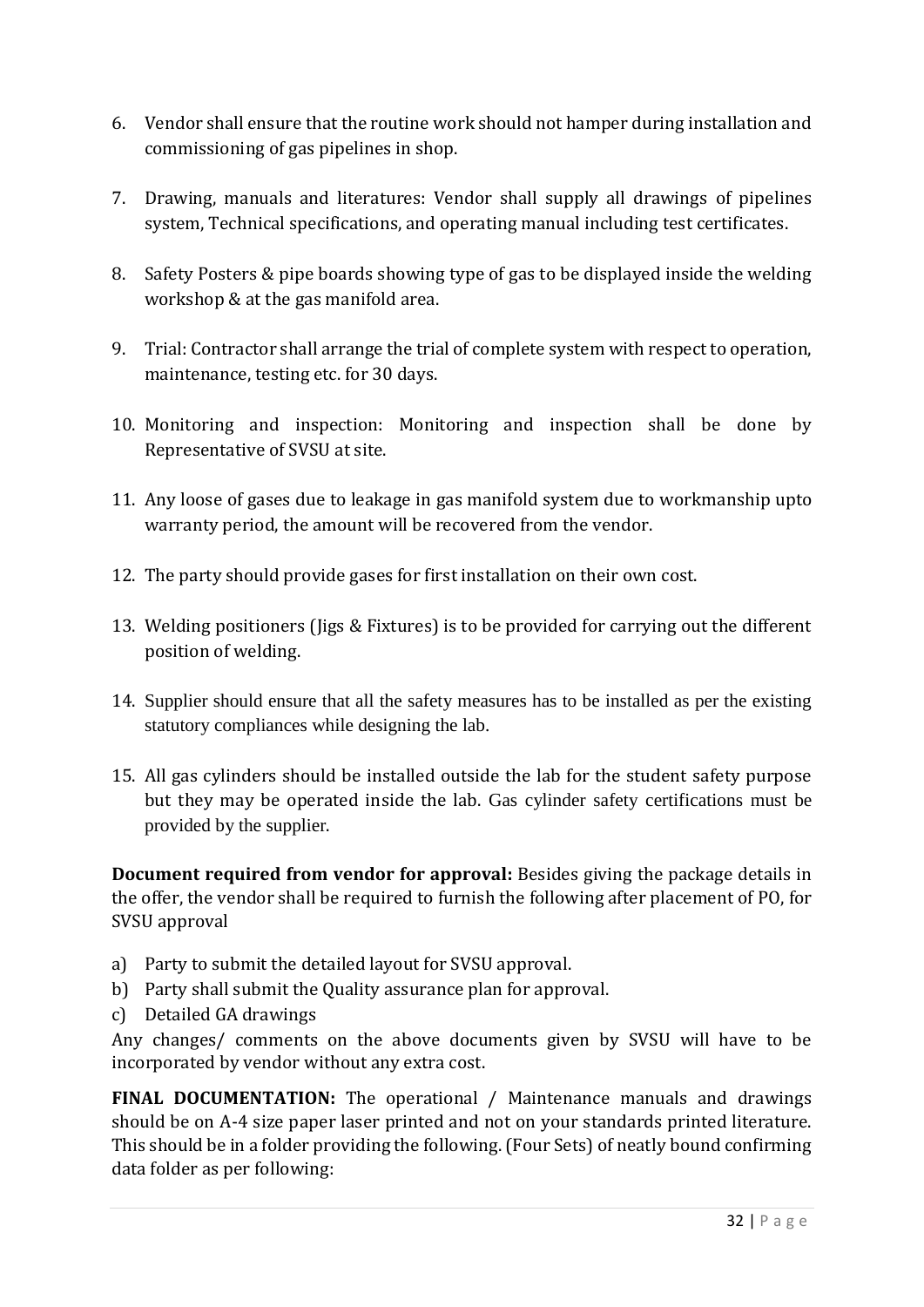- 6. Vendor shall ensure that the routine work should not hamper during installation and commissioning of gas pipelines in shop.
- 7. Drawing, manuals and literatures: Vendor shall supply all drawings of pipelines system, Technical specifications, and operating manual including test certificates.
- 8. Safety Posters & pipe boards showing type of gas to be displayed inside the welding workshop & at the gas manifold area.
- 9. Trial: Contractor shall arrange the trial of complete system with respect to operation, maintenance, testing etc. for 30 days.
- 10. Monitoring and inspection: Monitoring and inspection shall be done by Representative of SVSU at site.
- 11. Any loose of gases due to leakage in gas manifold system due to workmanship upto warranty period, the amount will be recovered from the vendor.
- 12. The party should provide gases for first installation on their own cost.
- 13. Welding positioners (Jigs & Fixtures) is to be provided for carrying out the different position of welding.
- 14. Supplier should ensure that all the safety measures has to be installed as per the existing statutory compliances while designing the lab.
- 15. All gas cylinders should be installed outside the lab for the student safety purpose but they may be operated inside the lab. Gas cylinder safety certifications must be provided by the supplier.

**Document required from vendor for approval:** Besides giving the package details in the offer, the vendor shall be required to furnish the following after placement of PO, for SVSU approval

- a) Party to submit the detailed layout for SVSU approval.
- b) Party shall submit the Quality assurance plan for approval.
- c) Detailed GA drawings

Any changes/ comments on the above documents given by SVSU will have to be incorporated by vendor without any extra cost.

**FINAL DOCUMENTATION:** The operational / Maintenance manuals and drawings should be on A-4 size paper laser printed and not on your standards printed literature. This should be in a folder providing the following. (Four Sets) of neatly bound confirming data folder as per following: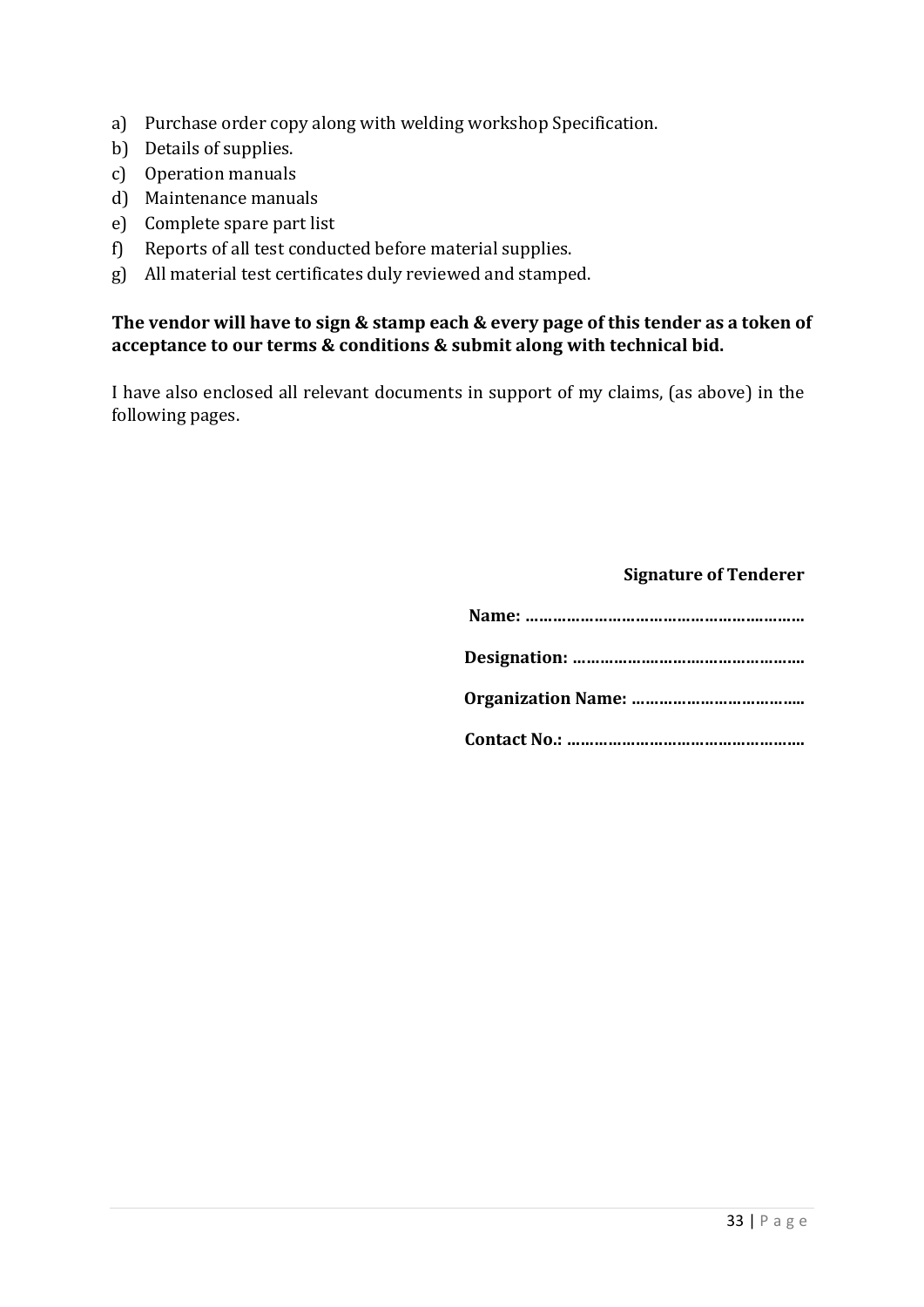- a) Purchase order copy along with welding workshop Specification.
- b) Details of supplies.
- c) Operation manuals
- d) Maintenance manuals
- e) Complete spare part list
- f) Reports of all test conducted before material supplies.
- g) All material test certificates duly reviewed and stamped.

#### **The vendor will have to sign & stamp each & every page of this tender as a token of acceptance to our terms & conditions & submit along with technical bid.**

I have also enclosed all relevant documents in support of my claims, (as above) in the following pages.

#### **Signature of Tenderer**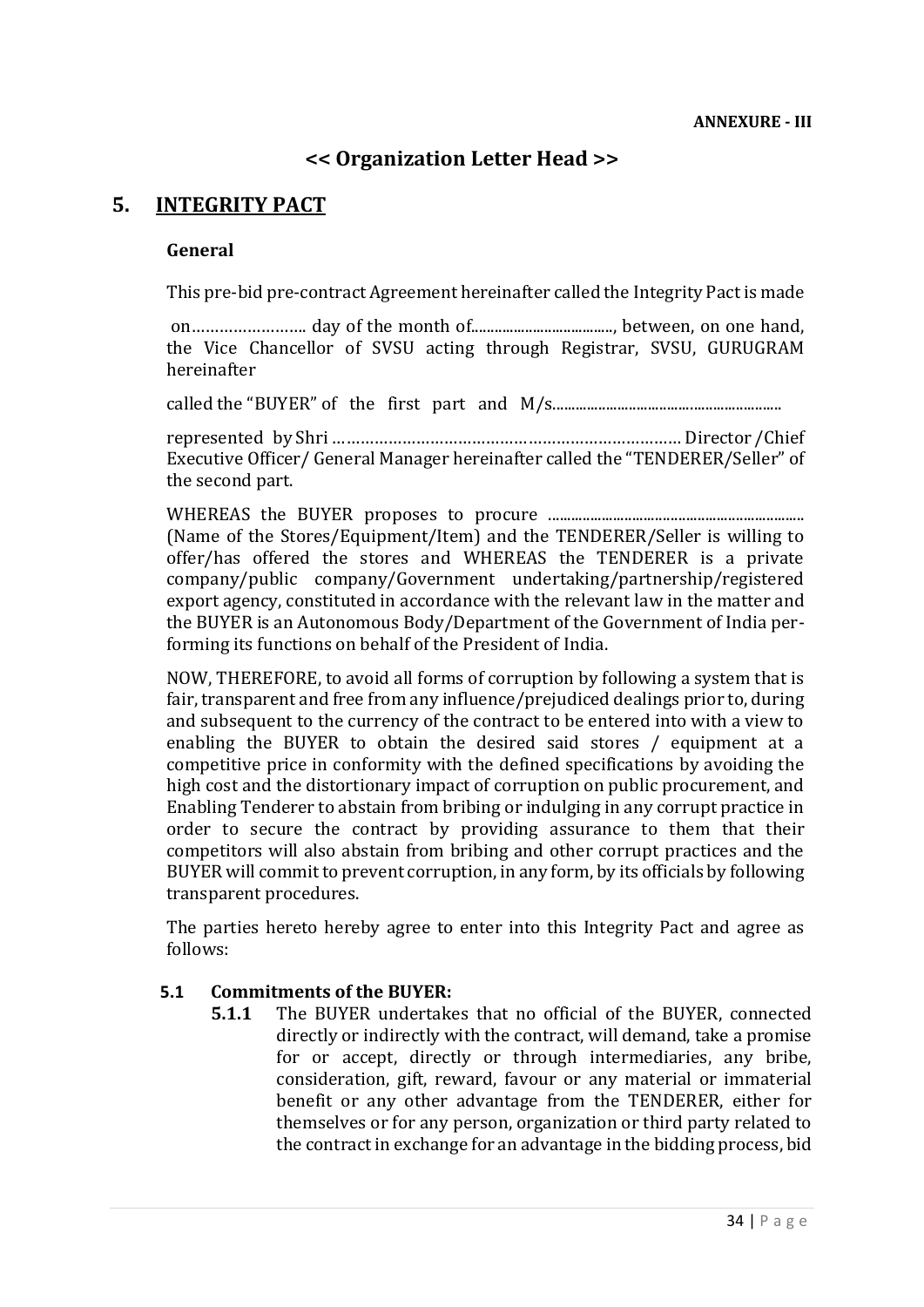# **<< Organization Letter Head >>**

# **5. INTEGRITY PACT**

#### **General**

This pre-bid pre-contract Agreement hereinafter called the Integrity Pact is made

on……………………. day of the month of....................................., between, on one hand, the Vice Chancellor of SVSU acting through Registrar, SVSU, GURUGRAM hereinafter

called the "BUYER" of the first part and M/s............................................................

represented by Shri ………………………………………………………………… Director /Chief Executive Officer/ General Manager hereinafter called the "TENDERER/Seller" of the second part.

WHEREAS the BUYER proposes to procure ................................................................... (Name of the Stores/Equipment/Item) and the TENDERER/Seller is willing to offer/has offered the stores and WHEREAS the TENDERER is a private company/public company/Government undertaking/partnership/registered export agency, constituted in accordance with the relevant law in the matter and the BUYER is an Autonomous Body/Department of the Government of India performing its functions on behalf of the President of India.

NOW, THEREFORE, to avoid all forms of corruption by following a system that is fair, transparent and free from any influence/prejudiced dealings prior to, during and subsequent to the currency of the contract to be entered into with a view to enabling the BUYER to obtain the desired said stores / equipment at a competitive price in conformity with the defined specifications by avoiding the high cost and the distortionary impact of corruption on public procurement, and Enabling Tenderer to abstain from bribing or indulging in any corrupt practice in order to secure the contract by providing assurance to them that their competitors will also abstain from bribing and other corrupt practices and the BUYER will commit to prevent corruption, in any form, by its officials by following transparent procedures.

The parties hereto hereby agree to enter into this Integrity Pact and agree as follows:

#### **5.1 Commitments of the BUYER:**

**5.1.1** The BUYER undertakes that no official of the BUYER, connected directly or indirectly with the contract, will demand, take a promise for or accept, directly or through intermediaries, any bribe, consideration, gift, reward, favour or any material or immaterial benefit or any other advantage from the TENDERER, either for themselves or for any person, organization or third party related to the contract in exchange for an advantage in the bidding process, bid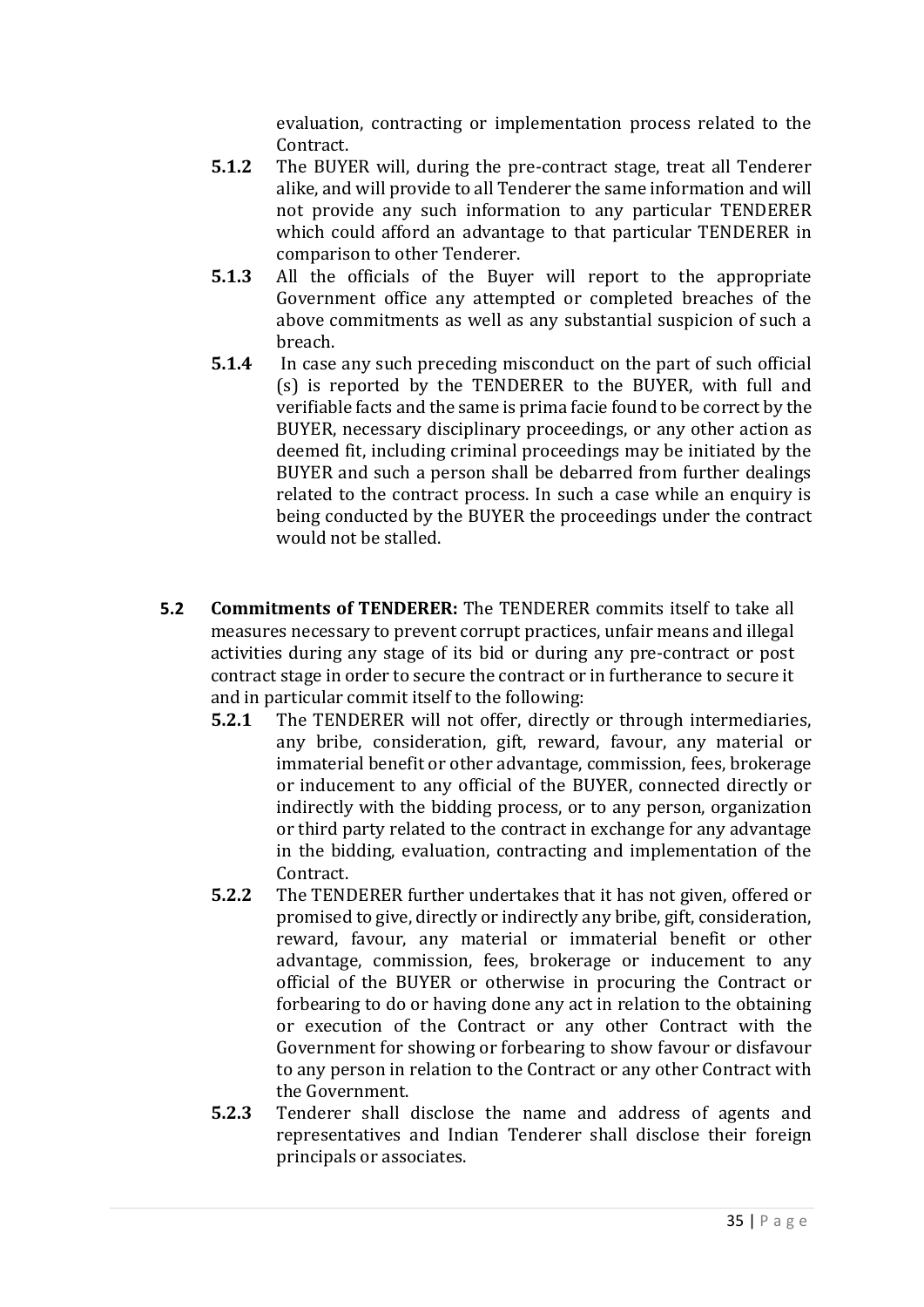evaluation, contracting or implementation process related to the Contract.

- **5.1.2** The BUYER will, during the pre-contract stage, treat all Tenderer alike, and will provide to all Tenderer the same information and will not provide any such information to any particular TENDERER which could afford an advantage to that particular TENDERER in comparison to other Tenderer.
- **5.1.3** All the officials of the Buyer will report to the appropriate Government office any attempted or completed breaches of the above commitments as well as any substantial suspicion of such a breach.
- **5.1.4** In case any such preceding misconduct on the part of such official (s) is reported by the TENDERER to the BUYER, with full and verifiable facts and the same is prima facie found to be correct by the BUYER, necessary disciplinary proceedings, or any other action as deemed fit, including criminal proceedings may be initiated by the BUYER and such a person shall be debarred from further dealings related to the contract process. In such a case while an enquiry is being conducted by the BUYER the proceedings under the contract would not be stalled.
- **5.2 Commitments of TENDERER:** The TENDERER commits itself to take all measures necessary to prevent corrupt practices, unfair means and illegal activities during any stage of its bid or during any pre-contract or post contract stage in order to secure the contract or in furtherance to secure it and in particular commit itself to the following:
	- **5.2.1** The TENDERER will not offer, directly or through intermediaries, any bribe, consideration, gift, reward, favour, any material or immaterial benefit or other advantage, commission, fees, brokerage or inducement to any official of the BUYER, connected directly or indirectly with the bidding process, or to any person, organization or third party related to the contract in exchange for any advantage in the bidding, evaluation, contracting and implementation of the Contract.
	- **5.2.2** The TENDERER further undertakes that it has not given, offered or promised to give, directly or indirectly any bribe, gift, consideration, reward, favour, any material or immaterial benefit or other advantage, commission, fees, brokerage or inducement to any official of the BUYER or otherwise in procuring the Contract or forbearing to do or having done any act in relation to the obtaining or execution of the Contract or any other Contract with the Government for showing or forbearing to show favour or disfavour to any person in relation to the Contract or any other Contract with the Government.
	- **5.2.3** Tenderer shall disclose the name and address of agents and representatives and Indian Tenderer shall disclose their foreign principals or associates.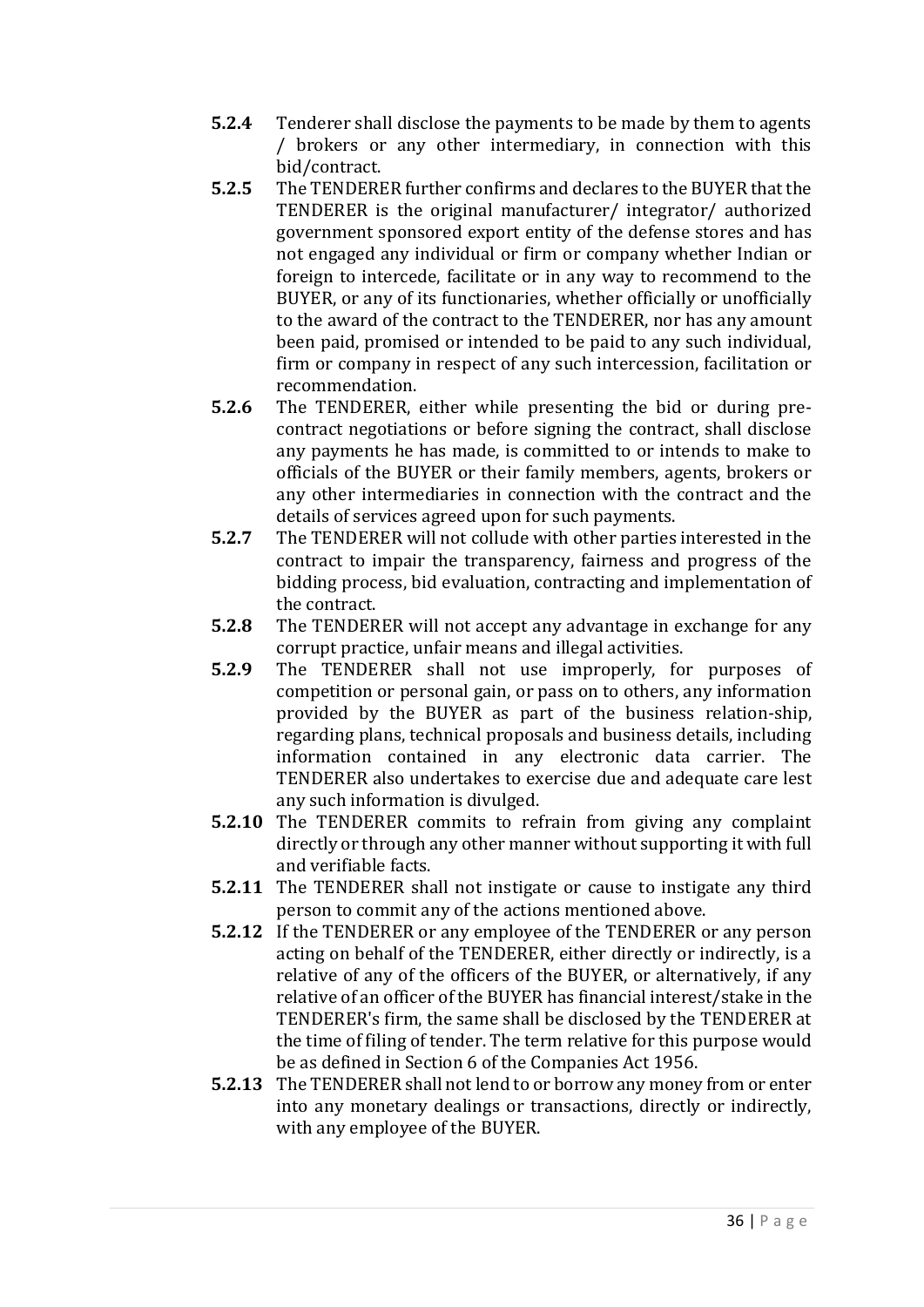- **5.2.4** Tenderer shall disclose the payments to be made by them to agents / brokers or any other intermediary, in connection with this bid/contract.
- **5.2.5** The TENDERER further confirms and declares to the BUYER that the TENDERER is the original manufacturer/ integrator/ authorized government sponsored export entity of the defense stores and has not engaged any individual or firm or company whether Indian or foreign to intercede, facilitate or in any way to recommend to the BUYER, or any of its functionaries, whether officially or unofficially to the award of the contract to the TENDERER, nor has any amount been paid, promised or intended to be paid to any such individual, firm or company in respect of any such intercession, facilitation or recommendation.
- **5.2.6** The TENDERER, either while presenting the bid or during precontract negotiations or before signing the contract, shall disclose any payments he has made, is committed to or intends to make to officials of the BUYER or their family members, agents, brokers or any other intermediaries in connection with the contract and the details of services agreed upon for such payments.
- **5.2.7** The TENDERER will not collude with other parties interested in the contract to impair the transparency, fairness and progress of the bidding process, bid evaluation, contracting and implementation of the contract.
- **5.2.8** The TENDERER will not accept any advantage in exchange for any corrupt practice, unfair means and illegal activities.
- **5.2.9** The TENDERER shall not use improperly, for purposes of competition or personal gain, or pass on to others, any information provided by the BUYER as part of the business relation-ship, regarding plans, technical proposals and business details, including information contained in any electronic data carrier. The TENDERER also undertakes to exercise due and adequate care lest any such information is divulged.
- **5.2.10** The TENDERER commits to refrain from giving any complaint directly or through any other manner without supporting it with full and verifiable facts.
- **5.2.11** The TENDERER shall not instigate or cause to instigate any third person to commit any of the actions mentioned above.
- **5.2.12** If the TENDERER or any employee of the TENDERER or any person acting on behalf of the TENDERER, either directly or indirectly, is a relative of any of the officers of the BUYER, or alternatively, if any relative of an officer of the BUYER has financial interest/stake in the TENDERER's firm, the same shall be disclosed by the TENDERER at the time of filing of tender. The term relative for this purpose would be as defined in Section 6 of the Companies Act 1956.
- **5.2.13** The TENDERER shall not lend to or borrow any money from or enter into any monetary dealings or transactions, directly or indirectly, with any employee of the BUYER.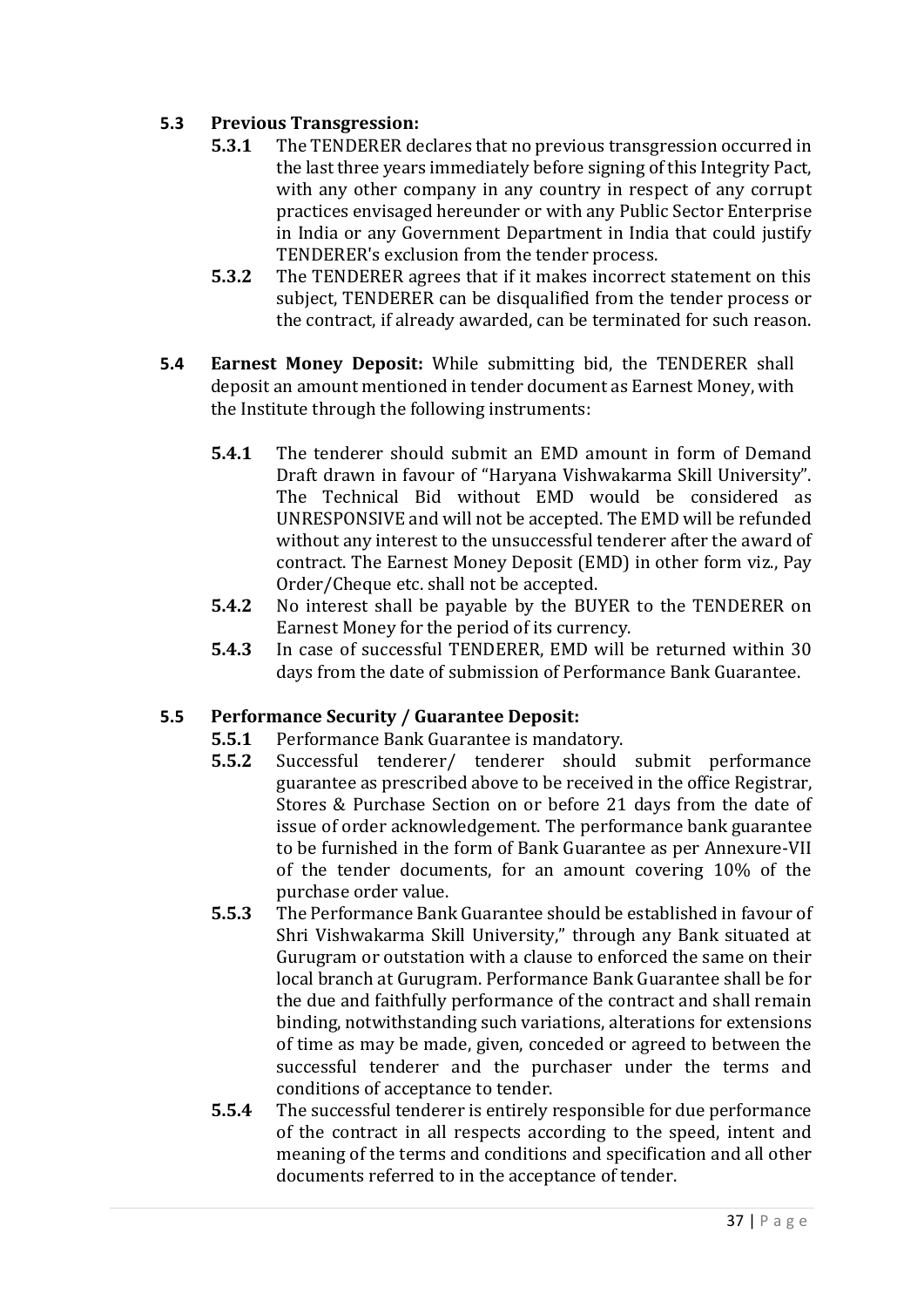# **5.3 Previous Transgression:**

- **5.3.1** The TENDERER declares that no previous transgression occurred in the last three years immediately before signing of this Integrity Pact, with any other company in any country in respect of any corrupt practices envisaged hereunder or with any Public Sector Enterprise in India or any Government Department in India that could justify TENDERER's exclusion from the tender process.
- **5.3.2** The TENDERER agrees that if it makes incorrect statement on this subject, TENDERER can be disqualified from the tender process or the contract, if already awarded, can be terminated for such reason.
- **5.4 Earnest Money Deposit:** While submitting bid, the TENDERER shall deposit an amount mentioned in tender document as Earnest Money, with the Institute through the following instruments:
	- **5.4.1** The tenderer should submit an EMD amount in form of Demand Draft drawn in favour of "Haryana Vishwakarma Skill University". The Technical Bid without EMD would be considered as UNRESPONSIVE and will not be accepted. The EMD will be refunded without any interest to the unsuccessful tenderer after the award of contract. The Earnest Money Deposit (EMD) in other form viz., Pay Order/Cheque etc. shall not be accepted.
	- **5.4.2** No interest shall be payable by the BUYER to the TENDERER on Earnest Money for the period of its currency.
	- **5.4.3** In case of successful TENDERER, EMD will be returned within 30 days from the date of submission of Performance Bank Guarantee.

# **5.5 Performance Security / Guarantee Deposit:**

- **5.5.1** Performance Bank Guarantee is mandatory.
- **5.5.2** Successful tenderer/ tenderer should submit performance guarantee as prescribed above to be received in the office Registrar, Stores & Purchase Section on or before 21 days from the date of issue of order acknowledgement. The performance bank guarantee to be furnished in the form of Bank Guarantee as per Annexure-VII of the tender documents, for an amount covering 10% of the purchase order value.
- **5.5.3** The Performance Bank Guarantee should be established in favour of Shri Vishwakarma Skill University," through any Bank situated at Gurugram or outstation with a clause to enforced the same on their local branch at Gurugram. Performance Bank Guarantee shall be for the due and faithfully performance of the contract and shall remain binding, notwithstanding such variations, alterations for extensions of time as may be made, given, conceded or agreed to between the successful tenderer and the purchaser under the terms and conditions of acceptance to tender.
- **5.5.4** The successful tenderer is entirely responsible for due performance of the contract in all respects according to the speed, intent and meaning of the terms and conditions and specification and all other documents referred to in the acceptance of tender.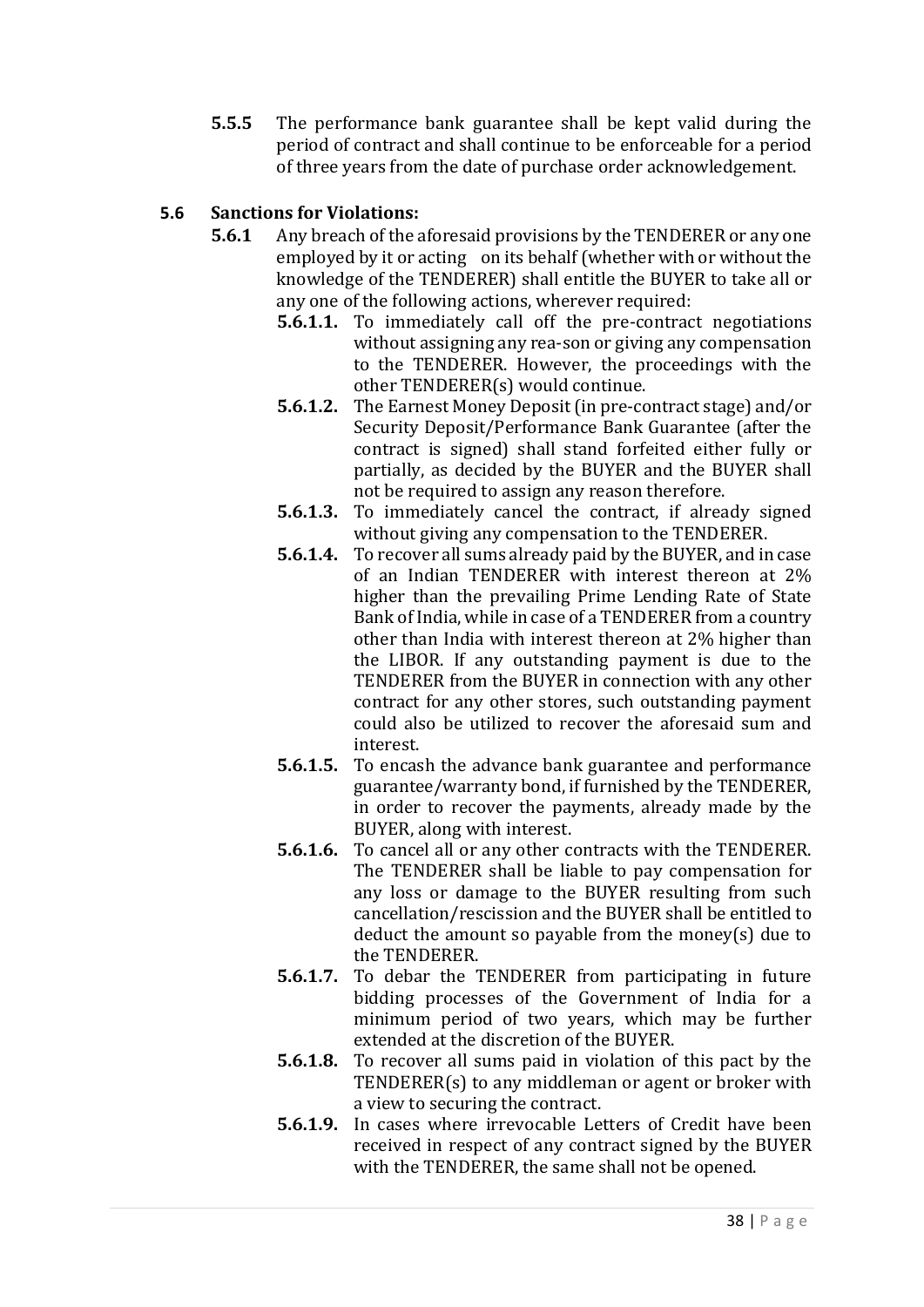**5.5.5** The performance bank guarantee shall be kept valid during the period of contract and shall continue to be enforceable for a period of three years from the date of purchase order acknowledgement.

# **5.6 Sanctions for Violations:**

- **5.6.1** Any breach of the aforesaid provisions by the TENDERER or any one employed by it or acting on its behalf (whether with or without the knowledge of the TENDERER) shall entitle the BUYER to take all or any one of the following actions, wherever required:
	- **5.6.1.1.** To immediately call off the pre-contract negotiations without assigning any rea-son or giving any compensation to the TENDERER. However, the proceedings with the other TENDERER(s) would continue.
	- **5.6.1.2.** The Earnest Money Deposit (in pre-contract stage) and/or Security Deposit/Performance Bank Guarantee (after the contract is signed) shall stand forfeited either fully or partially, as decided by the BUYER and the BUYER shall not be required to assign any reason therefore.
	- **5.6.1.3.** To immediately cancel the contract, if already signed without giving any compensation to the TENDERER.
	- **5.6.1.4.** To recover all sums already paid by the BUYER, and in case of an Indian TENDERER with interest thereon at 2% higher than the prevailing Prime Lending Rate of State Bank of India, while in case of a TENDERER from a country other than India with interest thereon at 2% higher than the LIBOR. If any outstanding payment is due to the TENDERER from the BUYER in connection with any other contract for any other stores, such outstanding payment could also be utilized to recover the aforesaid sum and interest.
	- **5.6.1.5.** To encash the advance bank guarantee and performance guarantee/warranty bond, if furnished by the TENDERER, in order to recover the payments, already made by the BUYER, along with interest.
	- **5.6.1.6.** To cancel all or any other contracts with the TENDERER. The TENDERER shall be liable to pay compensation for any loss or damage to the BUYER resulting from such cancellation/rescission and the BUYER shall be entitled to deduct the amount so payable from the money(s) due to the TENDERER.
	- **5.6.1.7.** To debar the TENDERER from participating in future bidding processes of the Government of India for a minimum period of two years, which may be further extended at the discretion of the BUYER.
	- **5.6.1.8.** To recover all sums paid in violation of this pact by the TENDERER(s) to any middleman or agent or broker with a view to securing the contract.
	- **5.6.1.9.** In cases where irrevocable Letters of Credit have been received in respect of any contract signed by the BUYER with the TENDERER, the same shall not be opened.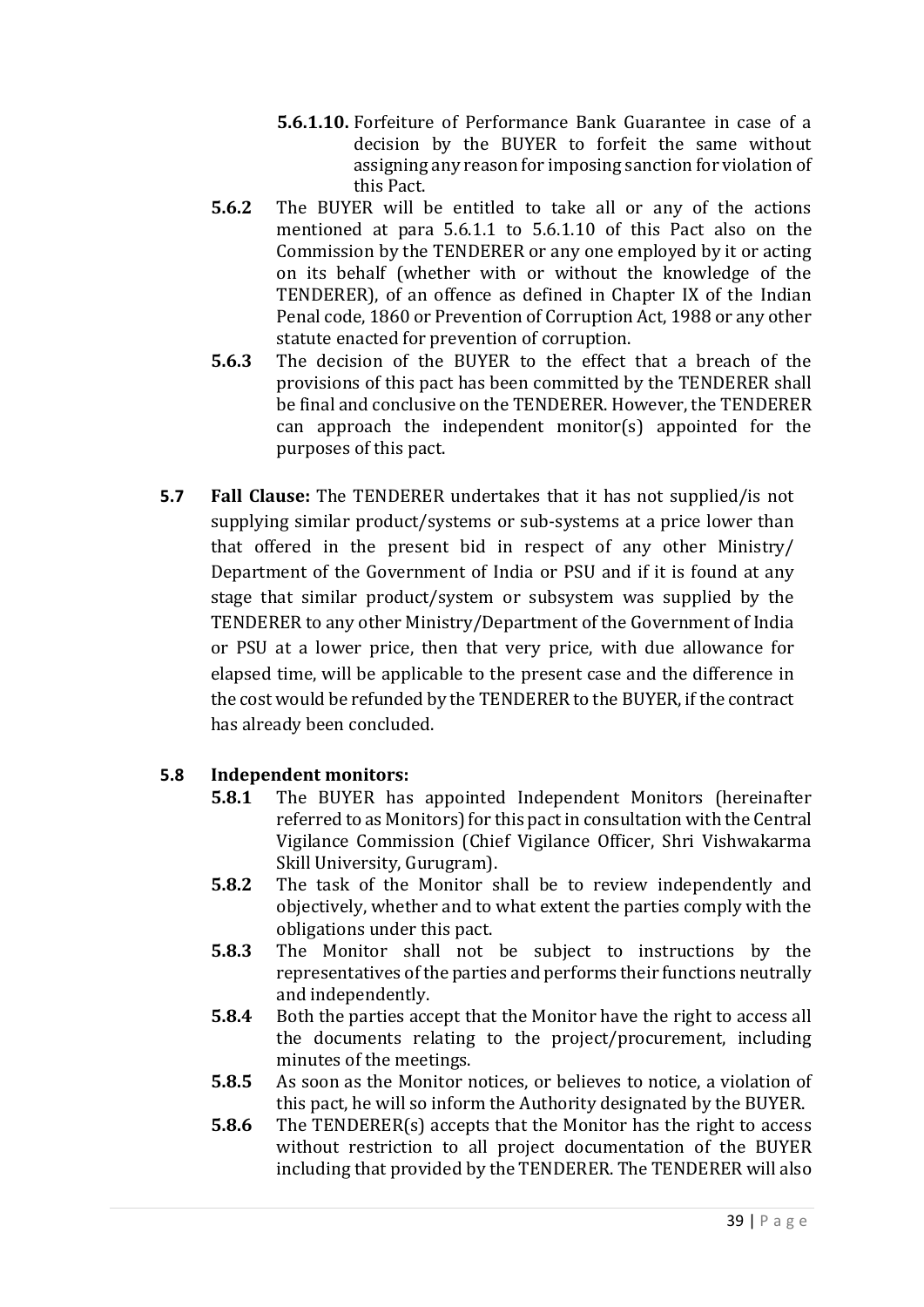- **5.6.1.10.** Forfeiture of Performance Bank Guarantee in case of a decision by the BUYER to forfeit the same without assigning any reason for imposing sanction for violation of this Pact.
- **5.6.2** The BUYER will be entitled to take all or any of the actions mentioned at para 5.6.1.1 to 5.6.1.10 of this Pact also on the Commission by the TENDERER or any one employed by it or acting on its behalf (whether with or without the knowledge of the TENDERER), of an offence as defined in Chapter IX of the Indian Penal code, 1860 or Prevention of Corruption Act, 1988 or any other statute enacted for prevention of corruption.
- **5.6.3** The decision of the BUYER to the effect that a breach of the provisions of this pact has been committed by the TENDERER shall be final and conclusive on the TENDERER. However, the TENDERER can approach the independent monitor(s) appointed for the purposes of this pact.
- **5.7 Fall Clause:** The TENDERER undertakes that it has not supplied/is not supplying similar product/systems or sub-systems at a price lower than that offered in the present bid in respect of any other Ministry/ Department of the Government of India or PSU and if it is found at any stage that similar product/system or subsystem was supplied by the TENDERER to any other Ministry/Department of the Government of India or PSU at a lower price, then that very price, with due allowance for elapsed time, will be applicable to the present case and the difference in the cost would be refunded by the TENDERER to the BUYER, if the contract has already been concluded.

# **5.8 Independent monitors:**

- **5.8.1** The BUYER has appointed Independent Monitors (hereinafter referred to as Monitors) for this pact in consultation with the Central Vigilance Commission (Chief Vigilance Officer, Shri Vishwakarma Skill University, Gurugram).
- **5.8.2** The task of the Monitor shall be to review independently and objectively, whether and to what extent the parties comply with the obligations under this pact.
- **5.8.3** The Monitor shall not be subject to instructions by the representatives of the parties and performs their functions neutrally and independently.
- **5.8.4** Both the parties accept that the Monitor have the right to access all the documents relating to the project/procurement, including minutes of the meetings.
- **5.8.5** As soon as the Monitor notices, or believes to notice, a violation of this pact, he will so inform the Authority designated by the BUYER.
- **5.8.6** The TENDERER(s) accepts that the Monitor has the right to access without restriction to all project documentation of the BUYER including that provided by the TENDERER. The TENDERER will also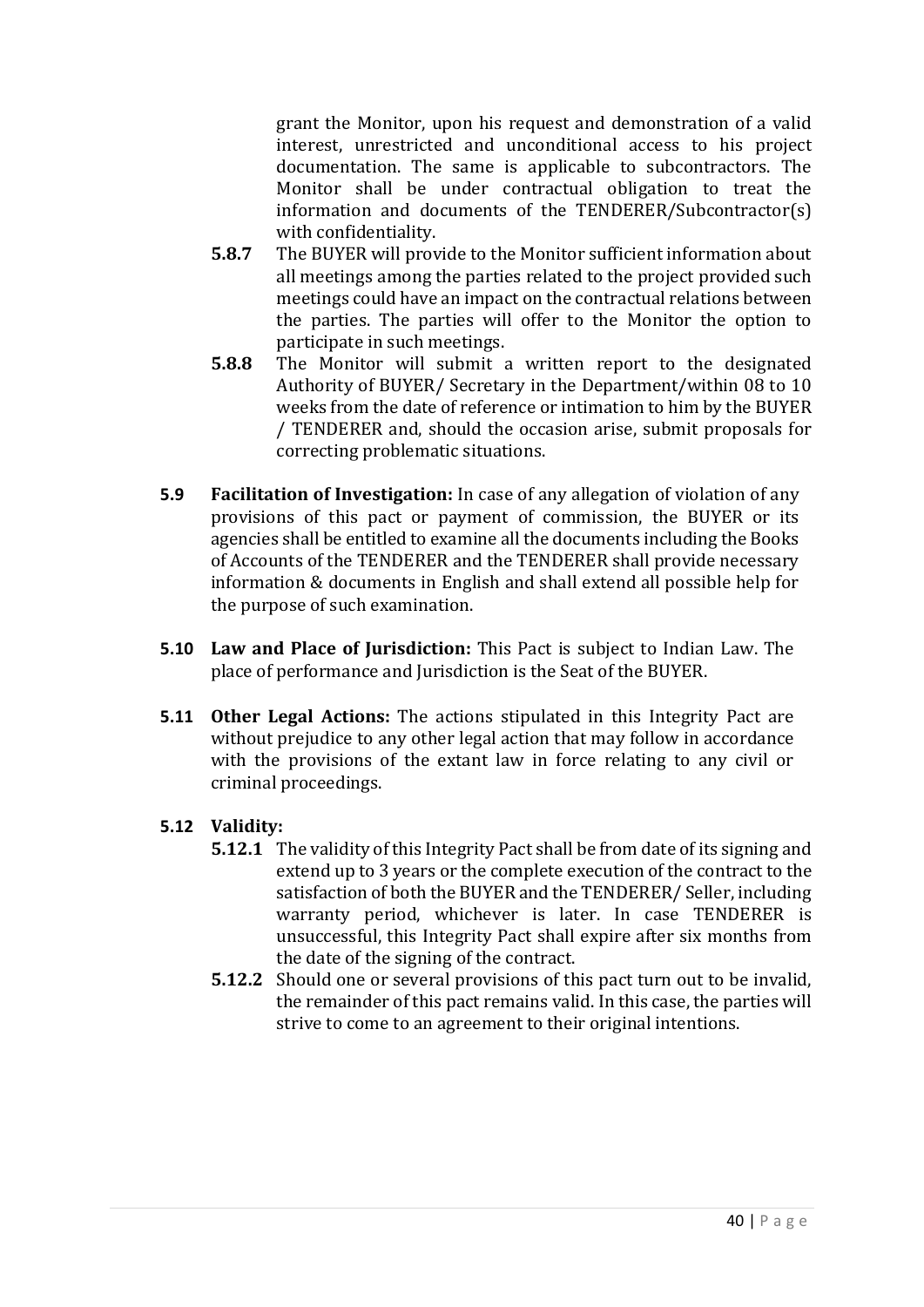grant the Monitor, upon his request and demonstration of a valid interest, unrestricted and unconditional access to his project documentation. The same is applicable to subcontractors. The Monitor shall be under contractual obligation to treat the information and documents of the TENDERER/Subcontractor(s) with confidentiality.

- **5.8.7** The BUYER will provide to the Monitor sufficient information about all meetings among the parties related to the project provided such meetings could have an impact on the contractual relations between the parties. The parties will offer to the Monitor the option to participate in such meetings.
- **5.8.8** The Monitor will submit a written report to the designated Authority of BUYER/ Secretary in the Department/within 08 to 10 weeks from the date of reference or intimation to him by the BUYER / TENDERER and, should the occasion arise, submit proposals for correcting problematic situations.
- **5.9 Facilitation of Investigation:** In case of any allegation of violation of any provisions of this pact or payment of commission, the BUYER or its agencies shall be entitled to examine all the documents including the Books of Accounts of the TENDERER and the TENDERER shall provide necessary information & documents in English and shall extend all possible help for the purpose of such examination.
- **5.10 Law and Place of Jurisdiction:** This Pact is subject to Indian Law. The place of performance and Jurisdiction is the Seat of the BUYER.
- **5.11 Other Legal Actions:** The actions stipulated in this Integrity Pact are without prejudice to any other legal action that may follow in accordance with the provisions of the extant law in force relating to any civil or criminal proceedings.

# **5.12 Validity:**

- **5.12.1** The validity of this Integrity Pact shall be from date of its signing and extend up to 3 years or the complete execution of the contract to the satisfaction of both the BUYER and the TENDERER/ Seller, including warranty period, whichever is later. In case TENDERER is unsuccessful, this Integrity Pact shall expire after six months from the date of the signing of the contract.
- **5.12.2** Should one or several provisions of this pact turn out to be invalid, the remainder of this pact remains valid. In this case, the parties will strive to come to an agreement to their original intentions.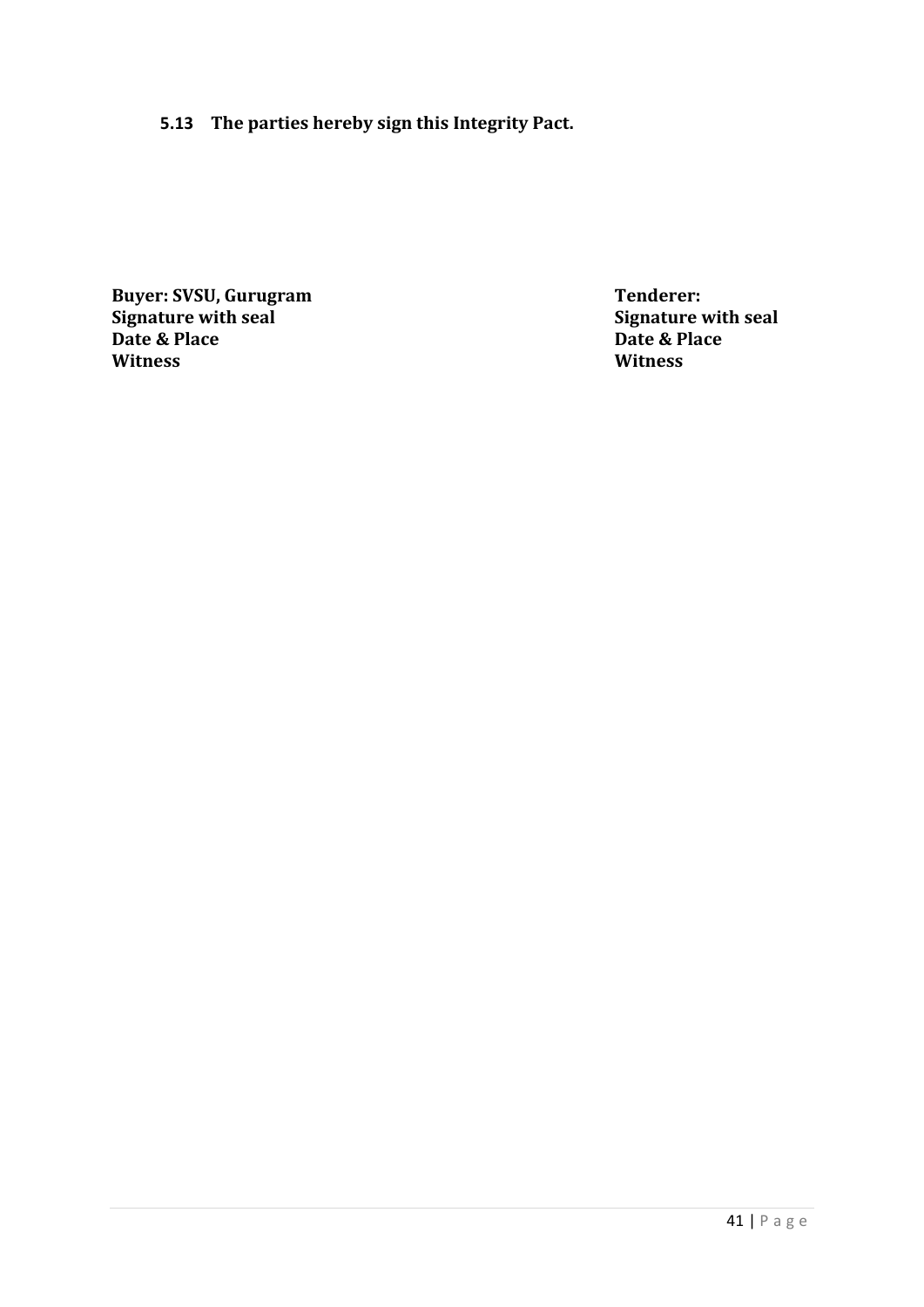# **5.13 The parties hereby sign this Integrity Pact.**

**Buyer: SVSU, Gurugram Tenderer: Tenderer: Signature with seal Date & Place Date & Place Date & P**<br> **Date & P**<br> **Witness Witness Witness**

**Signature with seal**<br>**Date & Place**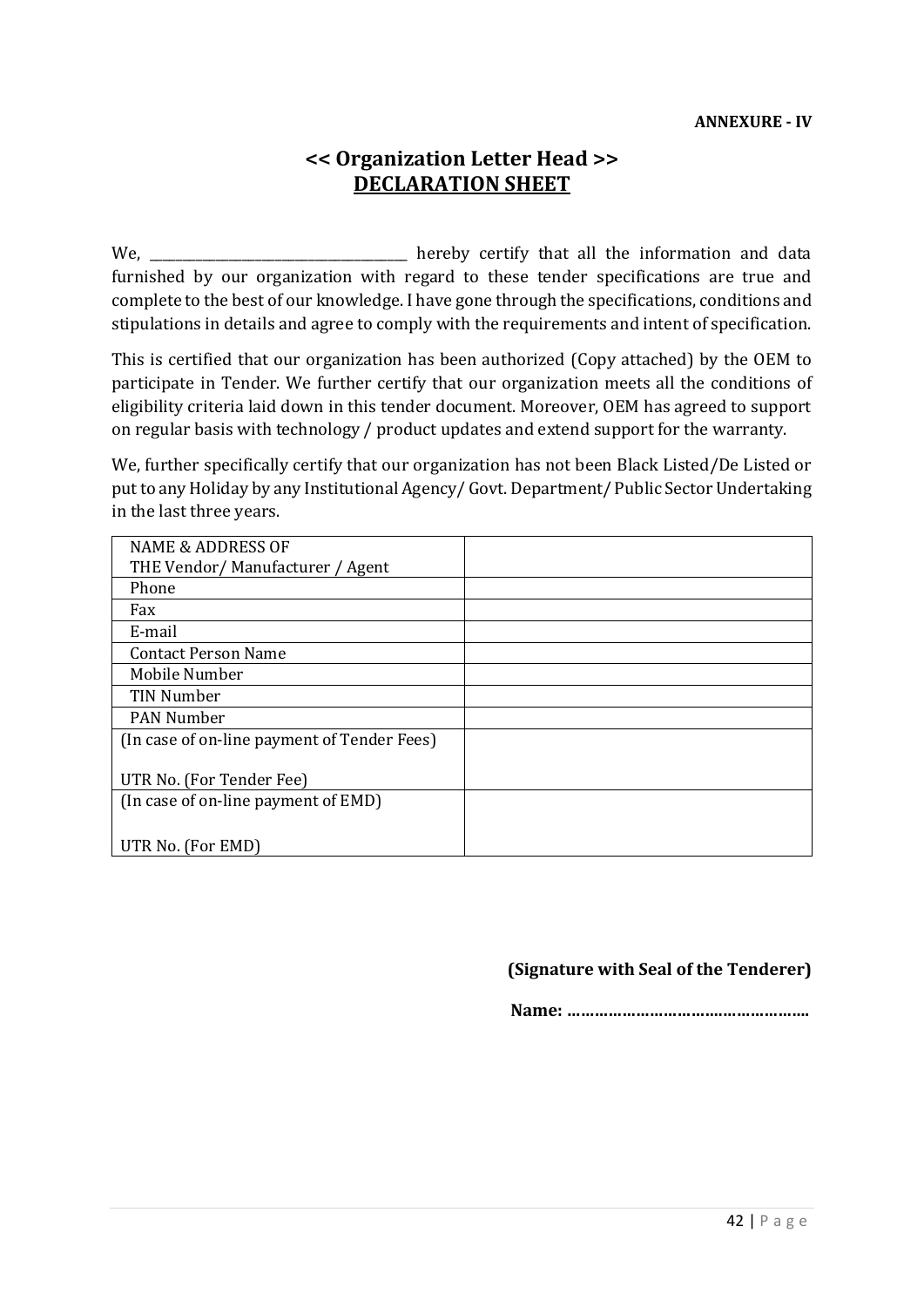# **<< Organization Letter Head >> DECLARATION SHEET**

We, \_\_\_\_\_\_\_\_\_\_\_\_\_\_\_\_\_\_\_\_\_\_\_\_\_\_\_\_\_\_\_\_\_\_\_\_\_\_\_ hereby certify that all the information and data furnished by our organization with regard to these tender specifications are true and complete to the best of our knowledge. I have gone through the specifications, conditions and stipulations in details and agree to comply with the requirements and intent of specification.

This is certified that our organization has been authorized (Copy attached) by the OEM to participate in Tender. We further certify that our organization meets all the conditions of eligibility criteria laid down in this tender document. Moreover, OEM has agreed to support on regular basis with technology / product updates and extend support for the warranty.

We, further specifically certify that our organization has not been Black Listed/De Listed or put to any Holiday by any Institutional Agency/ Govt. Department/ Public Sector Undertaking in the last three years.

| <b>NAME &amp; ADDRESS OF</b>                |  |
|---------------------------------------------|--|
| THE Vendor/Manufacturer / Agent             |  |
| Phone                                       |  |
| Fax                                         |  |
| E-mail                                      |  |
| <b>Contact Person Name</b>                  |  |
| Mobile Number                               |  |
| TIN Number                                  |  |
| <b>PAN Number</b>                           |  |
| (In case of on-line payment of Tender Fees) |  |
|                                             |  |
| UTR No. (For Tender Fee)                    |  |
| (In case of on-line payment of EMD)         |  |
|                                             |  |
| UTR No. (For EMD)                           |  |

#### **(Signature with Seal of the Tenderer)**

 **Name: …………………………….……………….**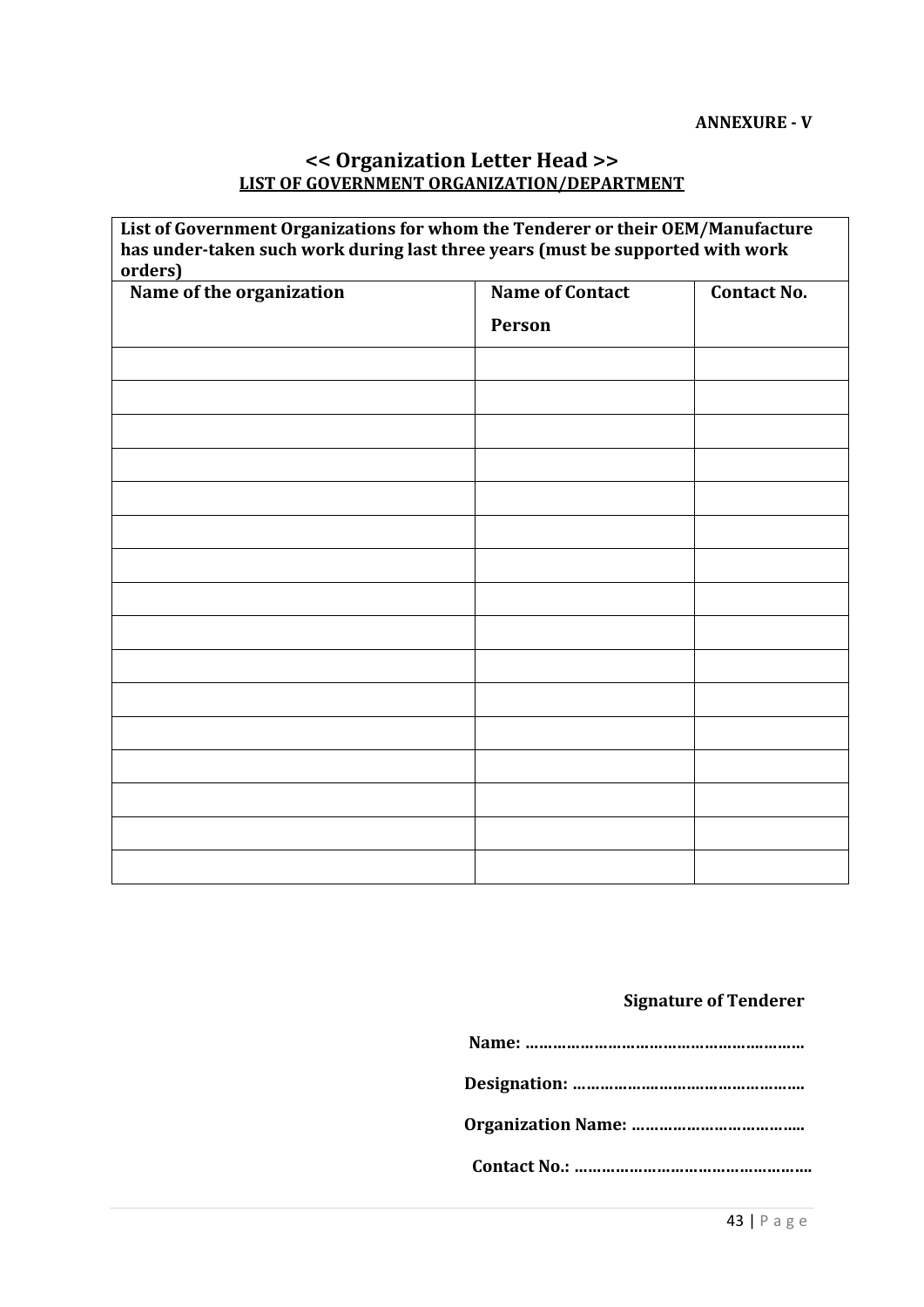# **<< Organization Letter Head >> LIST OF GOVERNMENT ORGANIZATION/DEPARTMENT**

**List of Government Organizations for whom the Tenderer or their OEM/Manufacture has under-taken such work during last three years (must be supported with work orders)**

| $rac{0.0000}{0.00000}$<br>Name of the organization | <b>Name of Contact</b> | <b>Contact No.</b> |
|----------------------------------------------------|------------------------|--------------------|
|                                                    | Person                 |                    |
|                                                    |                        |                    |
|                                                    |                        |                    |
|                                                    |                        |                    |
|                                                    |                        |                    |
|                                                    |                        |                    |
|                                                    |                        |                    |
|                                                    |                        |                    |
|                                                    |                        |                    |
|                                                    |                        |                    |
|                                                    |                        |                    |
|                                                    |                        |                    |
|                                                    |                        |                    |
|                                                    |                        |                    |
|                                                    |                        |                    |
|                                                    |                        |                    |
|                                                    |                        |                    |

# **Signature of Tenderer**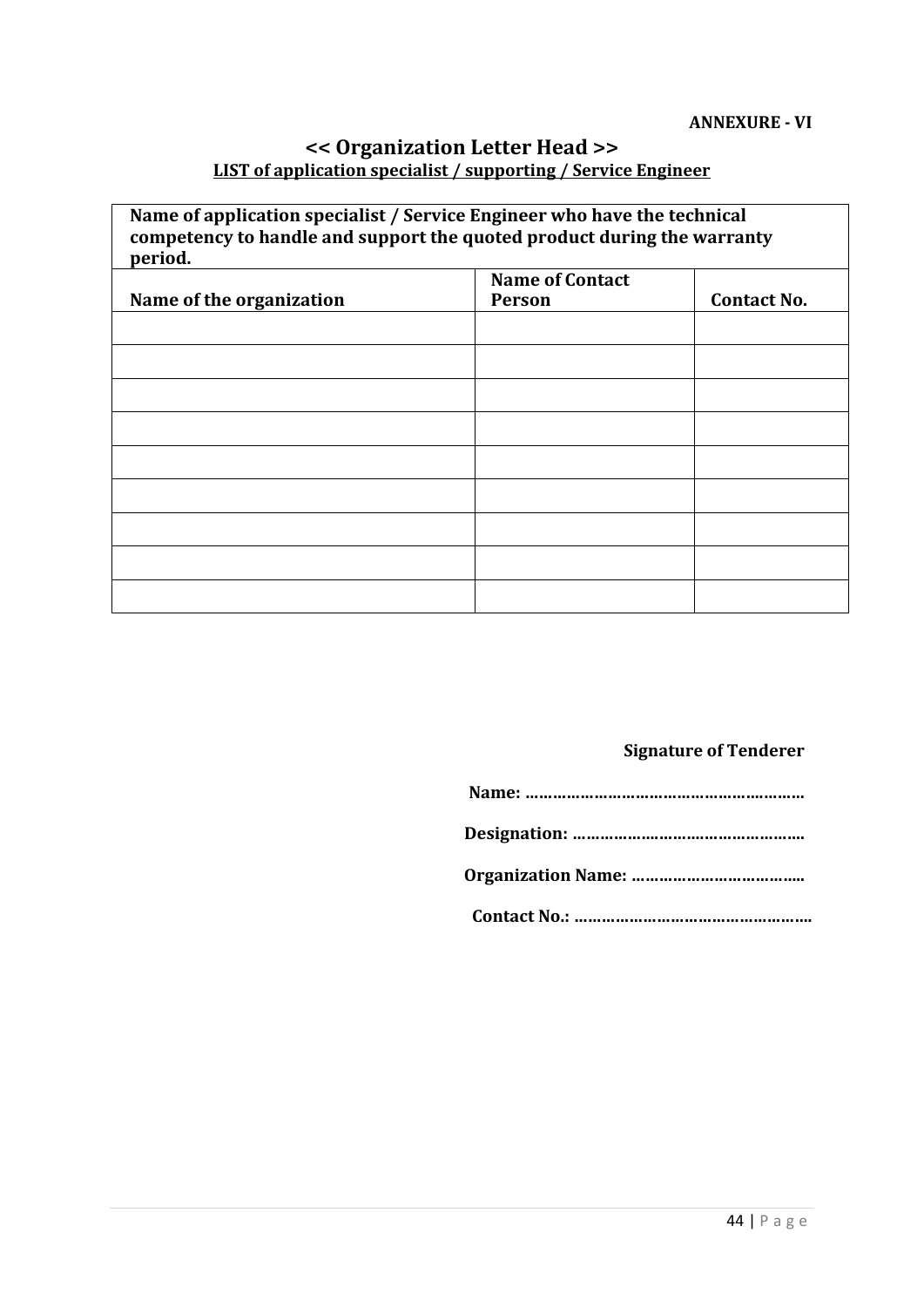## **<< Organization Letter Head >> LIST of application specialist / supporting / Service Engineer**

| Name of application specialist / Service Engineer who have the technical<br>competency to handle and support the quoted product during the warranty<br>period. |                        |                    |  |  |
|----------------------------------------------------------------------------------------------------------------------------------------------------------------|------------------------|--------------------|--|--|
|                                                                                                                                                                | <b>Name of Contact</b> |                    |  |  |
| Name of the organization                                                                                                                                       | <b>Person</b>          | <b>Contact No.</b> |  |  |
|                                                                                                                                                                |                        |                    |  |  |
|                                                                                                                                                                |                        |                    |  |  |
|                                                                                                                                                                |                        |                    |  |  |
|                                                                                                                                                                |                        |                    |  |  |
|                                                                                                                                                                |                        |                    |  |  |
|                                                                                                                                                                |                        |                    |  |  |
|                                                                                                                                                                |                        |                    |  |  |
|                                                                                                                                                                |                        |                    |  |  |
|                                                                                                                                                                |                        |                    |  |  |

# **Signature of Tenderer**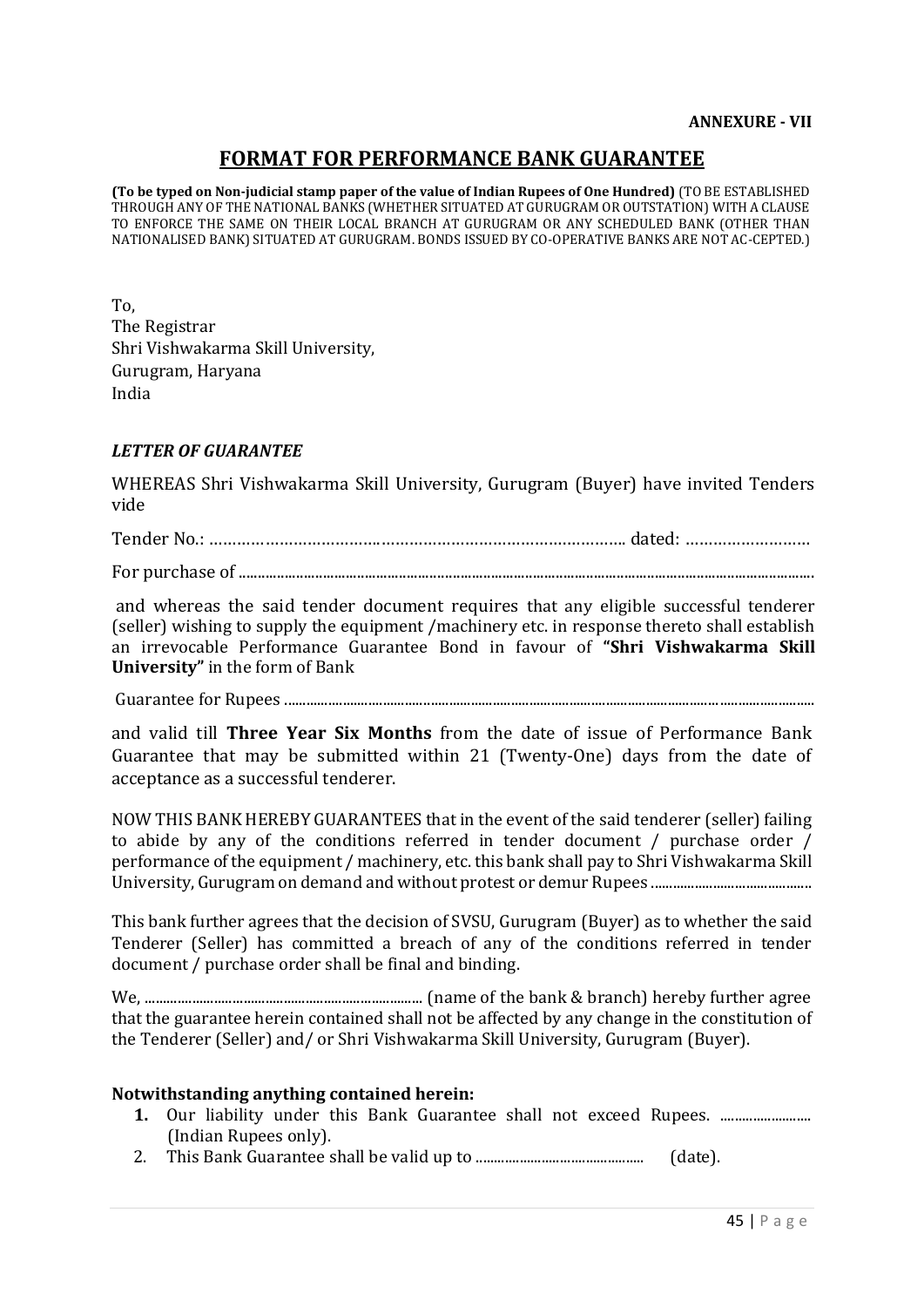# **FORMAT FOR PERFORMANCE BANK GUARANTEE**

**(To be typed on Non-judicial stamp paper of the value of Indian Rupees of One Hundred)** (TO BE ESTABLISHED THROUGH ANY OF THE NATIONAL BANKS (WHETHER SITUATED AT GURUGRAM OR OUTSTATION) WITH A CLAUSE TO ENFORCE THE SAME ON THEIR LOCAL BRANCH AT GURUGRAM OR ANY SCHEDULED BANK (OTHER THAN NATIONALISED BANK) SITUATED AT GURUGRAM. BONDS ISSUED BY CO-OPERATIVE BANKS ARE NOT AC-CEPTED.)

To, The Registrar Shri Vishwakarma Skill University, Gurugram, Haryana India

#### *LETTER OF GUARANTEE*

WHEREAS Shri Vishwakarma Skill University, Gurugram (Buyer) have invited Tenders vide

Tender No.: ……………………………….………………………………….…………. dated: ………………………

For purchase of .......................................................................................................................................................

and whereas the said tender document requires that any eligible successful tenderer (seller) wishing to supply the equipment /machinery etc. in response thereto shall establish an irrevocable Performance Guarantee Bond in favour of **"Shri Vishwakarma Skill University"** in the form of Bank

Guarantee for Rupees .................................................................................................................................................

and valid till **Three Year Six Months** from the date of issue of Performance Bank Guarantee that may be submitted within 21 (Twenty-One) days from the date of acceptance as a successful tenderer.

NOW THIS BANK HEREBY GUARANTEES that in the event of the said tenderer (seller) failing to abide by any of the conditions referred in tender document / purchase order / performance of the equipment / machinery, etc. this bank shall pay to Shri Vishwakarma Skill University, Gurugram on demand and without protest or demur Rupees ............................................

This bank further agrees that the decision of SVSU, Gurugram (Buyer) as to whether the said Tenderer (Seller) has committed a breach of any of the conditions referred in tender document / purchase order shall be final and binding.

We, ............................................................................ (name of the bank & branch) hereby further agree that the guarantee herein contained shall not be affected by any change in the constitution of the Tenderer (Seller) and/ or Shri Vishwakarma Skill University, Gurugram (Buyer).

#### **Notwithstanding anything contained herein:**

- **1.** Our liability under this Bank Guarantee shall not exceed Rupees. .............................. (Indian Rupees only).
- 2. This Bank Guarantee shall be valid up to .............................................. (date).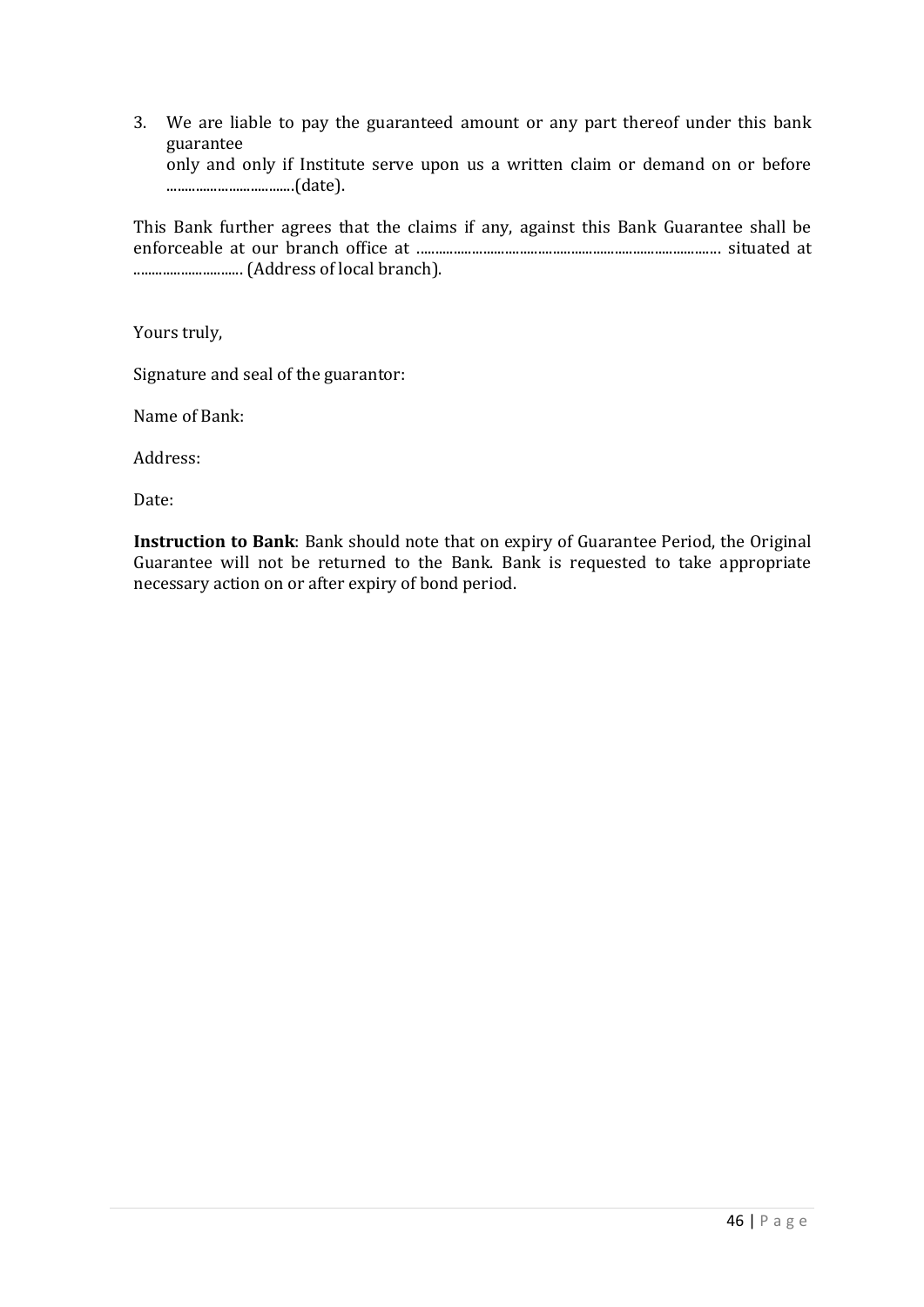3. We are liable to pay the guaranteed amount or any part thereof under this bank guarantee only and only if Institute serve upon us a written claim or demand on or before ...................................(date).

This Bank further agrees that the claims if any, against this Bank Guarantee shall be enforceable at our branch office at ................................................................................... situated at .............................. (Address of local branch).

Yours truly,

Signature and seal of the guarantor:

Name of Bank:

Address:

Date:

**Instruction to Bank**: Bank should note that on expiry of Guarantee Period, the Original Guarantee will not be returned to the Bank. Bank is requested to take appropriate necessary action on or after expiry of bond period.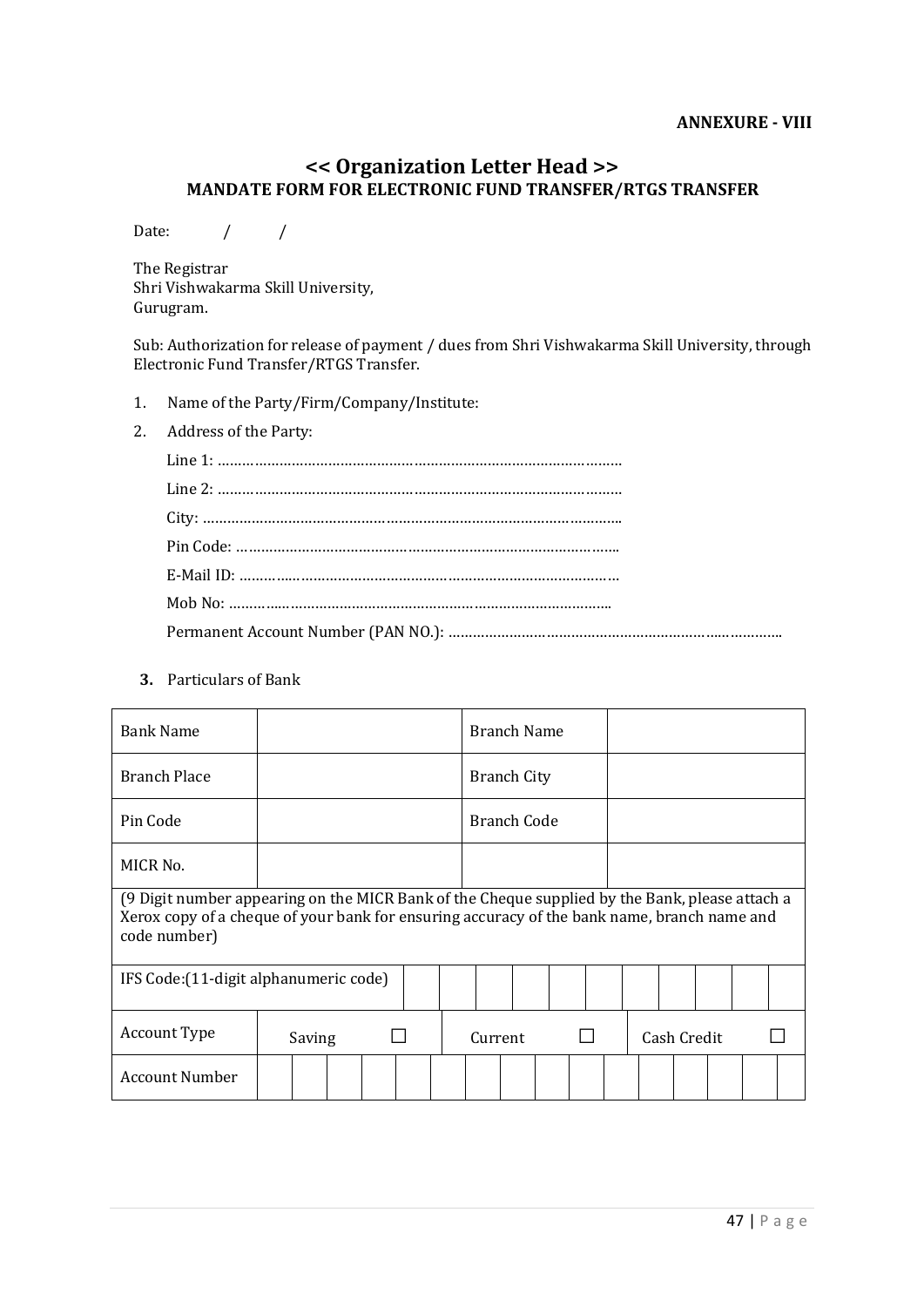#### **<< Organization Letter Head >> MANDATE FORM FOR ELECTRONIC FUND TRANSFER/RTGS TRANSFER**

Date:  $/ /$ 

The Registrar Shri Vishwakarma Skill University, Gurugram.

Sub: Authorization for release of payment / dues from Shri Vishwakarma Skill University, through Electronic Fund Transfer/RTGS Transfer.

- 1. Name of the Party/Firm/Company/Institute:
- 2. Address of the Party:

**3.** Particulars of Bank

| <b>Bank Name</b>                                                                                                                                                                                              |        |  |  |         |             |                    | <b>Branch Name</b> |  |             |  |  |  |  |
|---------------------------------------------------------------------------------------------------------------------------------------------------------------------------------------------------------------|--------|--|--|---------|-------------|--------------------|--------------------|--|-------------|--|--|--|--|
| <b>Branch Place</b>                                                                                                                                                                                           |        |  |  |         |             | <b>Branch City</b> |                    |  |             |  |  |  |  |
| Pin Code                                                                                                                                                                                                      |        |  |  |         | Branch Code |                    |                    |  |             |  |  |  |  |
| MICR No.                                                                                                                                                                                                      |        |  |  |         |             |                    |                    |  |             |  |  |  |  |
| (9 Digit number appearing on the MICR Bank of the Cheque supplied by the Bank, please attach a<br>Xerox copy of a cheque of your bank for ensuring accuracy of the bank name, branch name and<br>code number) |        |  |  |         |             |                    |                    |  |             |  |  |  |  |
| IFS Code: (11-digit alphanumeric code)                                                                                                                                                                        |        |  |  |         |             |                    |                    |  |             |  |  |  |  |
| Account Type                                                                                                                                                                                                  | Saving |  |  | Current |             |                    |                    |  | Cash Credit |  |  |  |  |
| <b>Account Number</b>                                                                                                                                                                                         |        |  |  |         |             |                    |                    |  |             |  |  |  |  |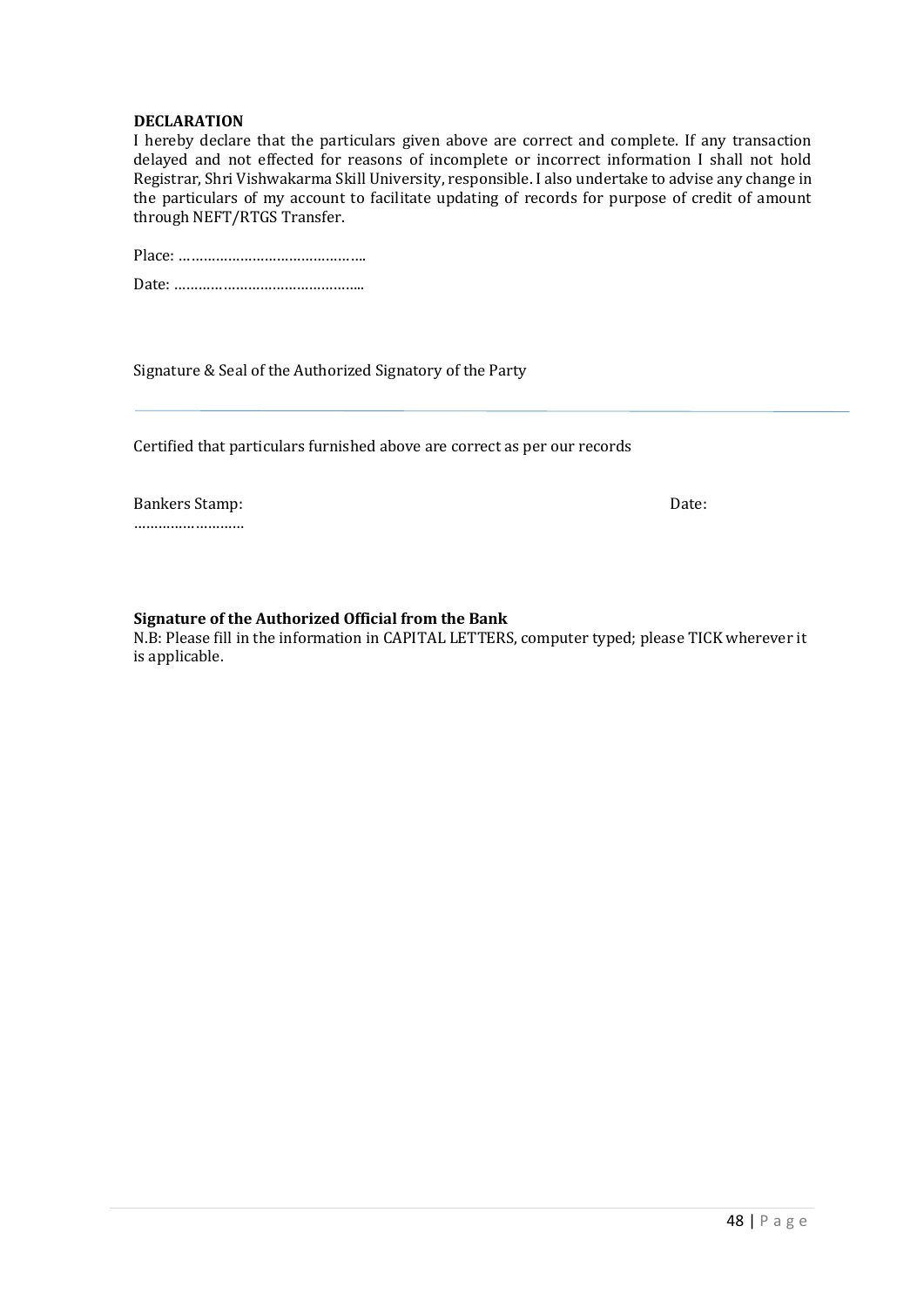#### **DECLARATION**

I hereby declare that the particulars given above are correct and complete. If any transaction delayed and not effected for reasons of incomplete or incorrect information I shall not hold Registrar, Shri Vishwakarma Skill University, responsible. I also undertake to advise any change in the particulars of my account to facilitate updating of records for purpose of credit of amount through NEFT/RTGS Transfer.

Signature & Seal of the Authorized Signatory of the Party

Certified that particulars furnished above are correct as per our records

Bankers Stamp: Date: Date: ………………………

#### **Signature of the Authorized Official from the Bank**

N.B: Please fill in the information in CAPITAL LETTERS, computer typed; please TICK wherever it is applicable.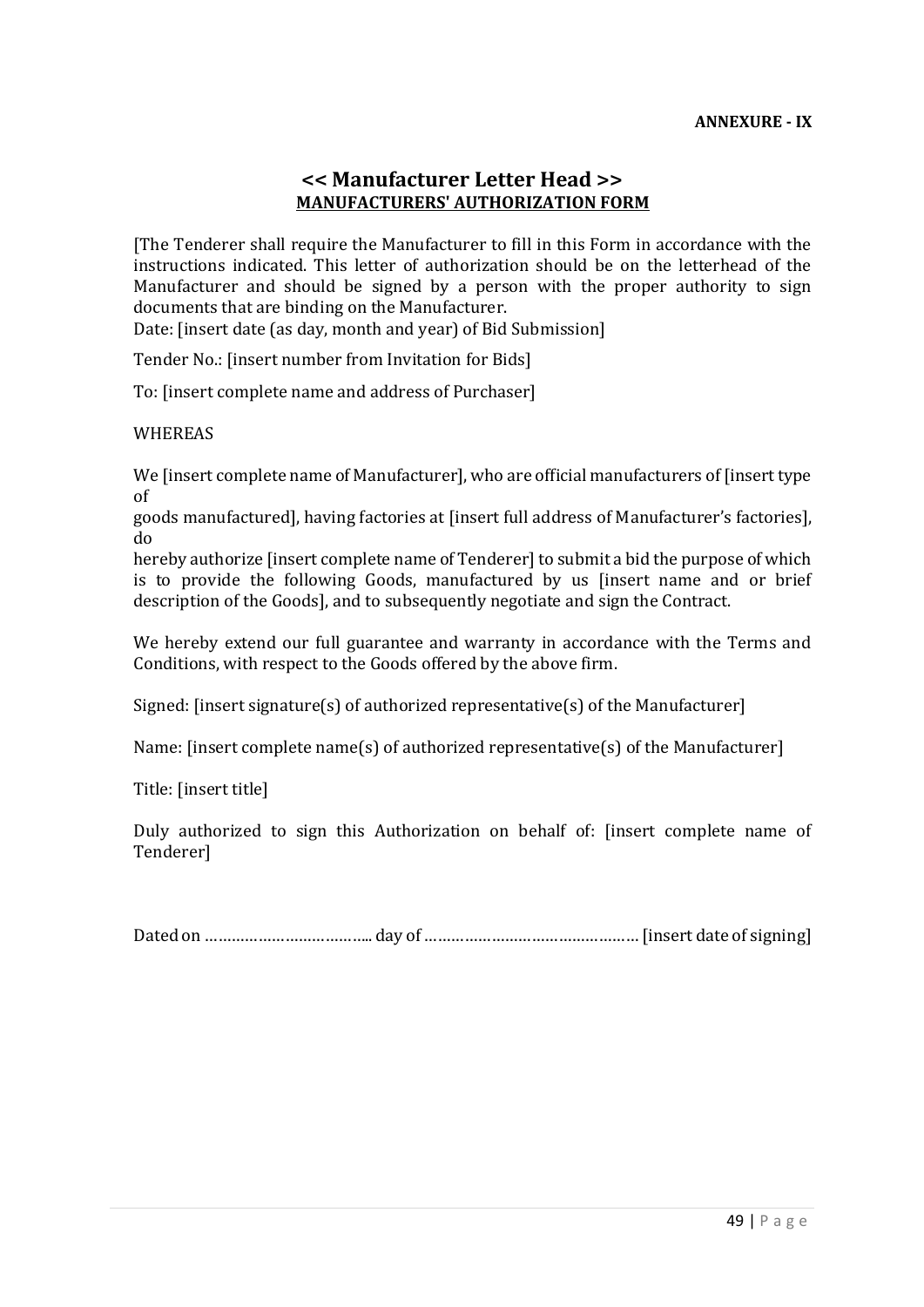#### **<< Manufacturer Letter Head >> MANUFACTURERS' AUTHORIZATION FORM**

[The Tenderer shall require the Manufacturer to fill in this Form in accordance with the instructions indicated. This letter of authorization should be on the letterhead of the Manufacturer and should be signed by a person with the proper authority to sign documents that are binding on the Manufacturer.

Date: [insert date (as day, month and year) of Bid Submission]

Tender No.: [insert number from Invitation for Bids]

To: [insert complete name and address of Purchaser]

#### WHEREAS

We linsert complete name of Manufacturer], who are official manufacturers of linsert type of

goods manufactured], having factories at [insert full address of Manufacturer's factories], do

hereby authorize [insert complete name of Tenderer] to submit a bid the purpose of which is to provide the following Goods, manufactured by us [insert name and or brief description of the Goods], and to subsequently negotiate and sign the Contract.

We hereby extend our full guarantee and warranty in accordance with the Terms and Conditions, with respect to the Goods offered by the above firm.

Signed: [insert signature(s) of authorized representative(s) of the Manufacturer]

Name: [insert complete name(s) of authorized representative(s) of the Manufacturer]

Title: [insert title]

Duly authorized to sign this Authorization on behalf of: [insert complete name of Tenderer]

Dated on ……………………………….. day of ………………………………………… [insert date of signing]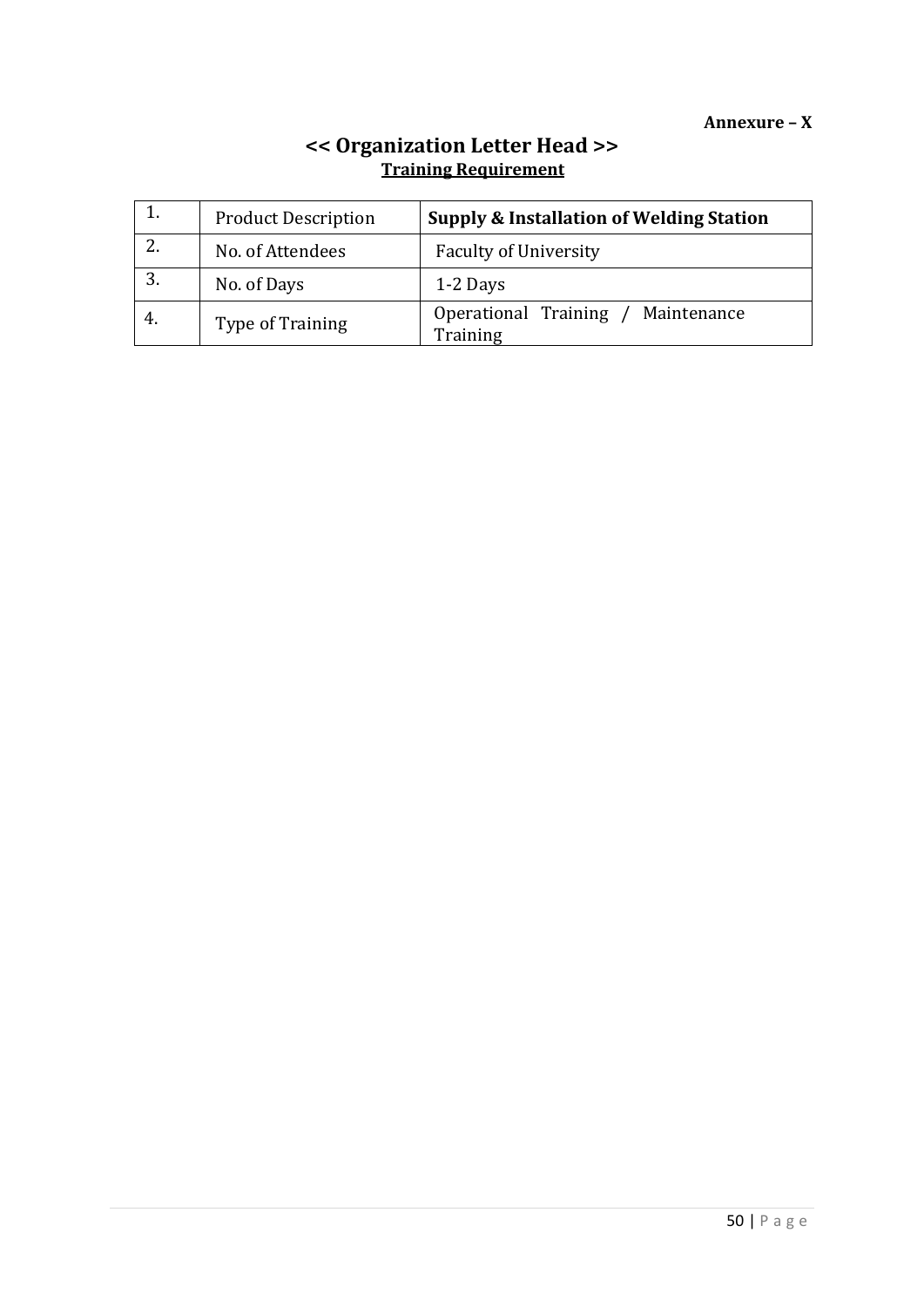|    | <b>Product Description</b> | <b>Supply &amp; Installation of Welding Station</b> |
|----|----------------------------|-----------------------------------------------------|
|    | No. of Attendees           | <b>Faculty of University</b>                        |
|    | No. of Days                | 1-2 Days                                            |
| 4. | Type of Training           | Operational Training<br>Maintenance<br>Training     |

#### **<< Organization Letter Head >> Training Requirement**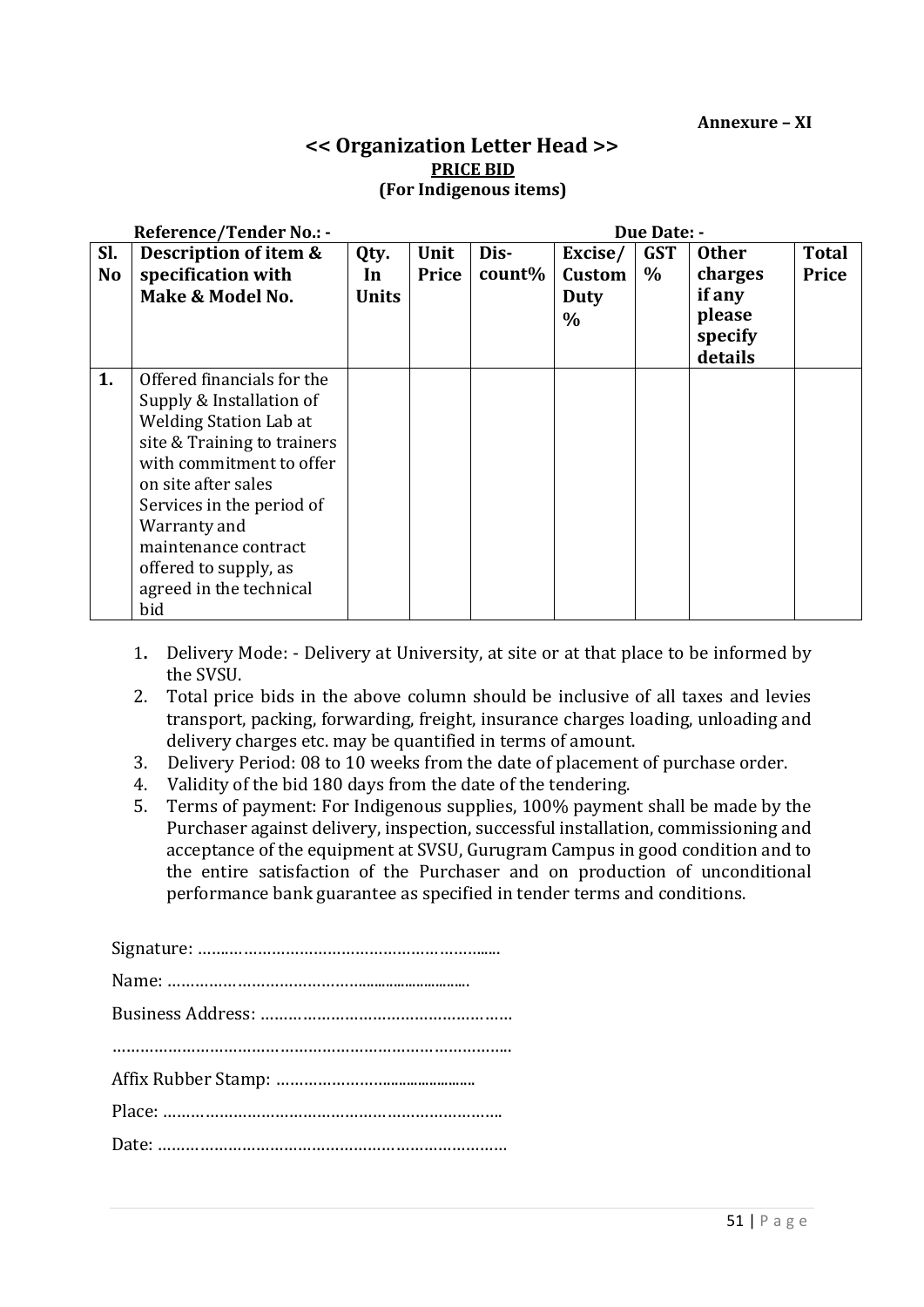# **<< Organization Letter Head >> PRICE BID (For Indigenous items)**

| <b>Reference/Tender No.: -</b><br>Due Date: - |                                       |              |       |        |               |            |              |              |
|-----------------------------------------------|---------------------------------------|--------------|-------|--------|---------------|------------|--------------|--------------|
| SI.                                           | Description of item &<br>Unit<br>Qty. |              |       | Dis-   | Excise/       | <b>GST</b> | <b>Other</b> | <b>Total</b> |
| <b>No</b>                                     | specification with                    | In           | Price | count% | <b>Custom</b> | $\%$       | charges      | Price        |
|                                               | Make & Model No.                      | <b>Units</b> |       |        | Duty          |            | if any       |              |
|                                               |                                       |              |       |        | $\frac{0}{0}$ |            | please       |              |
|                                               |                                       |              |       |        |               |            | specify      |              |
|                                               |                                       |              |       |        |               |            | details      |              |
| 1.                                            | Offered financials for the            |              |       |        |               |            |              |              |
|                                               | Supply & Installation of              |              |       |        |               |            |              |              |
|                                               | <b>Welding Station Lab at</b>         |              |       |        |               |            |              |              |
|                                               | site & Training to trainers           |              |       |        |               |            |              |              |
|                                               | with commitment to offer              |              |       |        |               |            |              |              |
|                                               | on site after sales                   |              |       |        |               |            |              |              |
|                                               | Services in the period of             |              |       |        |               |            |              |              |
|                                               | Warranty and                          |              |       |        |               |            |              |              |
|                                               | maintenance contract                  |              |       |        |               |            |              |              |
|                                               | offered to supply, as                 |              |       |        |               |            |              |              |
|                                               | agreed in the technical               |              |       |        |               |            |              |              |
|                                               | bid                                   |              |       |        |               |            |              |              |

- 1**.** Delivery Mode: Delivery at University, at site or at that place to be informed by the SVSU.
- 2. Total price bids in the above column should be inclusive of all taxes and levies transport, packing, forwarding, freight, insurance charges loading, unloading and delivery charges etc. may be quantified in terms of amount.
- 3. Delivery Period: 08 to 10 weeks from the date of placement of purchase order.
- 4. Validity of the bid 180 days from the date of the tendering.
- 5. Terms of payment: For Indigenous supplies, 100% payment shall be made by the Purchaser against delivery, inspection, successful installation, commissioning and acceptance of the equipment at SVSU, Gurugram Campus in good condition and to the entire satisfaction of the Purchaser and on production of unconditional performance bank guarantee as specified in tender terms and conditions.